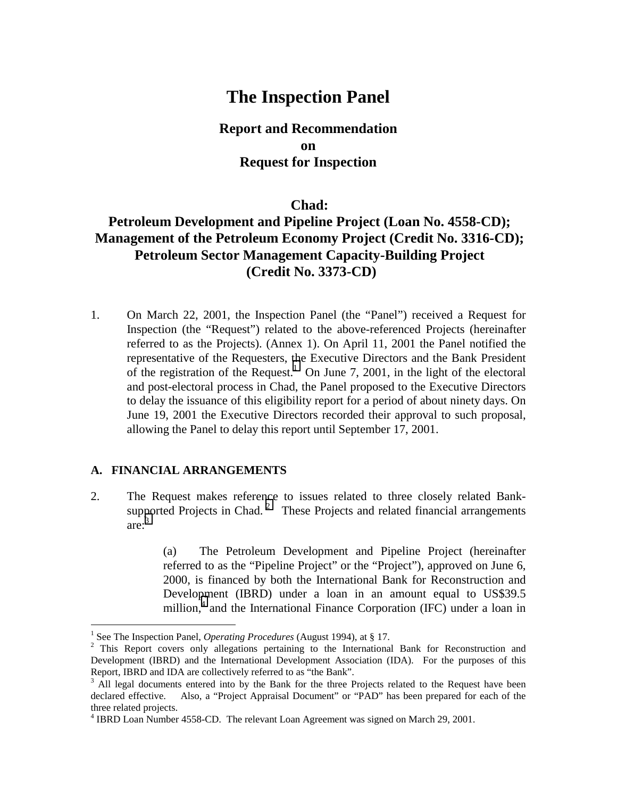## **The Inspection Panel**

**Report and Recommendation on Request for Inspection**

## **Chad:**

## **Petroleum Development and Pipeline Project (Loan No. 4558-CD); Management of the Petroleum Economy Project (Credit No. 3316-CD); Petroleum Sector Management Capacity-Building Project (Credit No. 3373-CD)**

1. On March 22, 2001, the Inspection Panel (the "Panel") received a Request for Inspection (the "Request") related to the above-referenced Projects (hereinafter referred to as the Projects). (Annex 1). On April 11, 2001 the Panel notified the representative of the Requesters, the Executive Directors and the Bank President of the registration of the Request.<sup>1</sup> On June 7, 2001, in the light of the electoral and post-electoral process in Chad, the Panel proposed to the Executive Directors to delay the issuance of this eligibility report for a period of about ninety days. On June 19, 2001 the Executive Directors recorded their approval to such proposal, allowing the Panel to delay this report until September 17, 2001.

#### **A. FINANCIAL ARRANGEMENTS**

 $\overline{a}$ 

2. The Request makes reference to issues related to three closely related Banksupported Projects in Chad.<sup>2</sup> These Projects and related financial arrangements  $are:$ <sup>3</sup>

> (a) The Petroleum Development and Pipeline Project (hereinafter referred to as the "Pipeline Project" or the "Project"), approved on June 6, 2000, is financed by both the International Bank for Reconstruction and Development (IBRD) under a loan in an amount equal to US\$39.5 million, $4$  and the International Finance Corporation (IFC) under a loan in

<sup>&</sup>lt;sup>1</sup> See The Inspection Panel, *Operating Procedures* (August 1994), at § 17.

<sup>&</sup>lt;sup>2</sup> This Report covers only allegations pertaining to the International Bank for Reconstruction and Development (IBRD) and the International Development Association (IDA). For the purposes of this Report, IBRD and IDA are collectively referred to as "the Bank".

 $3$  All legal documents entered into by the Bank for the three Projects related to the Request have been declared effective. Also, a "Project Appraisal Document" or "PAD" has been prepared for each of the three related projects.

<sup>&</sup>lt;sup>4</sup> IBRD Loan Number 4558-CD. The relevant Loan Agreement was signed on March 29, 2001.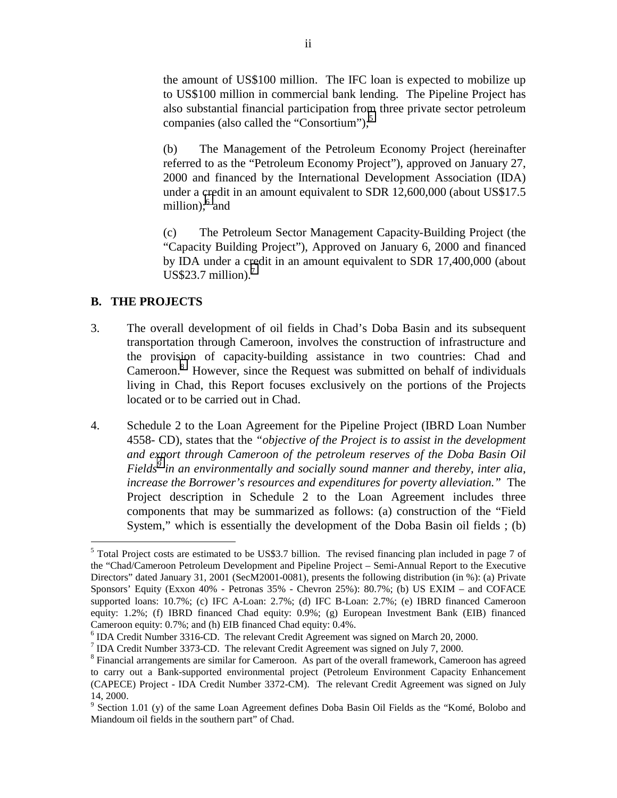the amount of US\$100 million. The IFC loan is expected to mobilize up to US\$100 million in commercial bank lending. The Pipeline Project has also substantial financial participation from three private sector petroleum companies (also called the "Consortium"); $<sup>5</sup>$ </sup>

(b) The Management of the Petroleum Economy Project (hereinafter referred to as the "Petroleum Economy Project"), approved on January 27, 2000 and financed by the International Development Association (IDA) under a credit in an amount equivalent to SDR 12,600,000 (about US\$17.5 million);<sup>6</sup> and

(c) The Petroleum Sector Management Capacity-Building Project (the "Capacity Building Project"), Approved on January 6, 2000 and financed by IDA under a credit in an amount equivalent to SDR 17,400,000 (about  $US$23.7$  million).

#### **B. THE PROJECTS**

- 3. The overall development of oil fields in Chad's Doba Basin and its subsequent transportation through Cameroon, involves the construction of infrastructure and the provision of capacity-building assistance in two countries: Chad and Cameroon.<sup>8</sup> However, since the Request was submitted on behalf of individuals living in Chad, this Report focuses exclusively on the portions of the Projects located or to be carried out in Chad.
- 4. Schedule 2 to the Loan Agreement for the Pipeline Project (IBRD Loan Number 4558- CD), states that the *"objective of the Project is to assist in the development and export through Cameroon of the petroleum reserves of the Doba Basin Oil*  Fields<sup>§</sup> in an environmentally and socially sound manner and thereby, inter alia, *increase the Borrower's resources and expenditures for poverty alleviation."* The Project description in Schedule 2 to the Loan Agreement includes three components that may be summarized as follows: (a) construction of the "Field System," which is essentially the development of the Doba Basin oil fields ; (b)

<sup>&</sup>lt;sup>5</sup> Total Project costs are estimated to be US\$3.7 billion. The revised financing plan included in page 7 of the "Chad/Cameroon Petroleum Development and Pipeline Project – Semi-Annual Report to the Executive Directors" dated January 31, 2001 (SecM2001-0081), presents the following distribution (in %): (a) Private Sponsors' Equity (Exxon 40% - Petronas 35% - Chevron 25%): 80.7%; (b) US EXIM – and COFACE supported loans: 10.7%; (c) IFC A-Loan: 2.7%; (d) IFC B-Loan: 2.7%; (e) IBRD financed Cameroon equity: 1.2%; (f) IBRD financed Chad equity: 0.9%; (g) European Investment Bank (EIB) financed Cameroon equity: 0.7%; and (h) EIB financed Chad equity: 0.4%.

<sup>&</sup>lt;sup>6</sup> IDA Credit Number 3316-CD. The relevant Credit Agreement was signed on March 20, 2000.

<sup>&</sup>lt;sup>7</sup> IDA Credit Number 3373-CD. The relevant Credit Agreement was signed on July 7, 2000.

<sup>&</sup>lt;sup>8</sup> Financial arrangements are similar for Cameroon. As part of the overall framework, Cameroon has agreed to carry out a Bank-supported environmental project (Petroleum Environment Capacity Enhancement (CAPECE) Project - IDA Credit Number 3372-CM). The relevant Credit Agreement was signed on July 14, 2000.

<sup>&</sup>lt;sup>9</sup> Section 1.01 (y) of the same Loan Agreement defines Doba Basin Oil Fields as the "Komé, Bolobo and Miandoum oil fields in the southern part" of Chad.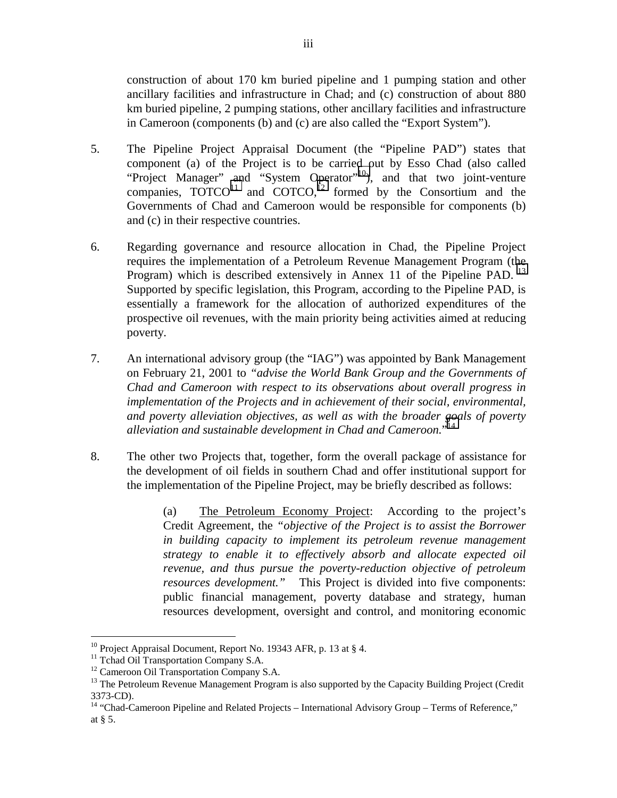construction of about 170 km buried pipeline and 1 pumping station and other ancillary facilities and infrastructure in Chad; and (c) construction of about 880 km buried pipeline, 2 pumping stations, other ancillary facilities and infrastructure in Cameroon (components (b) and (c) are also called the "Export System").

- 5. The Pipeline Project Appraisal Document (the "Pipeline PAD") states that component (a) of the Project is to be carried out by Esso Chad (also called "Project Manager" and "System Operator"<sup>10</sup>), and that two joint-venture companies,  $\overline{TOTCO}^{11}$  and  $\overline{COTCO}^{12}$  formed by the Consortium and the Governments of Chad and Cameroon would be responsible for components (b) and (c) in their respective countries.
- 6. Regarding governance and resource allocation in Chad, the Pipeline Project requires the implementation of a Petroleum Revenue Management Program (the Program) which is described extensively in Annex 11 of the Pipeline PAD.<sup>13</sup> Supported by specific legislation, this Program, according to the Pipeline PAD, is essentially a framework for the allocation of authorized expenditures of the prospective oil revenues, with the main priority being activities aimed at reducing poverty.
- 7. An international advisory group (the "IAG") was appointed by Bank Management on February 21, 2001 to *"advise the World Bank Group and the Governments of Chad and Cameroon with respect to its observations about overall progress in implementation of the Projects and in achievement of their social, environmental, and poverty alleviation objectives, as well as with the broader goals of poverty alleviation and sustainable development in Chad and Cameroon.*" 14
- 8. The other two Projects that, together, form the overall package of assistance for the development of oil fields in southern Chad and offer institutional support for the implementation of the Pipeline Project, may be briefly described as follows:

(a) The Petroleum Economy Project: According to the project's Credit Agreement, the *"objective of the Project is to assist the Borrower in building capacity to implement its petroleum revenue management strategy to enable it to effectively absorb and allocate expected oil revenue, and thus pursue the poverty-reduction objective of petroleum resources development."* This Project is divided into five components: public financial management, poverty database and strategy, human resources development, oversight and control, and monitoring economic

<sup>&</sup>lt;sup>10</sup> Project Appraisal Document, Report No. 19343 AFR, p. 13 at  $\S$  4.

<sup>&</sup>lt;sup>11</sup> Tchad Oil Transportation Company S.A.

<sup>&</sup>lt;sup>12</sup> Cameroon Oil Transportation Company S.A.

<sup>&</sup>lt;sup>13</sup> The Petroleum Revenue Management Program is also supported by the Capacity Building Project (Credit 3373-CD).

<sup>&</sup>lt;sup>14</sup> "Chad-Cameroon Pipeline and Related Projects – International Advisory Group – Terms of Reference," at § 5.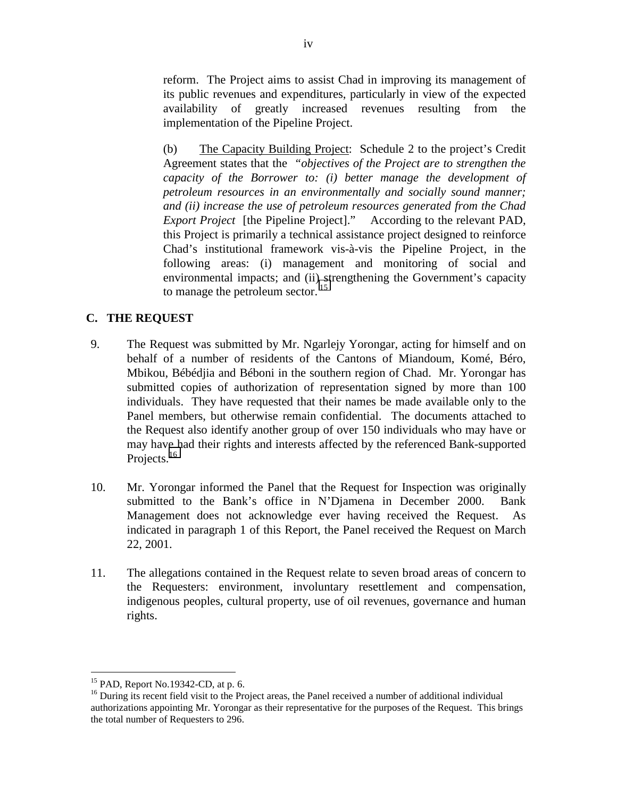reform. The Project aims to assist Chad in improving its management of its public revenues and expenditures, particularly in view of the expected availability of greatly increased revenues resulting from the implementation of the Pipeline Project.

(b) The Capacity Building Project: Schedule 2 to the project's Credit Agreement states that the *"objectives of the Project are to strengthen the capacity of the Borrower to: (i) better manage the development of petroleum resources in an environmentally and socially sound manner; and (ii) increase the use of petroleum resources generated from the Chad Export Project* [the Pipeline Project]." According to the relevant PAD, this Project is primarily a technical assistance project designed to reinforce Chad's institutional framework vis-à-vis the Pipeline Project, in the following areas: (i) management and monitoring of social and environmental impacts; and (ii) strengthening the Government's capacity to manage the petroleum sector.<sup>15</sup>

## **C. THE REQUEST**

- 9. The Request was submitted by Mr. Ngarlejy Yorongar, acting for himself and on behalf of a number of residents of the Cantons of Miandoum, Komé, Béro, Mbikou, Bébédjia and Béboni in the southern region of Chad. Mr. Yorongar has submitted copies of authorization of representation signed by more than 100 individuals. They have requested that their names be made available only to the Panel members, but otherwise remain confidential. The documents attached to the Request also identify another group of over 150 individuals who may have or may have had their rights and interests affected by the referenced Bank-supported Projects.<sup>16</sup>
- 10. Mr. Yorongar informed the Panel that the Request for Inspection was originally submitted to the Bank's office in N'Djamena in December 2000. Bank Management does not acknowledge ever having received the Request. As indicated in paragraph 1 of this Report, the Panel received the Request on March 22, 2001.
- 11. The allegations contained in the Request relate to seven broad areas of concern to the Requesters: environment, involuntary resettlement and compensation, indigenous peoples, cultural property, use of oil revenues, governance and human rights.

<sup>15</sup> PAD, Report No.19342-CD, at p. 6.

<sup>&</sup>lt;sup>16</sup> During its recent field visit to the Project areas, the Panel received a number of additional individual authorizations appointing Mr. Yorongar as their representative for the purposes of the Request. This brings the total number of Requesters to 296.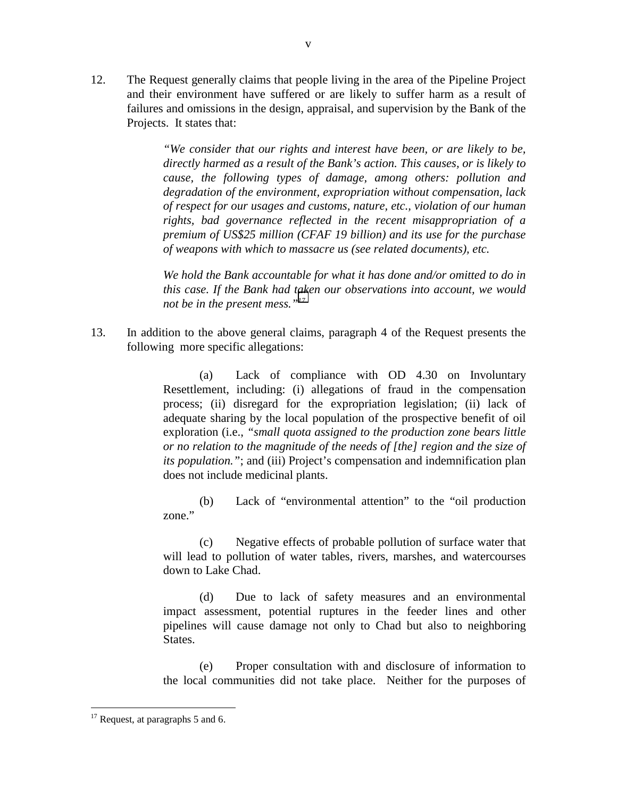12. The Request generally claims that people living in the area of the Pipeline Project and their environment have suffered or are likely to suffer harm as a result of failures and omissions in the design, appraisal, and supervision by the Bank of the Projects. It states that:

v

*"We consider that our rights and interest have been, or are likely to be, directly harmed as a result of the Bank's action. This causes, or is likely to cause, the following types of damage, among others: pollution and degradation of the environment, expropriation without compensation, lack of respect for our usages and customs, nature, etc., violation of our human rights, bad governance reflected in the recent misappropriation of a premium of US\$25 million (CFAF 19 billion) and its use for the purchase of weapons with which to massacre us (see related documents), etc.* 

*We hold the Bank accountable for what it has done and/or omitted to do in this case. If the Bank had taken our observations into account, we would not be in the present mess."17*

13. In addition to the above general claims, paragraph 4 of the Request presents the following more specific allegations:

> (a) Lack of compliance with OD 4.30 on Involuntary Resettlement, including: (i) allegations of fraud in the compensation process; (ii) disregard for the expropriation legislation; (ii) lack of adequate sharing by the local population of the prospective benefit of oil exploration (i.e., *"small quota assigned to the production zone bears little or no relation to the magnitude of the needs of [the] region and the size of its population.*"; and (iii) Project's compensation and indemnification plan does not include medicinal plants.

> (b) Lack of "environmental attention" to the "oil production zone."

> (c) Negative effects of probable pollution of surface water that will lead to pollution of water tables, rivers, marshes, and watercourses down to Lake Chad.

> (d) Due to lack of safety measures and an environmental impact assessment, potential ruptures in the feeder lines and other pipelines will cause damage not only to Chad but also to neighboring States.

> (e) Proper consultation with and disclosure of information to the local communities did not take place. Neither for the purposes of

 $17$  Request, at paragraphs 5 and 6.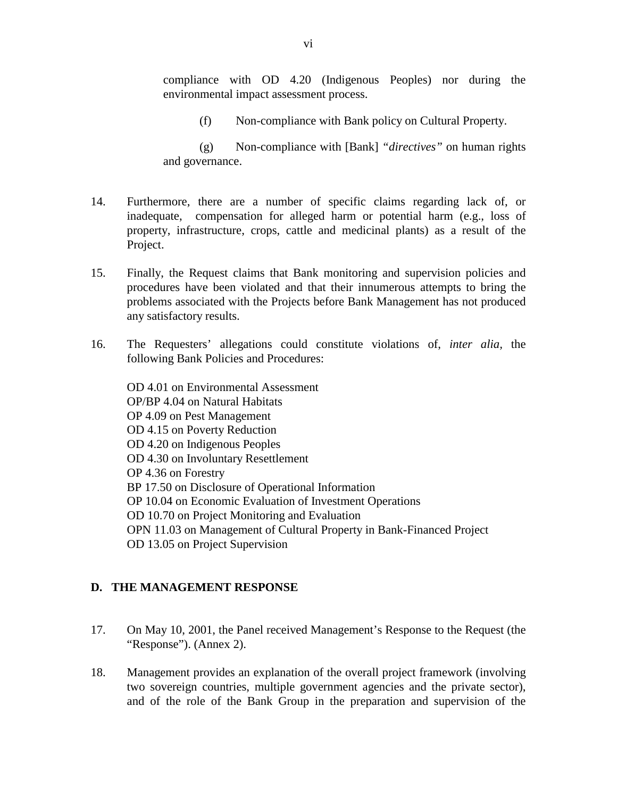compliance with OD 4.20 (Indigenous Peoples) nor during the environmental impact assessment process.

(f) Non-compliance with Bank policy on Cultural Property.

(g) Non-compliance with [Bank] *"directives"* on human rights and governance.

- 14. Furthermore, there are a number of specific claims regarding lack of, or inadequate, compensation for alleged harm or potential harm (e.g., loss of property, infrastructure, crops, cattle and medicinal plants) as a result of the Project.
- 15. Finally, the Request claims that Bank monitoring and supervision policies and procedures have been violated and that their innumerous attempts to bring the problems associated with the Projects before Bank Management has not produced any satisfactory results.
- 16. The Requesters' allegations could constitute violations of, *inter alia,* the following Bank Policies and Procedures:

OD 4.01 on Environmental Assessment OP/BP 4.04 on Natural Habitats OP 4.09 on Pest Management OD 4.15 on Poverty Reduction OD 4.20 on Indigenous Peoples OD 4.30 on Involuntary Resettlement OP 4.36 on Forestry BP 17.50 on Disclosure of Operational Information OP 10.04 on Economic Evaluation of Investment Operations OD 10.70 on Project Monitoring and Evaluation OPN 11.03 on Management of Cultural Property in Bank-Financed Project OD 13.05 on Project Supervision

## **D. THE MANAGEMENT RESPONSE**

- 17. On May 10, 2001, the Panel received Management's Response to the Request (the "Response"). (Annex 2).
- 18. Management provides an explanation of the overall project framework (involving two sovereign countries, multiple government agencies and the private sector), and of the role of the Bank Group in the preparation and supervision of the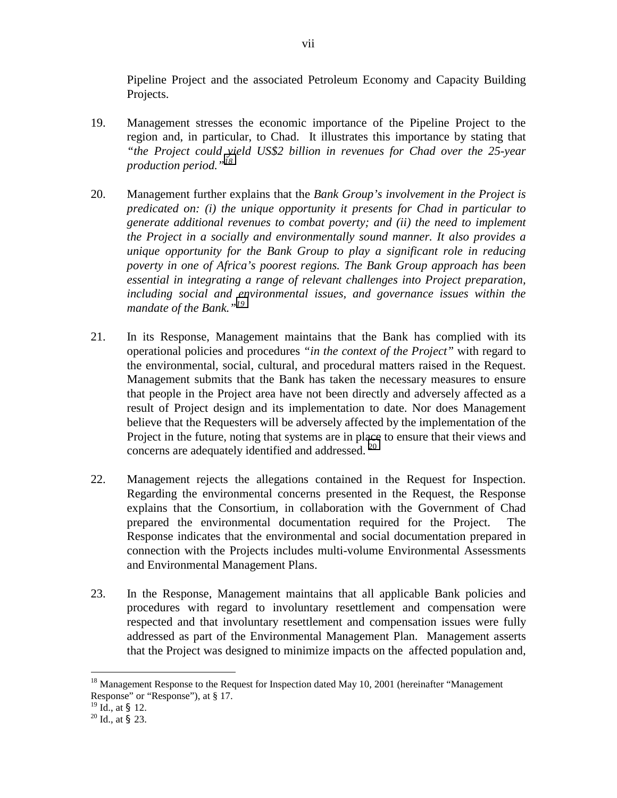Pipeline Project and the associated Petroleum Economy and Capacity Building Projects.

- 19. Management stresses the economic importance of the Pipeline Project to the region and, in particular, to Chad. It illustrates this importance by stating that *"the Project could yield US\$2 billion in revenues for Chad over the 25-year production period."18*
- 20. Management further explains that the *Bank Group's involvement in the Project is predicated on: (i) the unique opportunity it presents for Chad in particular to generate additional revenues to combat poverty; and (ii) the need to implement the Project in a socially and environmentally sound manner. It also provides a unique opportunity for the Bank Group to play a significant role in reducing poverty in one of Africa's poorest regions. The Bank Group approach has been essential in integrating a range of relevant challenges into Project preparation, including social and environmental issues, and governance issues within the mandate of the Bank."<sup>19</sup>*
- 21. In its Response, Management maintains that the Bank has complied with its operational policies and procedures *"in the context of the Project"* with regard to the environmental, social, cultural, and procedural matters raised in the Request. Management submits that the Bank has taken the necessary measures to ensure that people in the Project area have not been directly and adversely affected as a result of Project design and its implementation to date. Nor does Management believe that the Requesters will be adversely affected by the implementation of the Project in the future, noting that systems are in place to ensure that their views and concerns are adequately identified and addressed.  $20$
- 22. Management rejects the allegations contained in the Request for Inspection. Regarding the environmental concerns presented in the Request, the Response explains that the Consortium, in collaboration with the Government of Chad prepared the environmental documentation required for the Project. The Response indicates that the environmental and social documentation prepared in connection with the Projects includes multi-volume Environmental Assessments and Environmental Management Plans.
- 23. In the Response, Management maintains that all applicable Bank policies and procedures with regard to involuntary resettlement and compensation were respected and that involuntary resettlement and compensation issues were fully addressed as part of the Environmental Management Plan. Management asserts that the Project was designed to minimize impacts on the affected population and,

<sup>&</sup>lt;sup>18</sup> Management Response to the Request for Inspection dated May 10, 2001 (hereinafter "Management Response" or "Response"), at § 17.<br><sup>19</sup> Id., at § 12.

 $20$  Id., at § 23.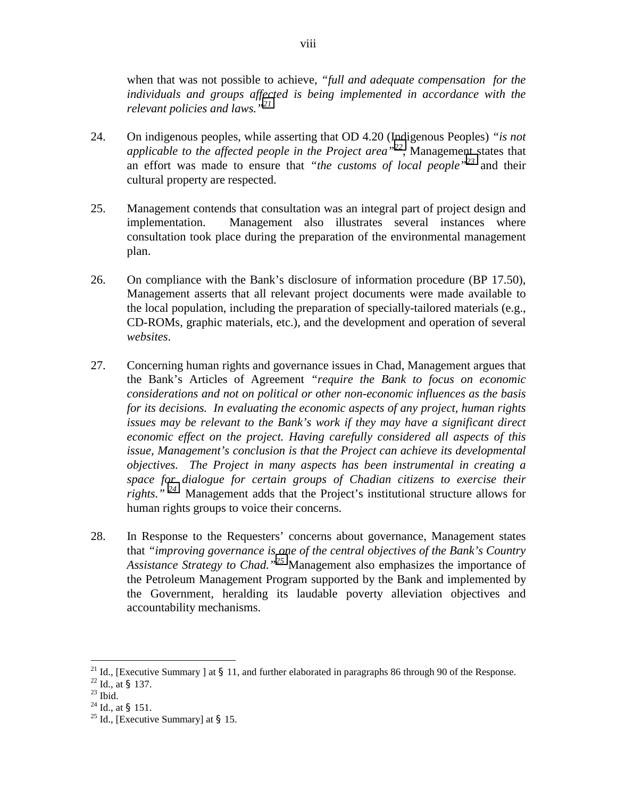when that was not possible to achieve, *"full and adequate compensation for the individuals and groups affected is being implemented in accordance with the relevant policies and laws."<sup>21</sup>*

- 24. On indigenous peoples, while asserting that OD 4.20 (Indigenous Peoples) *"is not applicable to the affected people in the Project area"<sup>22</sup>*, Management states that an effort was made to ensure that *"the customs of local people"<sup>23</sup>* and their cultural property are respected.
- 25. Management contends that consultation was an integral part of project design and implementation. Management also illustrates several instances where consultation took place during the preparation of the environmental management plan.
- 26. On compliance with the Bank's disclosure of information procedure (BP 17.50), Management asserts that all relevant project documents were made available to the local population, including the preparation of specially-tailored materials (e.g., CD-ROMs, graphic materials, etc.), and the development and operation of several *websites*.
- 27. Concerning human rights and governance issues in Chad, Management argues that the Bank's Articles of Agreement *"require the Bank to focus on economic considerations and not on political or other non-economic influences as the basis for its decisions. In evaluating the economic aspects of any project, human rights issues may be relevant to the Bank's work if they may have a significant direct economic effect on the project. Having carefully considered all aspects of this issue, Management's conclusion is that the Project can achieve its developmental objectives. The Project in many aspects has been instrumental in creating a space for dialogue for certain groups of Chadian citizens to exercise their rights."<sup>24</sup>* Management adds that the Project's institutional structure allows for human rights groups to voice their concerns.
- 28. In Response to the Requesters' concerns about governance, Management states that *"improving governance is one of the central objectives of the Bank's Country Assistance Strategy to Chad."<sup>25</sup>* Management also emphasizes the importance of the Petroleum Management Program supported by the Bank and implemented by the Government, heralding its laudable poverty alleviation objectives and accountability mechanisms.

<sup>&</sup>lt;sup>21</sup> Id., [Executive Summary ] at § 11, and further elaborated in paragraphs 86 through 90 of the Response.<br><sup>22</sup> Id., at § 137. <sup>23</sup> Ibid.

<sup>&</sup>lt;sup>24</sup> Id., at § 151.<br><sup>25</sup> Id., [Executive Summary] at § 15.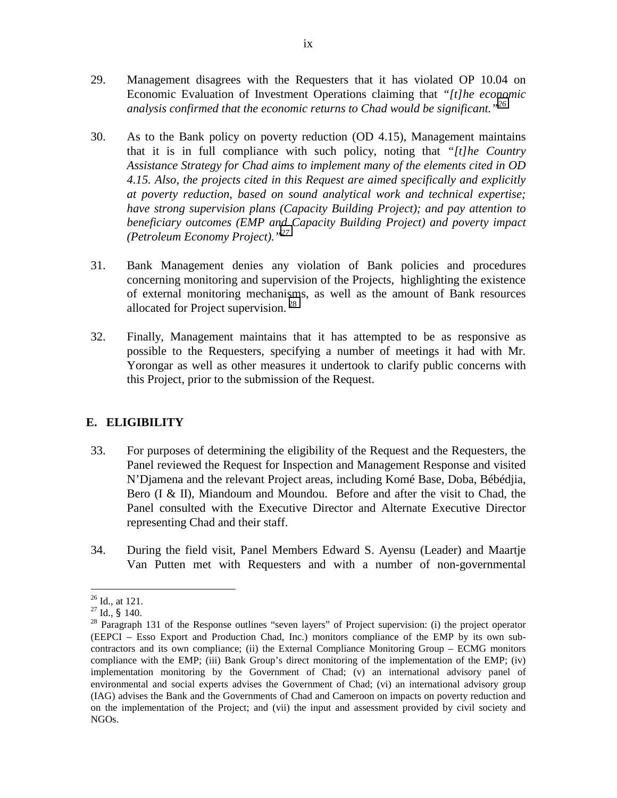- 29. Management disagrees with the Requesters that it has violated OP 10.04 on Economic Evaluation of Investment Operations claiming that *"[t]he economic analysis confirmed that the economic returns to Chad would be significant."<sup>26</sup>*
- 30. As to the Bank policy on poverty reduction (OD 4.15), Management maintains that it is in full compliance with such policy, noting that *"[t]he Country Assistance Strategy for Chad aims to implement many of the elements cited in OD 4.15. Also, the projects cited in this Request are aimed specifically and explicitly at poverty reduction, based on sound analytical work and technical expertise; have strong supervision plans (Capacity Building Project); and pay attention to beneficiary outcomes (EMP and Capacity Building Project) and poverty impact (Petroleum Economy Project)."<sup>27</sup>*
- 31. Bank Management denies any violation of Bank policies and procedures concerning monitoring and supervision of the Projects, highlighting the existence of external monitoring mechanisms, as well as the amount of Bank resources allocated for Project supervision.  $^{28}$
- 32. Finally, Management maintains that it has attempted to be as responsive as possible to the Requesters, specifying a number of meetings it had with Mr. Yorongar as well as other measures it undertook to clarify public concerns with this Project, prior to the submission of the Request.

## **E. ELIGIBILITY**

- 33. For purposes of determining the eligibility of the Request and the Requesters, the Panel reviewed the Request for Inspection and Management Response and visited N'Djamena and the relevant Project areas, including Komé Base, Doba, Bébédjia, Bero (I & II), Miandoum and Moundou. Before and after the visit to Chad, the Panel consulted with the Executive Director and Alternate Executive Director representing Chad and their staff.
- 34. During the field visit, Panel Members Edward S. Ayensu (Leader) and Maartje Van Putten met with Requesters and with a number of non-governmental

 $^{26}$  Id., at 121.

<sup>&</sup>lt;sup>27</sup> Id., § 140.<br><sup>28</sup> Paragraph 131 of the Response outlines "seven layers" of Project supervision: (i) the project operator (EEPCI – Esso Export and Production Chad, Inc.) monitors compliance of the EMP by its own subcontractors and its own compliance; (ii) the External Compliance Monitoring Group – ECMG monitors compliance with the EMP; (iii) Bank Group's direct monitoring of the implementation of the EMP; (iv) implementation monitoring by the Government of Chad; (v) an international advisory panel of environmental and social experts advises the Government of Chad; (vi) an international advisory group (IAG) advises the Bank and the Governments of Chad and Cameroon on impacts on poverty reduction and on the implementation of the Project; and (vii) the input and assessment provided by civil society and NGOs.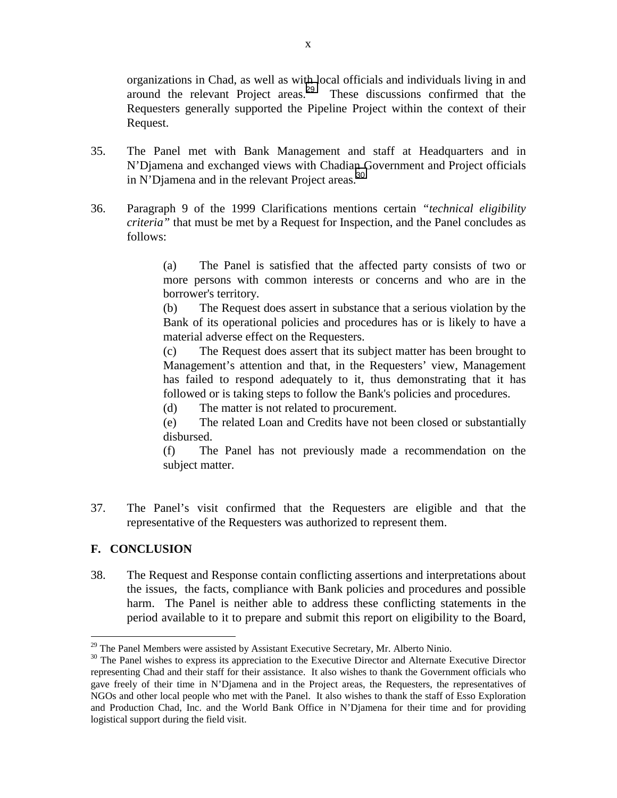organizations in Chad, as well as with local officials and individuals living in and around the relevant Project areas.<sup>29</sup> These discussions confirmed that the Requesters generally supported the Pipeline Project within the context of their Request.

- 35. The Panel met with Bank Management and staff at Headquarters and in N'Djamena and exchanged views with Chadian Government and Project officials in N'Djamena and in the relevant Project areas. $^{30}$
- 36. Paragraph 9 of the 1999 Clarifications mentions certain *"technical eligibility criteria"* that must be met by a Request for Inspection, and the Panel concludes as follows:

(a) The Panel is satisfied that the affected party consists of two or more persons with common interests or concerns and who are in the borrower's territory.

(b) The Request does assert in substance that a serious violation by the Bank of its operational policies and procedures has or is likely to have a material adverse effect on the Requesters.

(c) The Request does assert that its subject matter has been brought to Management's attention and that, in the Requesters' view, Management has failed to respond adequately to it, thus demonstrating that it has followed or is taking steps to follow the Bank's policies and procedures.

(d) The matter is not related to procurement.

(e) The related Loan and Credits have not been closed or substantially disbursed.

(f) The Panel has not previously made a recommendation on the subject matter.

37. The Panel's visit confirmed that the Requesters are eligible and that the representative of the Requesters was authorized to represent them.

## **F. CONCLUSION**

 $\overline{a}$ 

38. The Request and Response contain conflicting assertions and interpretations about the issues, the facts, compliance with Bank policies and procedures and possible harm. The Panel is neither able to address these conflicting statements in the period available to it to prepare and submit this report on eligibility to the Board,

 $29$  The Panel Members were assisted by Assistant Executive Secretary, Mr. Alberto Ninio.

<sup>&</sup>lt;sup>30</sup> The Panel wishes to express its appreciation to the Executive Director and Alternate Executive Director representing Chad and their staff for their assistance. It also wishes to thank the Government officials who gave freely of their time in N'Djamena and in the Project areas, the Requesters, the representatives of NGOs and other local people who met with the Panel. It also wishes to thank the staff of Esso Exploration and Production Chad, Inc. and the World Bank Office in N'Djamena for their time and for providing logistical support during the field visit.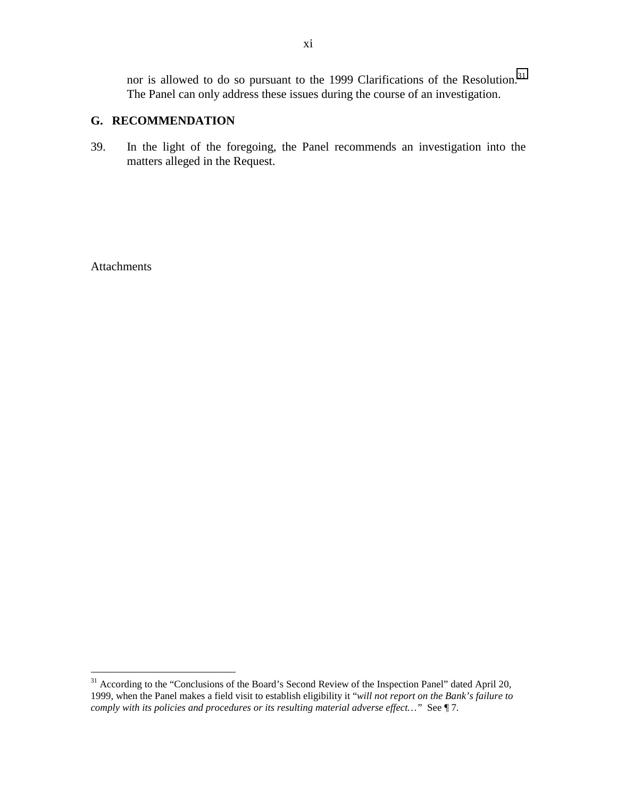nor is allowed to do so pursuant to the 1999 Clarifications of the Resolution.<sup>31</sup> The Panel can only address these issues during the course of an investigation.

### **G. RECOMMENDATION**

39. In the light of the foregoing, the Panel recommends an investigation into the matters alleged in the Request.

**Attachments** 

<sup>&</sup>lt;sup>31</sup> According to the "Conclusions of the Board's Second Review of the Inspection Panel" dated April 20, 1999, when the Panel makes a field visit to establish eligibility it "*will not report on the Bank's failure to comply with its policies and procedures or its resulting material adverse effect…"* See ¶ 7.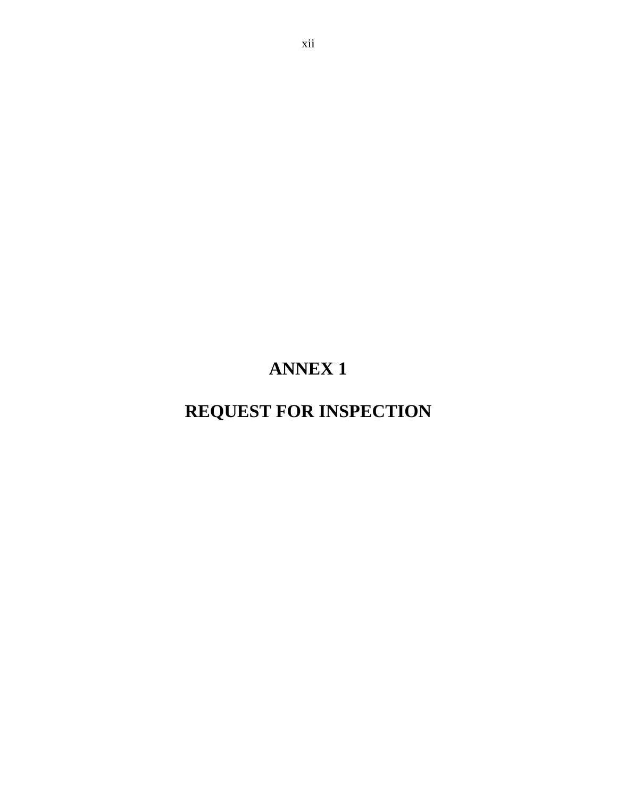# **ANNEX 1**

# **REQUEST FOR INSPECTION**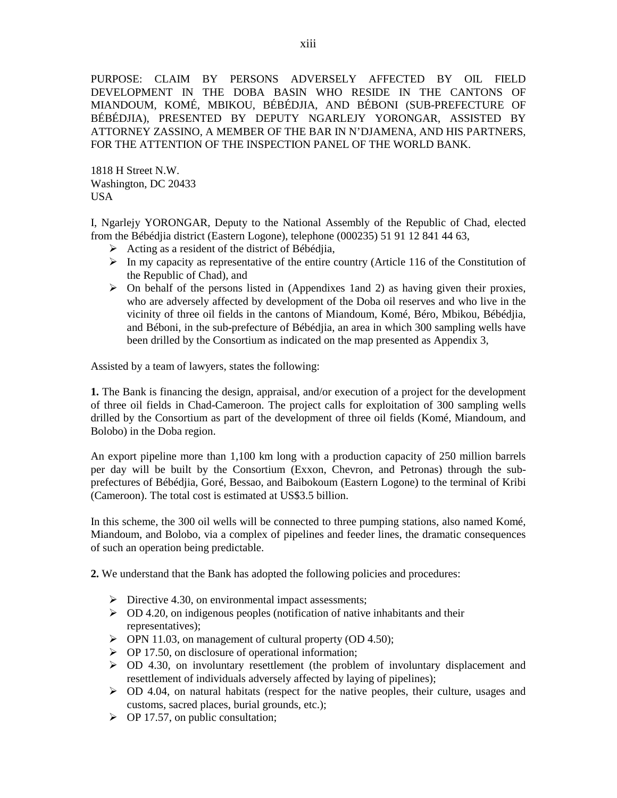PURPOSE: CLAIM BY PERSONS ADVERSELY AFFECTED BY OIL FIELD DEVELOPMENT IN THE DOBA BASIN WHO RESIDE IN THE CANTONS OF MIANDOUM, KOMÉ, MBIKOU, BÉBÉDJIA, AND BÉBONI (SUB-PREFECTURE OF BÉBÉDJIA), PRESENTED BY DEPUTY NGARLEJY YORONGAR, ASSISTED BY ATTORNEY ZASSINO, A MEMBER OF THE BAR IN N'DJAMENA, AND HIS PARTNERS, FOR THE ATTENTION OF THE INSPECTION PANEL OF THE WORLD BANK.

1818 H Street N.W. Washington, DC 20433 USA

I, Ngarlejy YORONGAR, Deputy to the National Assembly of the Republic of Chad, elected from the Bébédjia district (Eastern Logone), telephone (000235) 51 91 12 841 44 63,

- $\triangleright$  Acting as a resident of the district of Bébédjia,
- $\triangleright$  In my capacity as representative of the entire country (Article 116 of the Constitution of the Republic of Chad), and
- $\triangleright$  On behalf of the persons listed in (Appendixes 1and 2) as having given their proxies, who are adversely affected by development of the Doba oil reserves and who live in the vicinity of three oil fields in the cantons of Miandoum, Komé, Béro, Mbikou, Bébédjia, and Béboni, in the sub-prefecture of Bébédjia, an area in which 300 sampling wells have been drilled by the Consortium as indicated on the map presented as Appendix 3,

Assisted by a team of lawyers, states the following:

**1.** The Bank is financing the design, appraisal, and/or execution of a project for the development of three oil fields in Chad-Cameroon. The project calls for exploitation of 300 sampling wells drilled by the Consortium as part of the development of three oil fields (Komé, Miandoum, and Bolobo) in the Doba region.

An export pipeline more than 1,100 km long with a production capacity of 250 million barrels per day will be built by the Consortium (Exxon, Chevron, and Petronas) through the subprefectures of Bébédjia, Goré, Bessao, and Baibokoum (Eastern Logone) to the terminal of Kribi (Cameroon). The total cost is estimated at US\$3.5 billion.

In this scheme, the 300 oil wells will be connected to three pumping stations, also named Komé, Miandoum, and Bolobo, via a complex of pipelines and feeder lines, the dramatic consequences of such an operation being predictable.

**2.** We understand that the Bank has adopted the following policies and procedures:

- $\triangleright$  Directive 4.30, on environmental impact assessments;
- $\geq$  OD 4.20, on indigenous peoples (notification of native inhabitants and their representatives);
- $\triangleright$  OPN 11.03, on management of cultural property (OD 4.50);
- $\triangleright$  OP 17.50, on disclosure of operational information;
- $\geq$  OD 4.30, on involuntary resettlement (the problem of involuntary displacement and resettlement of individuals adversely affected by laying of pipelines);
- $\geq$  OD 4.04, on natural habitats (respect for the native peoples, their culture, usages and customs, sacred places, burial grounds, etc.);
- $\triangleright$  OP 17.57, on public consultation;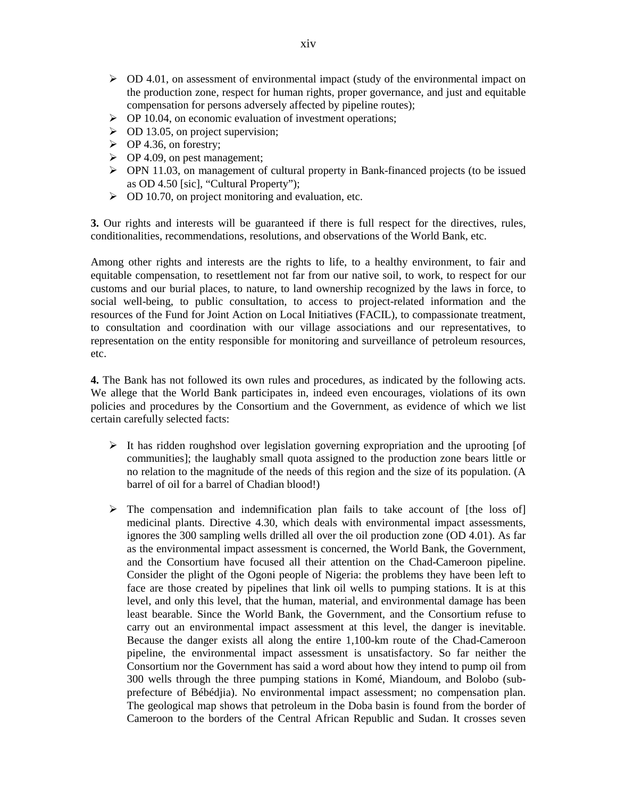- $\geq$  OD 4.01, on assessment of environmental impact (study of the environmental impact on the production zone, respect for human rights, proper governance, and just and equitable compensation for persons adversely affected by pipeline routes);
- $\triangleright$  OP 10.04, on economic evaluation of investment operations;
- $\geq$  OD 13.05, on project supervision;
- $\triangleright$  OP 4.36, on forestry;
- $\triangleright$  OP 4.09, on pest management;
- ! OPN 11.03, on management of cultural property in Bank-financed projects (to be issued as OD 4.50 [sic], "Cultural Property");
- $\geq$  OD 10.70, on project monitoring and evaluation, etc.

**3.** Our rights and interests will be guaranteed if there is full respect for the directives, rules, conditionalities, recommendations, resolutions, and observations of the World Bank, etc.

Among other rights and interests are the rights to life, to a healthy environment, to fair and equitable compensation, to resettlement not far from our native soil, to work, to respect for our customs and our burial places, to nature, to land ownership recognized by the laws in force, to social well-being, to public consultation, to access to project-related information and the resources of the Fund for Joint Action on Local Initiatives (FACIL), to compassionate treatment, to consultation and coordination with our village associations and our representatives, to representation on the entity responsible for monitoring and surveillance of petroleum resources, etc.

**4.** The Bank has not followed its own rules and procedures, as indicated by the following acts. We allege that the World Bank participates in, indeed even encourages, violations of its own policies and procedures by the Consortium and the Government, as evidence of which we list certain carefully selected facts:

- $\triangleright$  It has ridden roughshod over legislation governing expropriation and the uprooting [of communities]; the laughably small quota assigned to the production zone bears little or no relation to the magnitude of the needs of this region and the size of its population. (A barrel of oil for a barrel of Chadian blood!)
- $\triangleright$  The compensation and indemnification plan fails to take account of [the loss of] medicinal plants. Directive 4.30, which deals with environmental impact assessments, ignores the 300 sampling wells drilled all over the oil production zone (OD 4.01). As far as the environmental impact assessment is concerned, the World Bank, the Government, and the Consortium have focused all their attention on the Chad-Cameroon pipeline. Consider the plight of the Ogoni people of Nigeria: the problems they have been left to face are those created by pipelines that link oil wells to pumping stations. It is at this level, and only this level, that the human, material, and environmental damage has been least bearable. Since the World Bank, the Government, and the Consortium refuse to carry out an environmental impact assessment at this level, the danger is inevitable. Because the danger exists all along the entire 1,100-km route of the Chad-Cameroon pipeline, the environmental impact assessment is unsatisfactory. So far neither the Consortium nor the Government has said a word about how they intend to pump oil from 300 wells through the three pumping stations in Komé, Miandoum, and Bolobo (subprefecture of Bébédjia). No environmental impact assessment; no compensation plan. The geological map shows that petroleum in the Doba basin is found from the border of Cameroon to the borders of the Central African Republic and Sudan. It crosses seven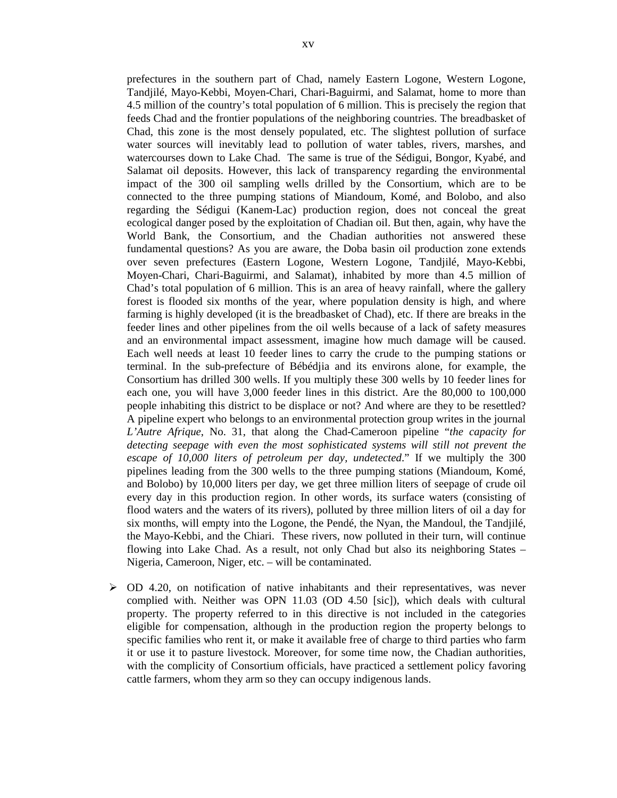prefectures in the southern part of Chad, namely Eastern Logone, Western Logone, Tandjilé, Mayo-Kebbi, Moyen-Chari, Chari-Baguirmi, and Salamat, home to more than 4.5 million of the country's total population of 6 million. This is precisely the region that feeds Chad and the frontier populations of the neighboring countries. The breadbasket of Chad, this zone is the most densely populated, etc. The slightest pollution of surface water sources will inevitably lead to pollution of water tables, rivers, marshes, and watercourses down to Lake Chad. The same is true of the Sédigui, Bongor, Kyabé, and Salamat oil deposits. However, this lack of transparency regarding the environmental impact of the 300 oil sampling wells drilled by the Consortium, which are to be connected to the three pumping stations of Miandoum, Komé, and Bolobo, and also regarding the Sédigui (Kanem-Lac) production region, does not conceal the great ecological danger posed by the exploitation of Chadian oil. But then, again, why have the World Bank, the Consortium, and the Chadian authorities not answered these fundamental questions? As you are aware, the Doba basin oil production zone extends over seven prefectures (Eastern Logone, Western Logone, Tandjilé, Mayo-Kebbi, Moyen-Chari, Chari-Baguirmi, and Salamat), inhabited by more than 4.5 million of Chad's total population of 6 million. This is an area of heavy rainfall, where the gallery forest is flooded six months of the year, where population density is high, and where farming is highly developed (it is the breadbasket of Chad), etc. If there are breaks in the feeder lines and other pipelines from the oil wells because of a lack of safety measures and an environmental impact assessment, imagine how much damage will be caused. Each well needs at least 10 feeder lines to carry the crude to the pumping stations or terminal. In the sub-prefecture of Bébédjia and its environs alone, for example, the Consortium has drilled 300 wells. If you multiply these 300 wells by 10 feeder lines for each one, you will have 3,000 feeder lines in this district. Are the 80,000 to 100,000 people inhabiting this district to be displace or not? And where are they to be resettled? A pipeline expert who belongs to an environmental protection group writes in the journal *L'Autre Afrique*, No. 31, that along the Chad-Cameroon pipeline "*the capacity for detecting seepage with even the most sophisticated systems will still not prevent the escape of 10,000 liters of petroleum per day, undetected*." If we multiply the 300 pipelines leading from the 300 wells to the three pumping stations (Miandoum, Komé, and Bolobo) by 10,000 liters per day, we get three million liters of seepage of crude oil every day in this production region. In other words, its surface waters (consisting of flood waters and the waters of its rivers), polluted by three million liters of oil a day for six months, will empty into the Logone, the Pendé, the Nyan, the Mandoul, the Tandjilé, the Mayo-Kebbi, and the Chiari. These rivers, now polluted in their turn, will continue flowing into Lake Chad. As a result, not only Chad but also its neighboring States – Nigeria, Cameroon, Niger, etc. – will be contaminated.

 $\geq$  OD 4.20, on notification of native inhabitants and their representatives, was never complied with. Neither was OPN 11.03 (OD 4.50 [sic]), which deals with cultural property. The property referred to in this directive is not included in the categories eligible for compensation, although in the production region the property belongs to specific families who rent it, or make it available free of charge to third parties who farm it or use it to pasture livestock. Moreover, for some time now, the Chadian authorities, with the complicity of Consortium officials, have practiced a settlement policy favoring cattle farmers, whom they arm so they can occupy indigenous lands.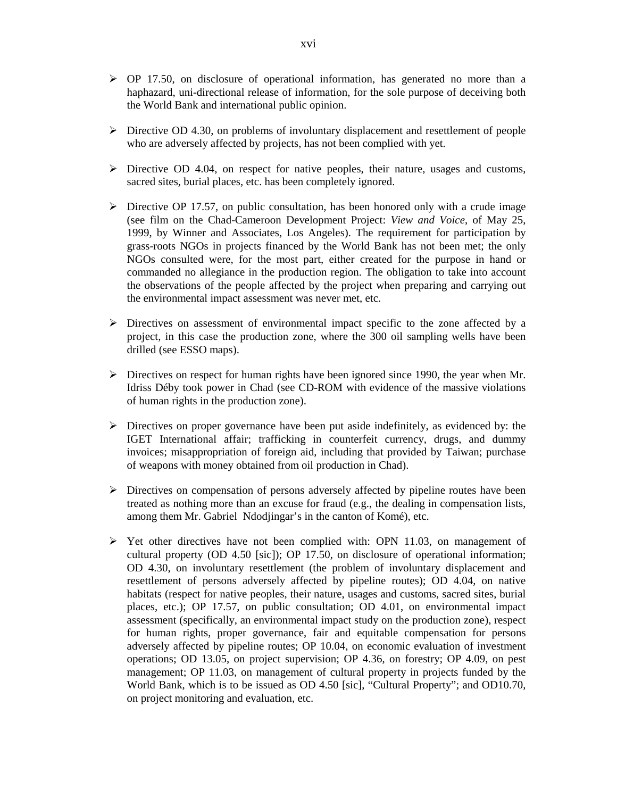- $\geq$  OP 17.50, on disclosure of operational information, has generated no more than a haphazard, uni-directional release of information, for the sole purpose of deceiving both the World Bank and international public opinion.
- $\triangleright$  Directive OD 4.30, on problems of involuntary displacement and resettlement of people who are adversely affected by projects, has not been complied with yet.
- $\triangleright$  Directive OD 4.04, on respect for native peoples, their nature, usages and customs, sacred sites, burial places, etc. has been completely ignored.
- $\triangleright$  Directive OP 17.57, on public consultation, has been honored only with a crude image (see film on the Chad-Cameroon Development Project: *View and Voice*, of May 25, 1999, by Winner and Associates, Los Angeles). The requirement for participation by grass-roots NGOs in projects financed by the World Bank has not been met; the only NGOs consulted were, for the most part, either created for the purpose in hand or commanded no allegiance in the production region. The obligation to take into account the observations of the people affected by the project when preparing and carrying out the environmental impact assessment was never met, etc.
- $\triangleright$  Directives on assessment of environmental impact specific to the zone affected by a project, in this case the production zone, where the 300 oil sampling wells have been drilled (see ESSO maps).
- $\triangleright$  Directives on respect for human rights have been ignored since 1990, the year when Mr. Idriss Déby took power in Chad (see CD-ROM with evidence of the massive violations of human rights in the production zone).
- $\triangleright$  Directives on proper governance have been put aside indefinitely, as evidenced by: the IGET International affair; trafficking in counterfeit currency, drugs, and dummy invoices; misappropriation of foreign aid, including that provided by Taiwan; purchase of weapons with money obtained from oil production in Chad).
- $\triangleright$  Directives on compensation of persons adversely affected by pipeline routes have been treated as nothing more than an excuse for fraud (e.g., the dealing in compensation lists, among them Mr. Gabriel Ndodjingar's in the canton of Komé), etc.
- $\triangleright$  Yet other directives have not been complied with: OPN 11.03, on management of cultural property (OD 4.50 [sic]); OP 17.50, on disclosure of operational information; OD 4.30, on involuntary resettlement (the problem of involuntary displacement and resettlement of persons adversely affected by pipeline routes); OD 4.04, on native habitats (respect for native peoples, their nature, usages and customs, sacred sites, burial places, etc.); OP 17.57, on public consultation; OD 4.01, on environmental impact assessment (specifically, an environmental impact study on the production zone), respect for human rights, proper governance, fair and equitable compensation for persons adversely affected by pipeline routes; OP 10.04, on economic evaluation of investment operations; OD 13.05, on project supervision; OP 4.36, on forestry; OP 4.09, on pest management; OP 11.03, on management of cultural property in projects funded by the World Bank, which is to be issued as OD 4.50 [sic], "Cultural Property"; and OD10.70, on project monitoring and evaluation, etc.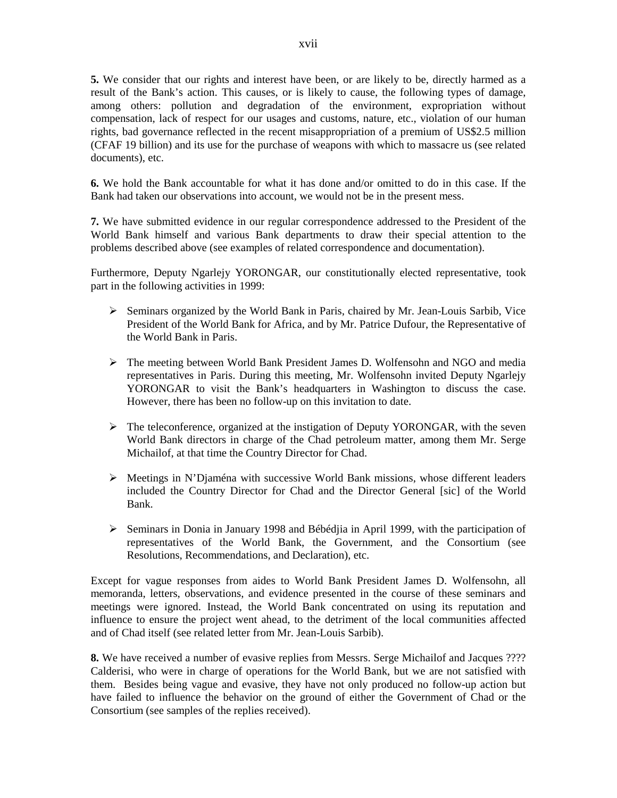**5.** We consider that our rights and interest have been, or are likely to be, directly harmed as a result of the Bank's action. This causes, or is likely to cause, the following types of damage, among others: pollution and degradation of the environment, expropriation without compensation, lack of respect for our usages and customs, nature, etc., violation of our human rights, bad governance reflected in the recent misappropriation of a premium of US\$2.5 million (CFAF 19 billion) and its use for the purchase of weapons with which to massacre us (see related documents), etc.

**6.** We hold the Bank accountable for what it has done and/or omitted to do in this case. If the Bank had taken our observations into account, we would not be in the present mess.

**7.** We have submitted evidence in our regular correspondence addressed to the President of the World Bank himself and various Bank departments to draw their special attention to the problems described above (see examples of related correspondence and documentation).

Furthermore, Deputy Ngarlejy YORONGAR, our constitutionally elected representative, took part in the following activities in 1999:

- $\triangleright$  Seminars organized by the World Bank in Paris, chaired by Mr. Jean-Louis Sarbib, Vice President of the World Bank for Africa, and by Mr. Patrice Dufour, the Representative of the World Bank in Paris.
- $\triangleright$  The meeting between World Bank President James D. Wolfensohn and NGO and media representatives in Paris. During this meeting, Mr. Wolfensohn invited Deputy Ngarlejy YORONGAR to visit the Bank's headquarters in Washington to discuss the case. However, there has been no follow-up on this invitation to date.
- $\triangleright$  The teleconference, organized at the instigation of Deputy YORONGAR, with the seven World Bank directors in charge of the Chad petroleum matter, among them Mr. Serge Michailof, at that time the Country Director for Chad.
- $\triangleright$  Meetings in N'Djaména with successive World Bank missions, whose different leaders included the Country Director for Chad and the Director General [sic] of the World Bank.
- $\triangleright$  Seminars in Donia in January 1998 and Bébédjia in April 1999, with the participation of representatives of the World Bank, the Government, and the Consortium (see Resolutions, Recommendations, and Declaration), etc.

Except for vague responses from aides to World Bank President James D. Wolfensohn, all memoranda, letters, observations, and evidence presented in the course of these seminars and meetings were ignored. Instead, the World Bank concentrated on using its reputation and influence to ensure the project went ahead, to the detriment of the local communities affected and of Chad itself (see related letter from Mr. Jean-Louis Sarbib).

**8.** We have received a number of evasive replies from Messrs. Serge Michailof and Jacques ???? Calderisi, who were in charge of operations for the World Bank, but we are not satisfied with them. Besides being vague and evasive, they have not only produced no follow-up action but have failed to influence the behavior on the ground of either the Government of Chad or the Consortium (see samples of the replies received).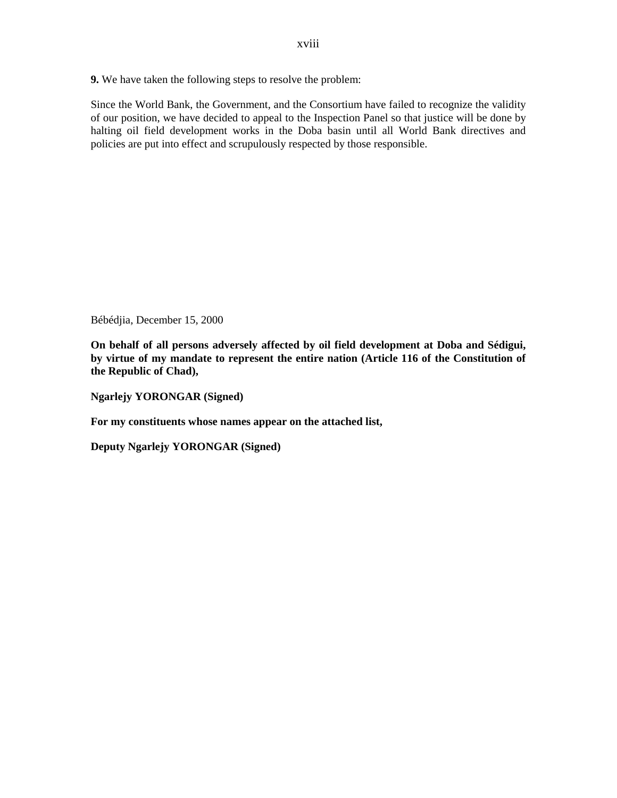**9.** We have taken the following steps to resolve the problem:

Since the World Bank, the Government, and the Consortium have failed to recognize the validity of our position, we have decided to appeal to the Inspection Panel so that justice will be done by halting oil field development works in the Doba basin until all World Bank directives and policies are put into effect and scrupulously respected by those responsible.

Bébédjia, December 15, 2000

**On behalf of all persons adversely affected by oil field development at Doba and Sédigui, by virtue of my mandate to represent the entire nation (Article 116 of the Constitution of the Republic of Chad),** 

**Ngarlejy YORONGAR (Signed)** 

**For my constituents whose names appear on the attached list,** 

**Deputy Ngarlejy YORONGAR (Signed)**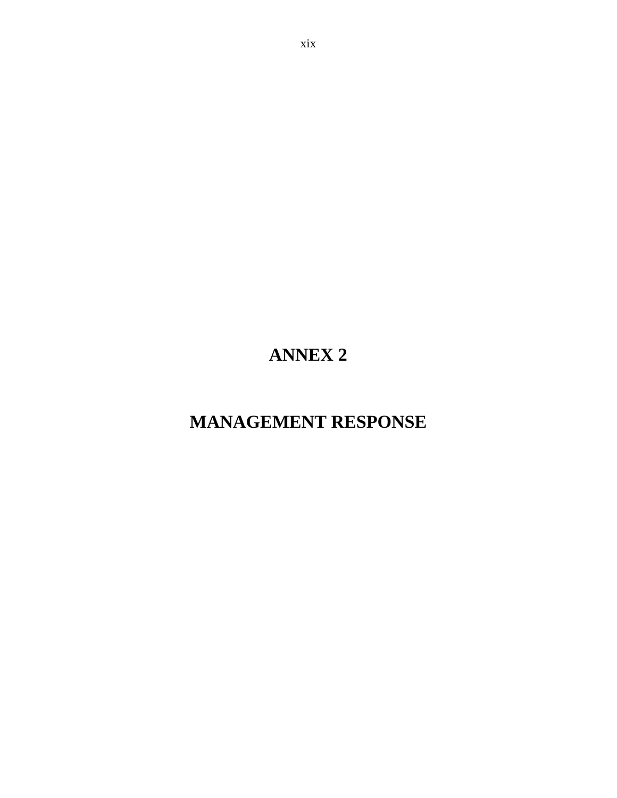# **ANNEX 2**

## **MANAGEMENT RESPONSE**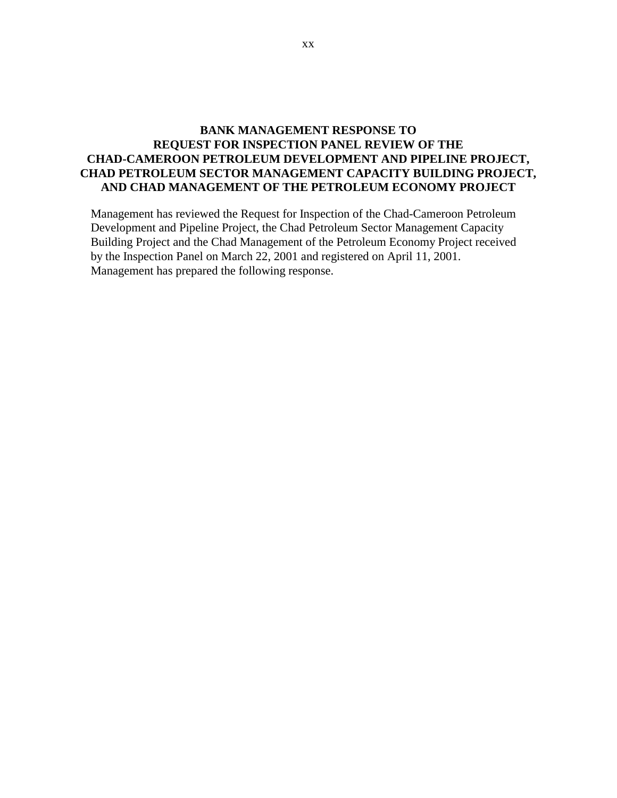## **BANK MANAGEMENT RESPONSE TO REQUEST FOR INSPECTION PANEL REVIEW OF THE CHAD-CAMEROON PETROLEUM DEVELOPMENT AND PIPELINE PROJECT, CHAD PETROLEUM SECTOR MANAGEMENT CAPACITY BUILDING PROJECT, AND CHAD MANAGEMENT OF THE PETROLEUM ECONOMY PROJECT**

Management has reviewed the Request for Inspection of the Chad-Cameroon Petroleum Development and Pipeline Project, the Chad Petroleum Sector Management Capacity Building Project and the Chad Management of the Petroleum Economy Project received by the Inspection Panel on March 22, 2001 and registered on April 11, 2001. Management has prepared the following response.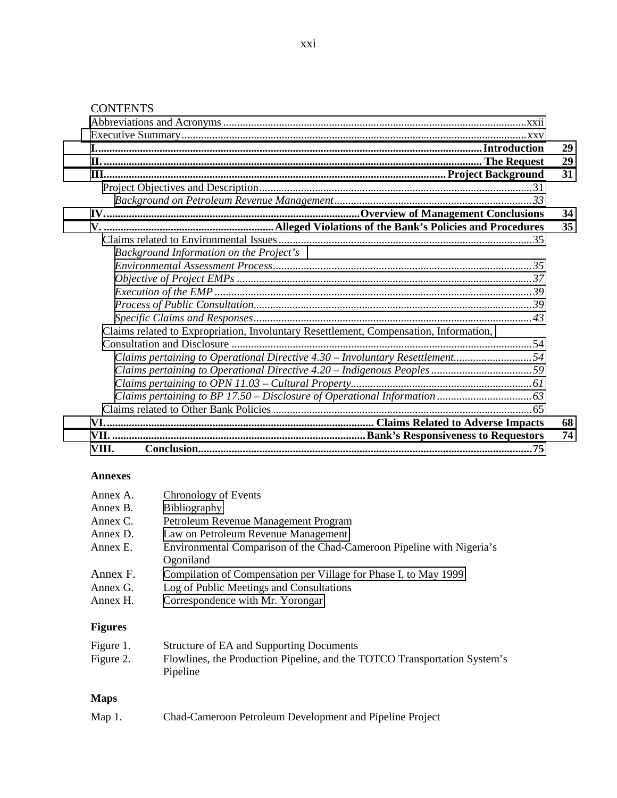## **CONTENTS**

|                                                                                       | 29 |
|---------------------------------------------------------------------------------------|----|
|                                                                                       | 29 |
|                                                                                       | 31 |
|                                                                                       |    |
|                                                                                       |    |
|                                                                                       | 34 |
|                                                                                       | 35 |
|                                                                                       |    |
| Background Information on the Project's                                               |    |
|                                                                                       |    |
|                                                                                       |    |
|                                                                                       |    |
|                                                                                       |    |
|                                                                                       |    |
| Claims related to Expropriation, Involuntary Resettlement, Compensation, Information, |    |
|                                                                                       |    |
|                                                                                       |    |
|                                                                                       |    |
|                                                                                       |    |
|                                                                                       |    |
|                                                                                       |    |
|                                                                                       | 68 |
|                                                                                       | 74 |
| VIII.                                                                                 |    |

#### **Annexes**

| Annex A.               | Chronology of Events                                                  |
|------------------------|-----------------------------------------------------------------------|
| Annex B.               | Bibliography                                                          |
| Annex C.               | Petroleum Revenue Management Program                                  |
| Annex D.               | Law on Petroleum Revenue Management                                   |
| Annex E.               | Environmental Comparison of the Chad-Cameroon Pipeline with Nigeria's |
|                        | Ogoniland                                                             |
| Annex F.               | Compilation of Compensation per Village for Phase I, to May 1999      |
| Annex G.               | Log of Public Meetings and Consultations                              |
| Annex H.               | Correspondence with Mr. Yorongar                                      |
| $\Gamma$ $\sim$ $\sim$ |                                                                       |

#### **Figures**

| Figure 1. | Structure of EA and Supporting Documents                                  |
|-----------|---------------------------------------------------------------------------|
| Figure 2. | Flowlines, the Production Pipeline, and the TOTCO Transportation System's |
|           | Pipeline                                                                  |

## **Maps**

| Map 1. | Chad-Cameroon Petroleum Development and Pipeline Project |  |  |
|--------|----------------------------------------------------------|--|--|
|--------|----------------------------------------------------------|--|--|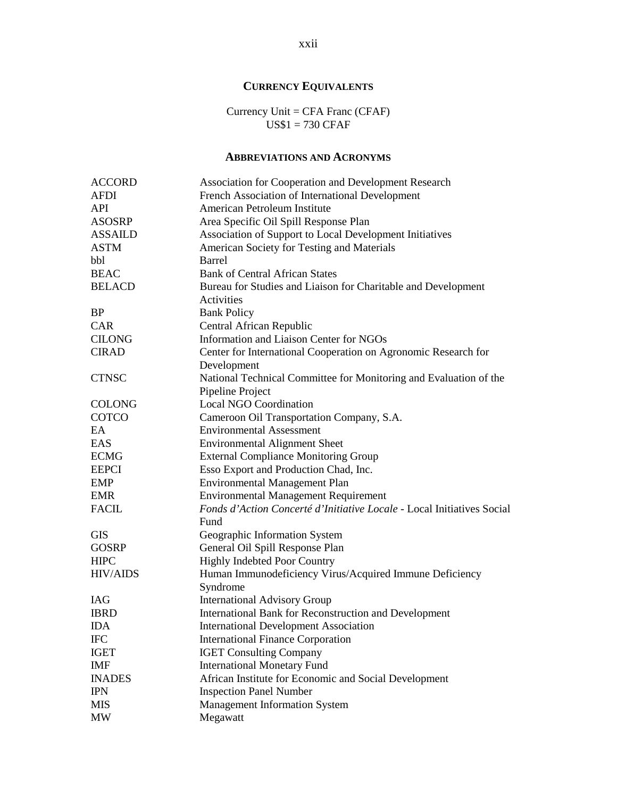## **CURRENCY EQUIVALENTS**

Currency Unit = CFA Franc (CFAF) US\$1 = 730 CFAF

## **ABBREVIATIONS AND ACRONYMS**

<span id="page-21-0"></span>

| <b>ACCORD</b>   | Association for Cooperation and Development Research                   |  |  |
|-----------------|------------------------------------------------------------------------|--|--|
| <b>AFDI</b>     | French Association of International Development                        |  |  |
| <b>API</b>      | American Petroleum Institute                                           |  |  |
| <b>ASOSRP</b>   | Area Specific Oil Spill Response Plan                                  |  |  |
| <b>ASSAILD</b>  | Association of Support to Local Development Initiatives                |  |  |
| <b>ASTM</b>     | American Society for Testing and Materials                             |  |  |
| bbl             | Barrel                                                                 |  |  |
| <b>BEAC</b>     | <b>Bank of Central African States</b>                                  |  |  |
| <b>BELACD</b>   | Bureau for Studies and Liaison for Charitable and Development          |  |  |
|                 | Activities                                                             |  |  |
| <b>BP</b>       | <b>Bank Policy</b>                                                     |  |  |
| <b>CAR</b>      | Central African Republic                                               |  |  |
| <b>CILONG</b>   | Information and Liaison Center for NGOs                                |  |  |
| <b>CIRAD</b>    | Center for International Cooperation on Agronomic Research for         |  |  |
|                 | Development                                                            |  |  |
| <b>CTNSC</b>    | National Technical Committee for Monitoring and Evaluation of the      |  |  |
|                 | Pipeline Project                                                       |  |  |
| <b>COLONG</b>   | <b>Local NGO Coordination</b>                                          |  |  |
| COTCO           | Cameroon Oil Transportation Company, S.A.                              |  |  |
| EA              | <b>Environmental Assessment</b>                                        |  |  |
| EAS             | <b>Environmental Alignment Sheet</b>                                   |  |  |
| <b>ECMG</b>     | <b>External Compliance Monitoring Group</b>                            |  |  |
| <b>EEPCI</b>    | Esso Export and Production Chad, Inc.                                  |  |  |
| <b>EMP</b>      | Environmental Management Plan                                          |  |  |
| <b>EMR</b>      | <b>Environmental Management Requirement</b>                            |  |  |
| <b>FACIL</b>    | Fonds d'Action Concerté d'Initiative Locale - Local Initiatives Social |  |  |
|                 | Fund                                                                   |  |  |
| <b>GIS</b>      | Geographic Information System                                          |  |  |
| <b>GOSRP</b>    | General Oil Spill Response Plan                                        |  |  |
| <b>HIPC</b>     | <b>Highly Indebted Poor Country</b>                                    |  |  |
| <b>HIV/AIDS</b> | Human Immunodeficiency Virus/Acquired Immune Deficiency                |  |  |
|                 | Syndrome                                                               |  |  |
| <b>IAG</b>      | <b>International Advisory Group</b>                                    |  |  |
| <b>IBRD</b>     | International Bank for Reconstruction and Development                  |  |  |
| <b>IDA</b>      | <b>International Development Association</b>                           |  |  |
| <b>IFC</b>      | <b>International Finance Corporation</b>                               |  |  |
| <b>IGET</b>     | <b>IGET Consulting Company</b>                                         |  |  |
| <b>IMF</b>      | <b>International Monetary Fund</b>                                     |  |  |
| <b>INADES</b>   | African Institute for Economic and Social Development                  |  |  |
| <b>IPN</b>      | <b>Inspection Panel Number</b>                                         |  |  |
| <b>MIS</b>      | Management Information System                                          |  |  |
| <b>MW</b>       | Megawatt                                                               |  |  |

xxii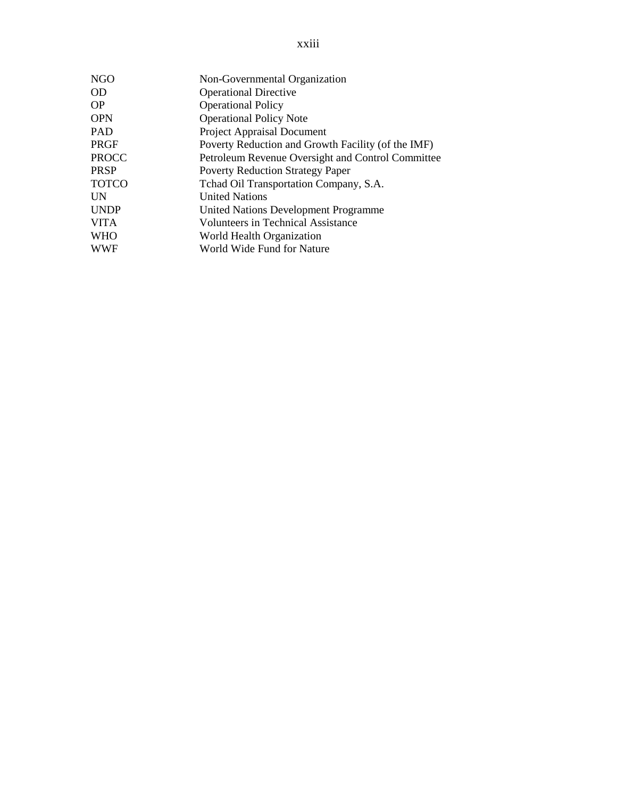| <b>NGO</b>   | Non-Governmental Organization                      |
|--------------|----------------------------------------------------|
| <b>OD</b>    | <b>Operational Directive</b>                       |
| <b>OP</b>    | <b>Operational Policy</b>                          |
| <b>OPN</b>   | <b>Operational Policy Note</b>                     |
| PAD          | Project Appraisal Document                         |
| PRGF         | Poverty Reduction and Growth Facility (of the IMF) |
| <b>PROCC</b> | Petroleum Revenue Oversight and Control Committee  |
| PRSP         | <b>Poverty Reduction Strategy Paper</b>            |
| <b>TOTCO</b> | Tchad Oil Transportation Company, S.A.             |
| UN           | <b>United Nations</b>                              |
| <b>UNDP</b>  | <b>United Nations Development Programme</b>        |
| <b>VITA</b>  | <b>Volunteers in Technical Assistance</b>          |
| WHO          | World Health Organization                          |
| WWF          | World Wide Fund for Nature                         |
|              |                                                    |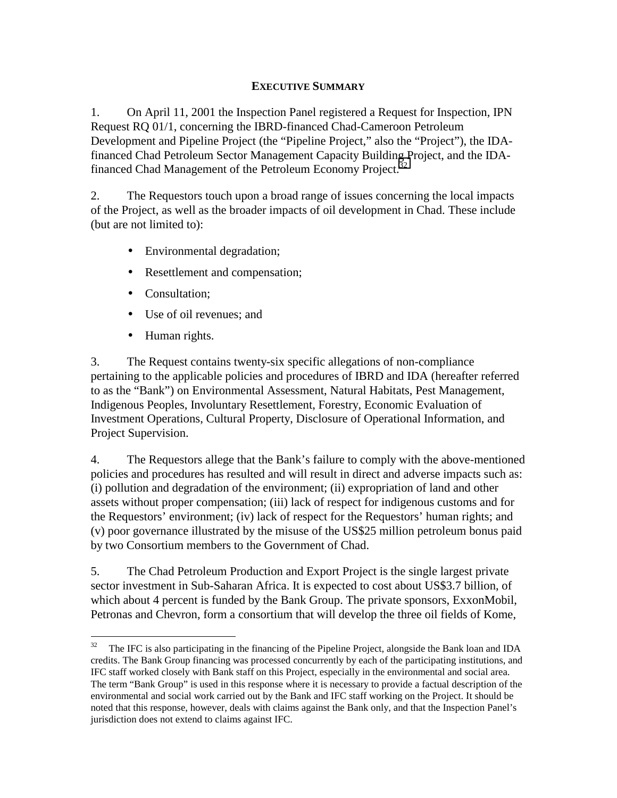## **EXECUTIVE SUMMARY**

<span id="page-24-0"></span>1. On April 11, 2001 the Inspection Panel registered a Request for Inspection, IPN Request RQ 01/1, concerning the IBRD-financed Chad-Cameroon Petroleum Development and Pipeline Project (the "Pipeline Project," also the "Project"), the IDAfinanced Chad Petroleum Sector Management Capacity Building Project, and the IDAfinanced Chad Management of the Petroleum Economy Project.<sup>32</sup>

2. The Requestors touch upon a broad range of issues concerning the local impacts of the Project, as well as the broader impacts of oil development in Chad. These include (but are not limited to):

- Environmental degradation;
- Resettlement and compensation;
- Consultation;
- Use of oil revenues; and
- Human rights.

 $\overline{a}$ 

3. The Request contains twenty-six specific allegations of non-compliance pertaining to the applicable policies and procedures of IBRD and IDA (hereafter referred to as the "Bank") on Environmental Assessment, Natural Habitats, Pest Management, Indigenous Peoples, Involuntary Resettlement, Forestry, Economic Evaluation of Investment Operations, Cultural Property, Disclosure of Operational Information, and Project Supervision.

4. The Requestors allege that the Bank's failure to comply with the above-mentioned policies and procedures has resulted and will result in direct and adverse impacts such as: (i) pollution and degradation of the environment; (ii) expropriation of land and other assets without proper compensation; (iii) lack of respect for indigenous customs and for the Requestors' environment; (iv) lack of respect for the Requestors' human rights; and (v) poor governance illustrated by the misuse of the US\$25 million petroleum bonus paid by two Consortium members to the Government of Chad.

5. The Chad Petroleum Production and Export Project is the single largest private sector investment in Sub-Saharan Africa. It is expected to cost about US\$3.7 billion, of which about 4 percent is funded by the Bank Group. The private sponsors, ExxonMobil, Petronas and Chevron, form a consortium that will develop the three oil fields of Kome,

 $32$  The IFC is also participating in the financing of the Pipeline Project, alongside the Bank loan and IDA credits. The Bank Group financing was processed concurrently by each of the participating institutions, and IFC staff worked closely with Bank staff on this Project, especially in the environmental and social area. The term "Bank Group" is used in this response where it is necessary to provide a factual description of the environmental and social work carried out by the Bank and IFC staff working on the Project. It should be noted that this response, however, deals with claims against the Bank only, and that the Inspection Panel's jurisdiction does not extend to claims against IFC.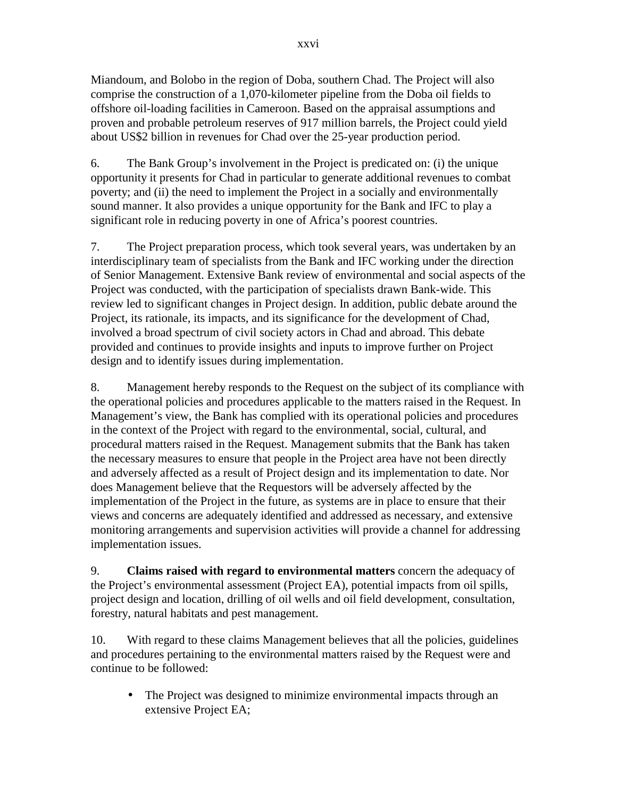Miandoum, and Bolobo in the region of Doba, southern Chad. The Project will also comprise the construction of a 1,070-kilometer pipeline from the Doba oil fields to offshore oil-loading facilities in Cameroon. Based on the appraisal assumptions and proven and probable petroleum reserves of 917 million barrels, the Project could yield about US\$2 billion in revenues for Chad over the 25-year production period.

6. The Bank Group's involvement in the Project is predicated on: (i) the unique opportunity it presents for Chad in particular to generate additional revenues to combat poverty; and (ii) the need to implement the Project in a socially and environmentally sound manner. It also provides a unique opportunity for the Bank and IFC to play a significant role in reducing poverty in one of Africa's poorest countries.

7. The Project preparation process, which took several years, was undertaken by an interdisciplinary team of specialists from the Bank and IFC working under the direction of Senior Management. Extensive Bank review of environmental and social aspects of the Project was conducted, with the participation of specialists drawn Bank-wide. This review led to significant changes in Project design. In addition, public debate around the Project, its rationale, its impacts, and its significance for the development of Chad, involved a broad spectrum of civil society actors in Chad and abroad. This debate provided and continues to provide insights and inputs to improve further on Project design and to identify issues during implementation.

8. Management hereby responds to the Request on the subject of its compliance with the operational policies and procedures applicable to the matters raised in the Request. In Management's view, the Bank has complied with its operational policies and procedures in the context of the Project with regard to the environmental, social, cultural, and procedural matters raised in the Request. Management submits that the Bank has taken the necessary measures to ensure that people in the Project area have not been directly and adversely affected as a result of Project design and its implementation to date. Nor does Management believe that the Requestors will be adversely affected by the implementation of the Project in the future, as systems are in place to ensure that their views and concerns are adequately identified and addressed as necessary, and extensive monitoring arrangements and supervision activities will provide a channel for addressing implementation issues.

9. **Claims raised with regard to environmental matters** concern the adequacy of the Project's environmental assessment (Project EA), potential impacts from oil spills, project design and location, drilling of oil wells and oil field development, consultation, forestry, natural habitats and pest management.

10. With regard to these claims Management believes that all the policies, guidelines and procedures pertaining to the environmental matters raised by the Request were and continue to be followed:

• The Project was designed to minimize environmental impacts through an extensive Project EA;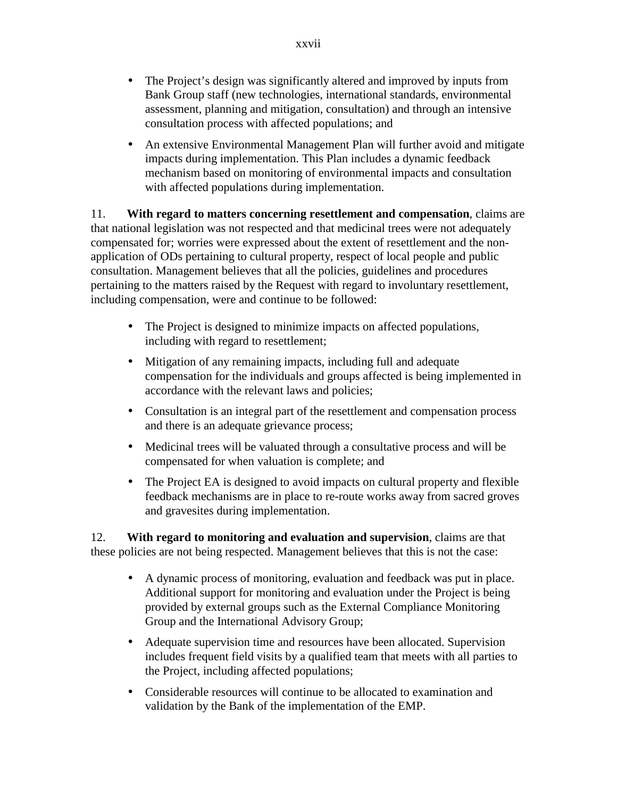- The Project's design was significantly altered and improved by inputs from Bank Group staff (new technologies, international standards, environmental assessment, planning and mitigation, consultation) and through an intensive consultation process with affected populations; and
- An extensive Environmental Management Plan will further avoid and mitigate impacts during implementation. This Plan includes a dynamic feedback mechanism based on monitoring of environmental impacts and consultation with affected populations during implementation.

11. **With regard to matters concerning resettlement and compensation**, claims are that national legislation was not respected and that medicinal trees were not adequately compensated for; worries were expressed about the extent of resettlement and the nonapplication of ODs pertaining to cultural property, respect of local people and public consultation. Management believes that all the policies, guidelines and procedures pertaining to the matters raised by the Request with regard to involuntary resettlement, including compensation, were and continue to be followed:

- The Project is designed to minimize impacts on affected populations, including with regard to resettlement;
- Mitigation of any remaining impacts, including full and adequate compensation for the individuals and groups affected is being implemented in accordance with the relevant laws and policies;
- Consultation is an integral part of the resettlement and compensation process and there is an adequate grievance process;
- Medicinal trees will be valuated through a consultative process and will be compensated for when valuation is complete; and
- The Project EA is designed to avoid impacts on cultural property and flexible feedback mechanisms are in place to re-route works away from sacred groves and gravesites during implementation.

12. **With regard to monitoring and evaluation and supervision**, claims are that these policies are not being respected. Management believes that this is not the case:

- A dynamic process of monitoring, evaluation and feedback was put in place. Additional support for monitoring and evaluation under the Project is being provided by external groups such as the External Compliance Monitoring Group and the International Advisory Group;
- Adequate supervision time and resources have been allocated. Supervision includes frequent field visits by a qualified team that meets with all parties to the Project, including affected populations;
- Considerable resources will continue to be allocated to examination and validation by the Bank of the implementation of the EMP.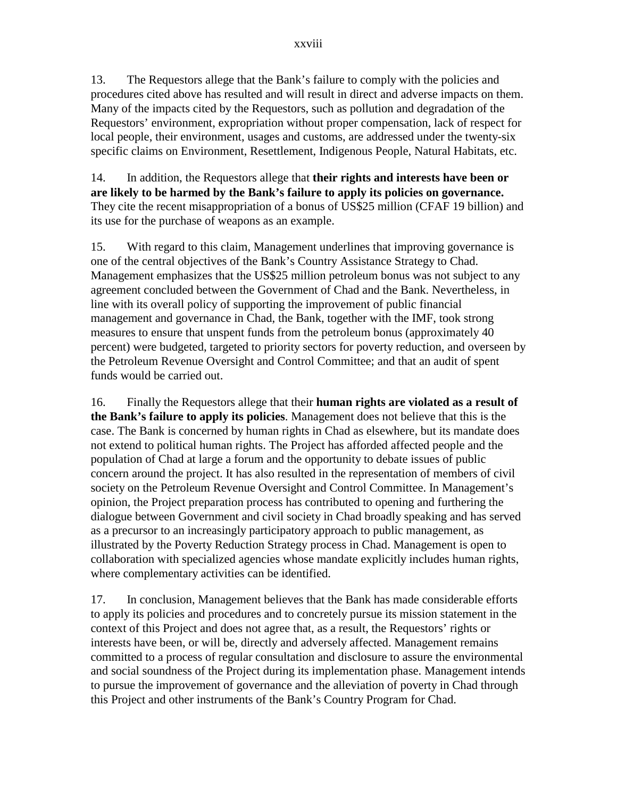13. The Requestors allege that the Bank's failure to comply with the policies and procedures cited above has resulted and will result in direct and adverse impacts on them. Many of the impacts cited by the Requestors, such as pollution and degradation of the Requestors' environment, expropriation without proper compensation, lack of respect for local people, their environment, usages and customs, are addressed under the twenty-six specific claims on Environment, Resettlement, Indigenous People, Natural Habitats, etc.

14. In addition, the Requestors allege that **their rights and interests have been or are likely to be harmed by the Bank's failure to apply its policies on governance.**  They cite the recent misappropriation of a bonus of US\$25 million (CFAF 19 billion) and its use for the purchase of weapons as an example.

15. With regard to this claim, Management underlines that improving governance is one of the central objectives of the Bank's Country Assistance Strategy to Chad. Management emphasizes that the US\$25 million petroleum bonus was not subject to any agreement concluded between the Government of Chad and the Bank. Nevertheless, in line with its overall policy of supporting the improvement of public financial management and governance in Chad, the Bank, together with the IMF, took strong measures to ensure that unspent funds from the petroleum bonus (approximately 40 percent) were budgeted, targeted to priority sectors for poverty reduction, and overseen by the Petroleum Revenue Oversight and Control Committee; and that an audit of spent funds would be carried out.

16. Finally the Requestors allege that their **human rights are violated as a result of the Bank's failure to apply its policies**. Management does not believe that this is the case. The Bank is concerned by human rights in Chad as elsewhere, but its mandate does not extend to political human rights. The Project has afforded affected people and the population of Chad at large a forum and the opportunity to debate issues of public concern around the project. It has also resulted in the representation of members of civil society on the Petroleum Revenue Oversight and Control Committee. In Management's opinion, the Project preparation process has contributed to opening and furthering the dialogue between Government and civil society in Chad broadly speaking and has served as a precursor to an increasingly participatory approach to public management, as illustrated by the Poverty Reduction Strategy process in Chad. Management is open to collaboration with specialized agencies whose mandate explicitly includes human rights, where complementary activities can be identified.

17. In conclusion, Management believes that the Bank has made considerable efforts to apply its policies and procedures and to concretely pursue its mission statement in the context of this Project and does not agree that, as a result, the Requestors' rights or interests have been, or will be, directly and adversely affected. Management remains committed to a process of regular consultation and disclosure to assure the environmental and social soundness of the Project during its implementation phase. Management intends to pursue the improvement of governance and the alleviation of poverty in Chad through this Project and other instruments of the Bank's Country Program for Chad.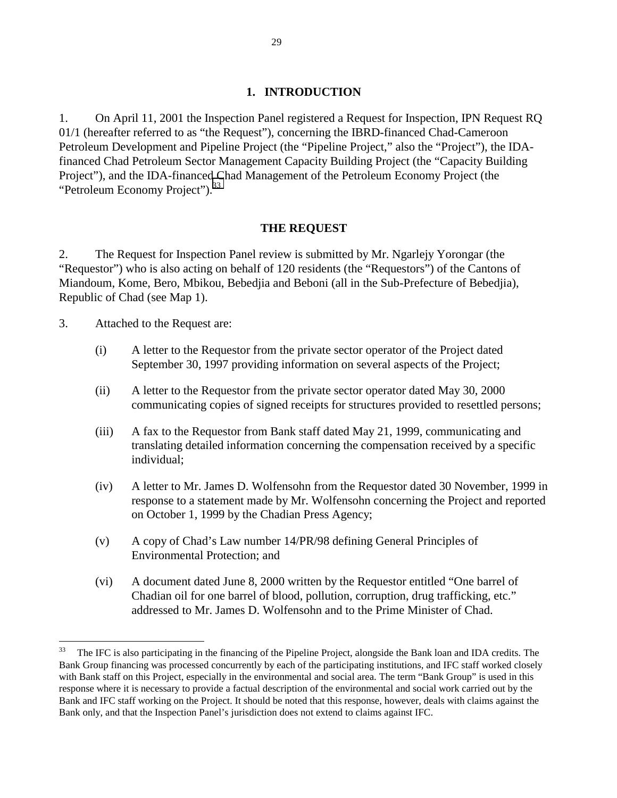#### **1. INTRODUCTION**

<span id="page-28-0"></span>1. On April 11, 2001 the Inspection Panel registered a Request for Inspection, IPN Request RQ 01/1 (hereafter referred to as "the Request"), concerning the IBRD-financed Chad-Cameroon Petroleum Development and Pipeline Project (the "Pipeline Project," also the "Project"), the IDAfinanced Chad Petroleum Sector Management Capacity Building Project (the "Capacity Building Project"), and the IDA-financed Chad Management of the Petroleum Economy Project (the "Petroleum Economy Project").<sup>33</sup>

#### **THE REQUEST**

2. The Request for Inspection Panel review is submitted by Mr. Ngarlejy Yorongar (the "Requestor") who is also acting on behalf of 120 residents (the "Requestors") of the Cantons of Miandoum, Kome, Bero, Mbikou, Bebedjia and Beboni (all in the Sub-Prefecture of Bebedjia), Republic of Chad (see Map 1).

3. Attached to the Request are:

- (i) A letter to the Requestor from the private sector operator of the Project dated September 30, 1997 providing information on several aspects of the Project;
- (ii) A letter to the Requestor from the private sector operator dated May 30, 2000 communicating copies of signed receipts for structures provided to resettled persons;
- (iii) A fax to the Requestor from Bank staff dated May 21, 1999, communicating and translating detailed information concerning the compensation received by a specific individual;
- (iv) A letter to Mr. James D. Wolfensohn from the Requestor dated 30 November, 1999 in response to a statement made by Mr. Wolfensohn concerning the Project and reported on October 1, 1999 by the Chadian Press Agency;
- (v) A copy of Chad's Law number 14/PR/98 defining General Principles of Environmental Protection; and
- (vi) A document dated June 8, 2000 written by the Requestor entitled "One barrel of Chadian oil for one barrel of blood, pollution, corruption, drug trafficking, etc." addressed to Mr. James D. Wolfensohn and to the Prime Minister of Chad.

<sup>&</sup>lt;sup>33</sup> The IFC is also participating in the financing of the Pipeline Project, alongside the Bank loan and IDA credits. The Bank Group financing was processed concurrently by each of the participating institutions, and IFC staff worked closely with Bank staff on this Project, especially in the environmental and social area. The term "Bank Group" is used in this response where it is necessary to provide a factual description of the environmental and social work carried out by the Bank and IFC staff working on the Project. It should be noted that this response, however, deals with claims against the Bank only, and that the Inspection Panel's jurisdiction does not extend to claims against IFC.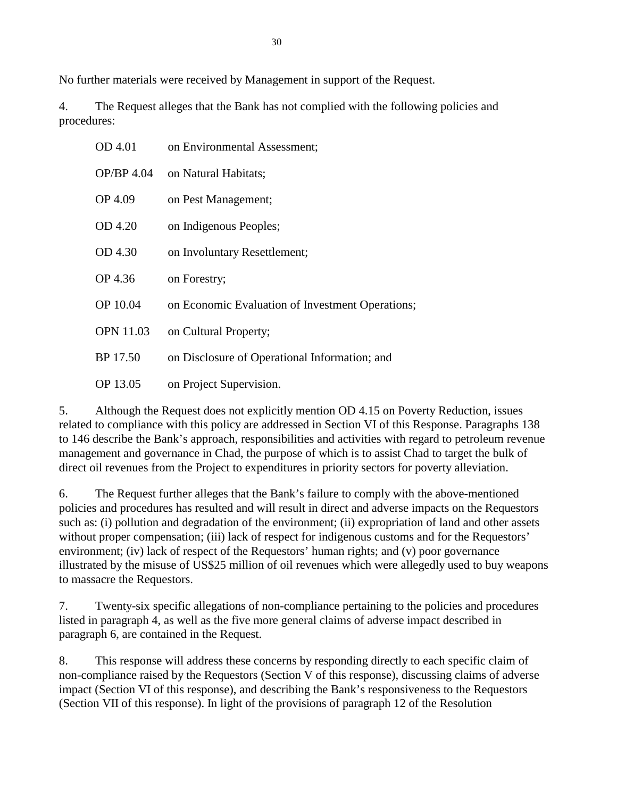No further materials were received by Management in support of the Request.

4. The Request alleges that the Bank has not complied with the following policies and procedures:

| OD 4.01          | on Environmental Assessment;                     |
|------------------|--------------------------------------------------|
| OP/BP 4.04       | on Natural Habitats;                             |
| OP 4.09          | on Pest Management;                              |
| OD 4.20          | on Indigenous Peoples;                           |
| OD 4.30          | on Involuntary Resettlement;                     |
| OP 4.36          | on Forestry;                                     |
| OP 10.04         | on Economic Evaluation of Investment Operations; |
| <b>OPN 11.03</b> | on Cultural Property;                            |
| BP 17.50         | on Disclosure of Operational Information; and    |
| OP 13.05         | on Project Supervision.                          |

5. Although the Request does not explicitly mention OD 4.15 on Poverty Reduction, issues related to compliance with this policy are addressed in Section VI of this Response. Paragraphs 138 to 146 describe the Bank's approach, responsibilities and activities with regard to petroleum revenue management and governance in Chad, the purpose of which is to assist Chad to target the bulk of direct oil revenues from the Project to expenditures in priority sectors for poverty alleviation.

6. The Request further alleges that the Bank's failure to comply with the above-mentioned policies and procedures has resulted and will result in direct and adverse impacts on the Requestors such as: (i) pollution and degradation of the environment; (ii) expropriation of land and other assets without proper compensation; (iii) lack of respect for indigenous customs and for the Requestors' environment; (iv) lack of respect of the Requestors' human rights; and (v) poor governance illustrated by the misuse of US\$25 million of oil revenues which were allegedly used to buy weapons to massacre the Requestors.

7. Twenty-six specific allegations of non-compliance pertaining to the policies and procedures listed in paragraph 4, as well as the five more general claims of adverse impact described in paragraph 6, are contained in the Request.

8. This response will address these concerns by responding directly to each specific claim of non-compliance raised by the Requestors (Section V of this response), discussing claims of adverse impact (Section VI of this response), and describing the Bank's responsiveness to the Requestors (Section VII of this response). In light of the provisions of paragraph 12 of the Resolution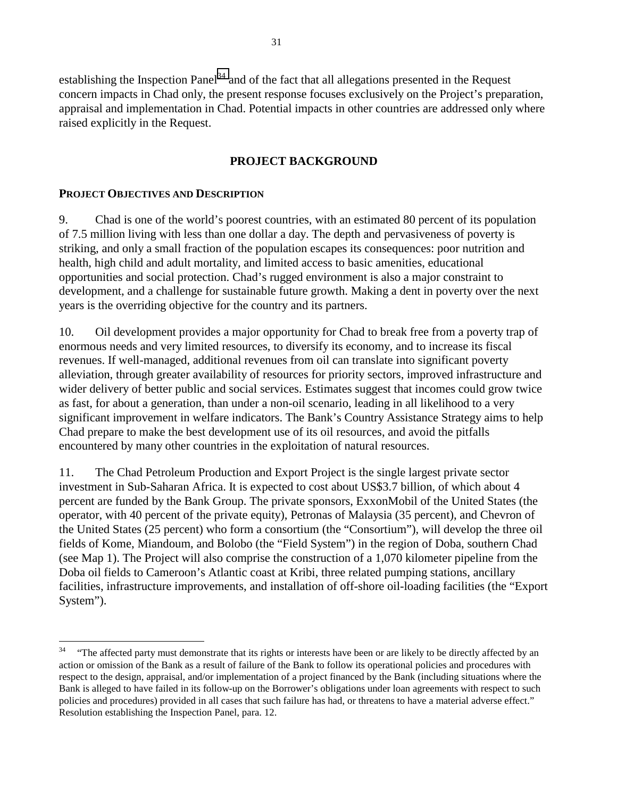<span id="page-30-0"></span>establishing the Inspection Panel<sup>34</sup> and of the fact that all allegations presented in the Request concern impacts in Chad only, the present response focuses exclusively on the Project's preparation, appraisal and implementation in Chad. Potential impacts in other countries are addressed only where raised explicitly in the Request.

## **PROJECT BACKGROUND**

### **PROJECT OBJECTIVES AND DESCRIPTION**

 $\overline{a}$ 

9. Chad is one of the world's poorest countries, with an estimated 80 percent of its population of 7.5 million living with less than one dollar a day. The depth and pervasiveness of poverty is striking, and only a small fraction of the population escapes its consequences: poor nutrition and health, high child and adult mortality, and limited access to basic amenities, educational opportunities and social protection. Chad's rugged environment is also a major constraint to development, and a challenge for sustainable future growth. Making a dent in poverty over the next years is the overriding objective for the country and its partners.

10. Oil development provides a major opportunity for Chad to break free from a poverty trap of enormous needs and very limited resources, to diversify its economy, and to increase its fiscal revenues. If well-managed, additional revenues from oil can translate into significant poverty alleviation, through greater availability of resources for priority sectors, improved infrastructure and wider delivery of better public and social services. Estimates suggest that incomes could grow twice as fast, for about a generation, than under a non-oil scenario, leading in all likelihood to a very significant improvement in welfare indicators. The Bank's Country Assistance Strategy aims to help Chad prepare to make the best development use of its oil resources, and avoid the pitfalls encountered by many other countries in the exploitation of natural resources.

11. The Chad Petroleum Production and Export Project is the single largest private sector investment in Sub-Saharan Africa. It is expected to cost about US\$3.7 billion, of which about 4 percent are funded by the Bank Group. The private sponsors, ExxonMobil of the United States (the operator, with 40 percent of the private equity), Petronas of Malaysia (35 percent), and Chevron of the United States (25 percent) who form a consortium (the "Consortium"), will develop the three oil fields of Kome, Miandoum, and Bolobo (the "Field System") in the region of Doba, southern Chad (see Map 1). The Project will also comprise the construction of a 1,070 kilometer pipeline from the Doba oil fields to Cameroon's Atlantic coast at Kribi, three related pumping stations, ancillary facilities, infrastructure improvements, and installation of off-shore oil-loading facilities (the "Export System").

<sup>&</sup>lt;sup>34</sup> "The affected party must demonstrate that its rights or interests have been or are likely to be directly affected by an action or omission of the Bank as a result of failure of the Bank to follow its operational policies and procedures with respect to the design, appraisal, and/or implementation of a project financed by the Bank (including situations where the Bank is alleged to have failed in its follow-up on the Borrower's obligations under loan agreements with respect to such policies and procedures) provided in all cases that such failure has had, or threatens to have a material adverse effect." Resolution establishing the Inspection Panel, para. 12.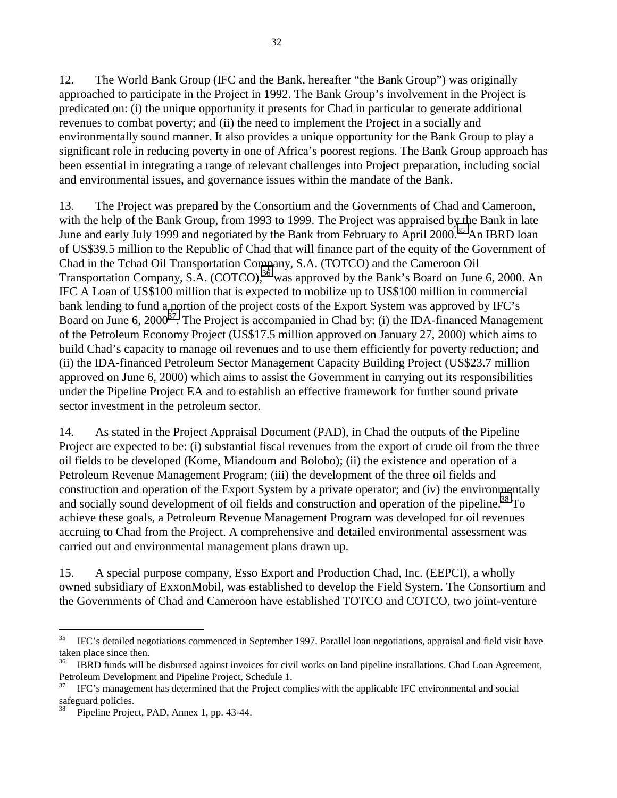12. The World Bank Group (IFC and the Bank, hereafter "the Bank Group") was originally approached to participate in the Project in 1992. The Bank Group's involvement in the Project is predicated on: (i) the unique opportunity it presents for Chad in particular to generate additional revenues to combat poverty; and (ii) the need to implement the Project in a socially and environmentally sound manner. It also provides a unique opportunity for the Bank Group to play a significant role in reducing poverty in one of Africa's poorest regions. The Bank Group approach has been essential in integrating a range of relevant challenges into Project preparation, including social and environmental issues, and governance issues within the mandate of the Bank.

13. The Project was prepared by the Consortium and the Governments of Chad and Cameroon, with the help of the Bank Group, from 1993 to 1999. The Project was appraised by the Bank in late June and early July 1999 and negotiated by the Bank from February to April 2000.<sup>35</sup> An IBRD loan of US\$39.5 million to the Republic of Chad that will finance part of the equity of the Government of Chad in the Tchad Oil Transportation Company, S.A. (TOTCO) and the Cameroon Oil Transportation Company, S.A.  $(COTCO)$ ,<sup>36</sup> was approved by the Bank's Board on June 6, 2000. An IFC A Loan of US\$100 million that is expected to mobilize up to US\$100 million in commercial bank lending to fund a portion of the project costs of the Export System was approved by IFC's Board on June 6,  $2000^{37}$ . The Project is accompanied in Chad by: (i) the IDA-financed Management of the Petroleum Economy Project (US\$17.5 million approved on January 27, 2000) which aims to build Chad's capacity to manage oil revenues and to use them efficiently for poverty reduction; and (ii) the IDA-financed Petroleum Sector Management Capacity Building Project (US\$23.7 million approved on June 6, 2000) which aims to assist the Government in carrying out its responsibilities under the Pipeline Project EA and to establish an effective framework for further sound private sector investment in the petroleum sector.

14. As stated in the Project Appraisal Document (PAD), in Chad the outputs of the Pipeline Project are expected to be: (i) substantial fiscal revenues from the export of crude oil from the three oil fields to be developed (Kome, Miandoum and Bolobo); (ii) the existence and operation of a Petroleum Revenue Management Program; (iii) the development of the three oil fields and construction and operation of the Export System by a private operator; and (iv) the environmentally and socially sound development of oil fields and construction and operation of the pipeline.<sup>38</sup> To achieve these goals, a Petroleum Revenue Management Program was developed for oil revenues accruing to Chad from the Project. A comprehensive and detailed environmental assessment was carried out and environmental management plans drawn up.

15. A special purpose company, Esso Export and Production Chad, Inc. (EEPCI), a wholly owned subsidiary of ExxonMobil, was established to develop the Field System. The Consortium and the Governments of Chad and Cameroon have established TOTCO and COTCO, two joint-venture

<sup>&</sup>lt;sup>35</sup> IFC's detailed negotiations commenced in September 1997. Parallel loan negotiations, appraisal and field visit have taken place since then.

<sup>36</sup> IBRD funds will be disbursed against invoices for civil works on land pipeline installations. Chad Loan Agreement, Petroleum Development and Pipeline Project, Schedule 1.<br><sup>37</sup> UCC: management has determined that the Project can

<sup>37</sup> IFC's management has determined that the Project complies with the applicable IFC environmental and social safeguard policies.

Pipeline Project, PAD, Annex 1, pp. 43-44.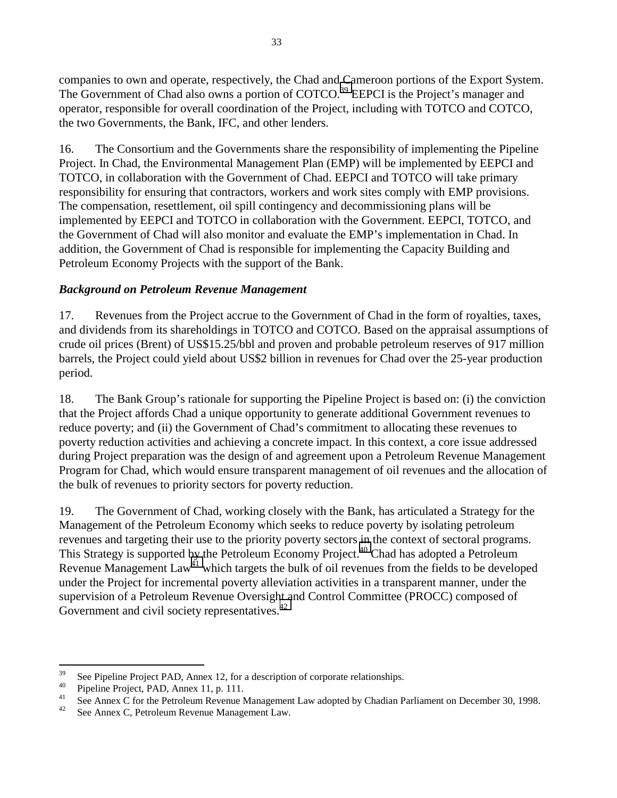<span id="page-32-0"></span>companies to own and operate, respectively, the Chad and Cameroon portions of the Export System. The Government of Chad also owns a portion of COTCO.<sup>39</sup> EEPCI is the Project's manager and operator, responsible for overall coordination of the Project, including with TOTCO and COTCO, the two Governments, the Bank, IFC, and other lenders.

16. The Consortium and the Governments share the responsibility of implementing the Pipeline Project. In Chad, the Environmental Management Plan (EMP) will be implemented by EEPCI and TOTCO, in collaboration with the Government of Chad. EEPCI and TOTCO will take primary responsibility for ensuring that contractors, workers and work sites comply with EMP provisions. The compensation, resettlement, oil spill contingency and decommissioning plans will be implemented by EEPCI and TOTCO in collaboration with the Government. EEPCI, TOTCO, and the Government of Chad will also monitor and evaluate the EMP's implementation in Chad. In addition, the Government of Chad is responsible for implementing the Capacity Building and Petroleum Economy Projects with the support of the Bank.

## *Background on Petroleum Revenue Management*

17. Revenues from the Project accrue to the Government of Chad in the form of royalties, taxes, and dividends from its shareholdings in TOTCO and COTCO. Based on the appraisal assumptions of crude oil prices (Brent) of US\$15.25/bbl and proven and probable petroleum reserves of 917 million barrels, the Project could yield about US\$2 billion in revenues for Chad over the 25-year production period.

18. The Bank Group's rationale for supporting the Pipeline Project is based on: (i) the conviction that the Project affords Chad a unique opportunity to generate additional Government revenues to reduce poverty; and (ii) the Government of Chad's commitment to allocating these revenues to poverty reduction activities and achieving a concrete impact. In this context, a core issue addressed during Project preparation was the design of and agreement upon a Petroleum Revenue Management Program for Chad, which would ensure transparent management of oil revenues and the allocation of the bulk of revenues to priority sectors for poverty reduction.

19. The Government of Chad, working closely with the Bank, has articulated a Strategy for the Management of the Petroleum Economy which seeks to reduce poverty by isolating petroleum revenues and targeting their use to the priority poverty sectors in the context of sectoral programs. This Strategy is supported by the Petroleum Economy Project.<sup>40</sup> Chad has adopted a Petroleum Revenue Management  $Law<sup>41</sup>$  which targets the bulk of oil revenues from the fields to be developed under the Project for incremental poverty alleviation activities in a transparent manner, under the supervision of a Petroleum Revenue Oversight and Control Committee (PROCC) composed of Government and civil society representatives.<sup>42</sup>

<sup>39</sup> <sup>39</sup> See Pipeline Project PAD, Annex 12, for a description of corporate relationships.

<sup>&</sup>lt;sup>40</sup> Pipeline Project, PAD, Annex 11, p. 111.

<sup>&</sup>lt;sup>41</sup> See Annex C for the Petroleum Revenue Management Law adopted by Chadian Parliament on December 30, 1998.<br><sup>42</sup> See Annex C Petroleum Peyenue Management Law.

See Annex C, Petroleum Revenue Management Law.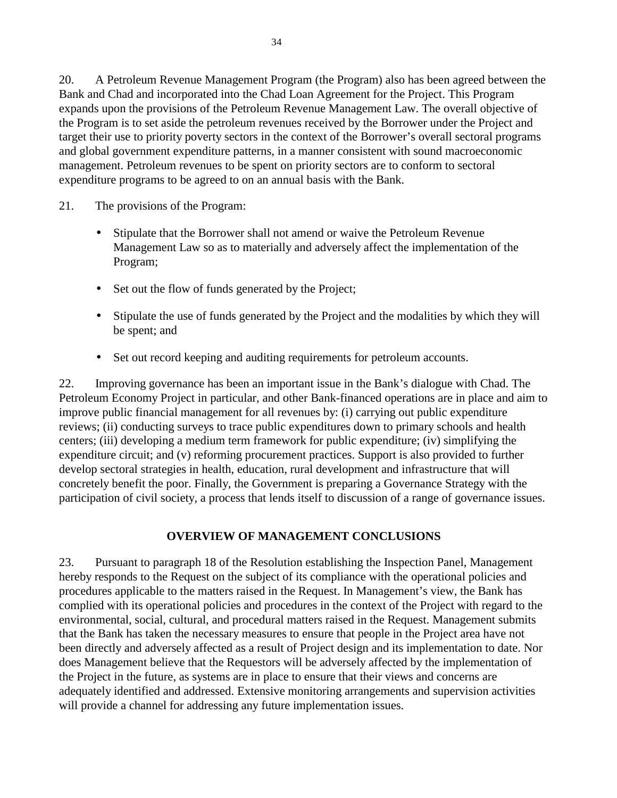<span id="page-33-0"></span>20. A Petroleum Revenue Management Program (the Program) also has been agreed between the Bank and Chad and incorporated into the Chad Loan Agreement for the Project. This Program expands upon the provisions of the Petroleum Revenue Management Law. The overall objective of the Program is to set aside the petroleum revenues received by the Borrower under the Project and target their use to priority poverty sectors in the context of the Borrower's overall sectoral programs and global government expenditure patterns, in a manner consistent with sound macroeconomic management. Petroleum revenues to be spent on priority sectors are to conform to sectoral expenditure programs to be agreed to on an annual basis with the Bank.

- 21. The provisions of the Program:
	- Stipulate that the Borrower shall not amend or waive the Petroleum Revenue Management Law so as to materially and adversely affect the implementation of the Program;
	- Set out the flow of funds generated by the Project;
	- Stipulate the use of funds generated by the Project and the modalities by which they will be spent; and
	- Set out record keeping and auditing requirements for petroleum accounts.

22. Improving governance has been an important issue in the Bank's dialogue with Chad. The Petroleum Economy Project in particular, and other Bank-financed operations are in place and aim to improve public financial management for all revenues by: (i) carrying out public expenditure reviews; (ii) conducting surveys to trace public expenditures down to primary schools and health centers; (iii) developing a medium term framework for public expenditure; (iv) simplifying the expenditure circuit; and (v) reforming procurement practices. Support is also provided to further develop sectoral strategies in health, education, rural development and infrastructure that will concretely benefit the poor. Finally, the Government is preparing a Governance Strategy with the participation of civil society, a process that lends itself to discussion of a range of governance issues.

## **OVERVIEW OF MANAGEMENT CONCLUSIONS**

23. Pursuant to paragraph 18 of the Resolution establishing the Inspection Panel, Management hereby responds to the Request on the subject of its compliance with the operational policies and procedures applicable to the matters raised in the Request. In Management's view, the Bank has complied with its operational policies and procedures in the context of the Project with regard to the environmental, social, cultural, and procedural matters raised in the Request. Management submits that the Bank has taken the necessary measures to ensure that people in the Project area have not been directly and adversely affected as a result of Project design and its implementation to date. Nor does Management believe that the Requestors will be adversely affected by the implementation of the Project in the future, as systems are in place to ensure that their views and concerns are adequately identified and addressed. Extensive monitoring arrangements and supervision activities will provide a channel for addressing any future implementation issues.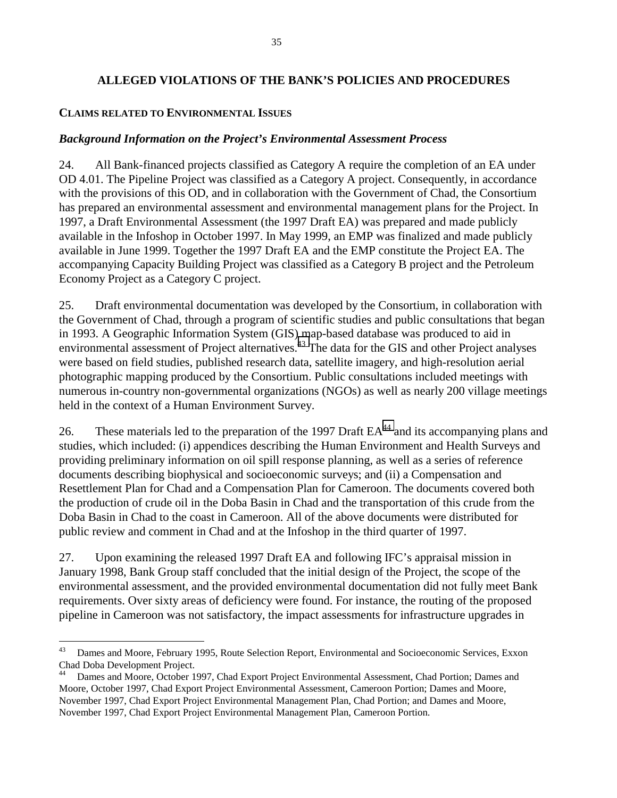### <span id="page-34-0"></span>**ALLEGED VIOLATIONS OF THE BANK'S POLICIES AND PROCEDURES**

#### **CLAIMS RELATED TO ENVIRONMENTAL ISSUES**

 $\overline{a}$ 

#### *Background Information on the Project's Environmental Assessment Process*

24. All Bank-financed projects classified as Category A require the completion of an EA under OD 4.01. The Pipeline Project was classified as a Category A project. Consequently, in accordance with the provisions of this OD, and in collaboration with the Government of Chad, the Consortium has prepared an environmental assessment and environmental management plans for the Project. In 1997, a Draft Environmental Assessment (the 1997 Draft EA) was prepared and made publicly available in the Infoshop in October 1997. In May 1999, an EMP was finalized and made publicly available in June 1999. Together the 1997 Draft EA and the EMP constitute the Project EA. The accompanying Capacity Building Project was classified as a Category B project and the Petroleum Economy Project as a Category C project.

25. Draft environmental documentation was developed by the Consortium, in collaboration with the Government of Chad, through a program of scientific studies and public consultations that began in 1993. A Geographic Information System (GIS) map-based database was produced to aid in environmental assessment of Project alternatives.<sup>43</sup> The data for the GIS and other Project analyses were based on field studies, published research data, satellite imagery, and high-resolution aerial photographic mapping produced by the Consortium. Public consultations included meetings with numerous in-country non-governmental organizations (NGOs) as well as nearly 200 village meetings held in the context of a Human Environment Survey.

26. These materials led to the preparation of the 1997 Draft EA<sup>44</sup> and its accompanying plans and studies, which included: (i) appendices describing the Human Environment and Health Surveys and providing preliminary information on oil spill response planning, as well as a series of reference documents describing biophysical and socioeconomic surveys; and (ii) a Compensation and Resettlement Plan for Chad and a Compensation Plan for Cameroon. The documents covered both the production of crude oil in the Doba Basin in Chad and the transportation of this crude from the Doba Basin in Chad to the coast in Cameroon. All of the above documents were distributed for public review and comment in Chad and at the Infoshop in the third quarter of 1997.

27. Upon examining the released 1997 Draft EA and following IFC's appraisal mission in January 1998, Bank Group staff concluded that the initial design of the Project, the scope of the environmental assessment, and the provided environmental documentation did not fully meet Bank requirements. Over sixty areas of deficiency were found. For instance, the routing of the proposed pipeline in Cameroon was not satisfactory, the impact assessments for infrastructure upgrades in

<sup>&</sup>lt;sup>43</sup> Dames and Moore, February 1995, Route Selection Report, Environmental and Socioeconomic Services, Exxon Chad Doba Development Project.<br><sup>44</sup> Dames and Moore, October 1

<sup>44</sup> Dames and Moore, October 1997, Chad Export Project Environmental Assessment, Chad Portion; Dames and Moore, October 1997, Chad Export Project Environmental Assessment, Cameroon Portion; Dames and Moore, November 1997, Chad Export Project Environmental Management Plan, Chad Portion; and Dames and Moore, November 1997, Chad Export Project Environmental Management Plan, Cameroon Portion.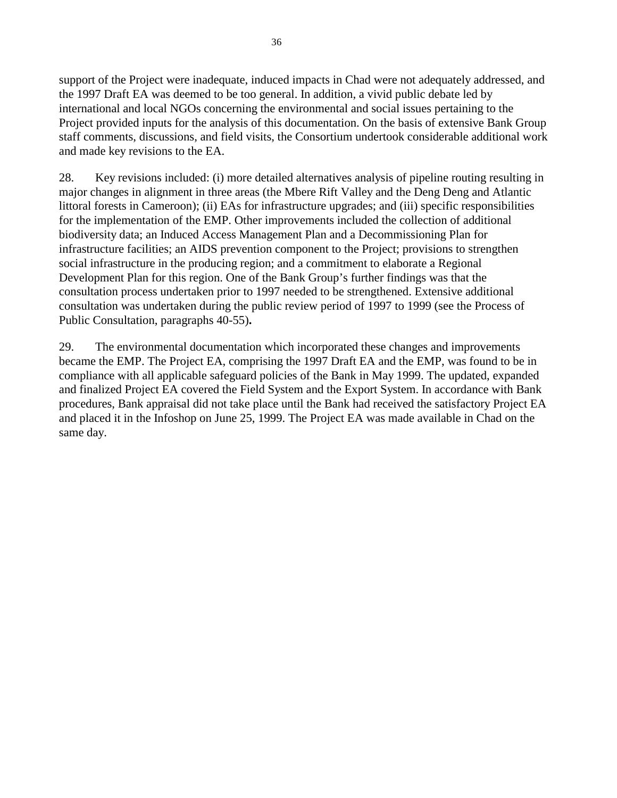support of the Project were inadequate, induced impacts in Chad were not adequately addressed, and the 1997 Draft EA was deemed to be too general. In addition, a vivid public debate led by international and local NGOs concerning the environmental and social issues pertaining to the Project provided inputs for the analysis of this documentation. On the basis of extensive Bank Group staff comments, discussions, and field visits, the Consortium undertook considerable additional work and made key revisions to the EA.

28. Key revisions included: (i) more detailed alternatives analysis of pipeline routing resulting in major changes in alignment in three areas (the Mbere Rift Valley and the Deng Deng and Atlantic littoral forests in Cameroon); (ii) EAs for infrastructure upgrades; and (iii) specific responsibilities for the implementation of the EMP. Other improvements included the collection of additional biodiversity data; an Induced Access Management Plan and a Decommissioning Plan for infrastructure facilities; an AIDS prevention component to the Project; provisions to strengthen social infrastructure in the producing region; and a commitment to elaborate a Regional Development Plan for this region. One of the Bank Group's further findings was that the consultation process undertaken prior to 1997 needed to be strengthened. Extensive additional consultation was undertaken during the public review period of 1997 to 1999 (see the Process of Public Consultation, paragraphs 40-55)**.** 

29. The environmental documentation which incorporated these changes and improvements became the EMP. The Project EA, comprising the 1997 Draft EA and the EMP, was found to be in compliance with all applicable safeguard policies of the Bank in May 1999. The updated, expanded and finalized Project EA covered the Field System and the Export System. In accordance with Bank procedures, Bank appraisal did not take place until the Bank had received the satisfactory Project EA and placed it in the Infoshop on June 25, 1999. The Project EA was made available in Chad on the same day.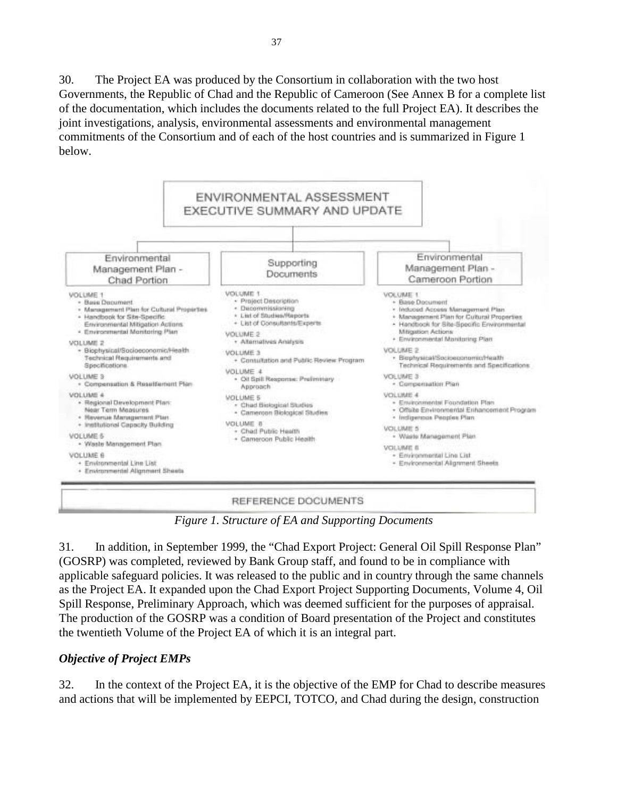30. The Project EA was produced by the Consortium in collaboration with the two host Governments, the Republic of Chad and the Republic of Cameroon (See Annex B for a complete list of the documentation, which includes the documents related to the full Project EA). It describes the joint investigations, analysis, environmental assessments and environmental management commitments of the Consortium and of each of the host countries and is summarized in Figure 1 below.



*Figure 1. Structure of EA and Supporting Documents* 

31. In addition, in September 1999, the "Chad Export Project: General Oil Spill Response Plan" (GOSRP) was completed, reviewed by Bank Group staff, and found to be in compliance with applicable safeguard policies. It was released to the public and in country through the same channels as the Project EA. It expanded upon the Chad Export Project Supporting Documents, Volume 4, Oil Spill Response, Preliminary Approach, which was deemed sufficient for the purposes of appraisal. The production of the GOSRP was a condition of Board presentation of the Project and constitutes the twentieth Volume of the Project EA of which it is an integral part.

# *Objective of Project EMPs*

32. In the context of the Project EA, it is the objective of the EMP for Chad to describe measures and actions that will be implemented by EEPCI, TOTCO, and Chad during the design, construction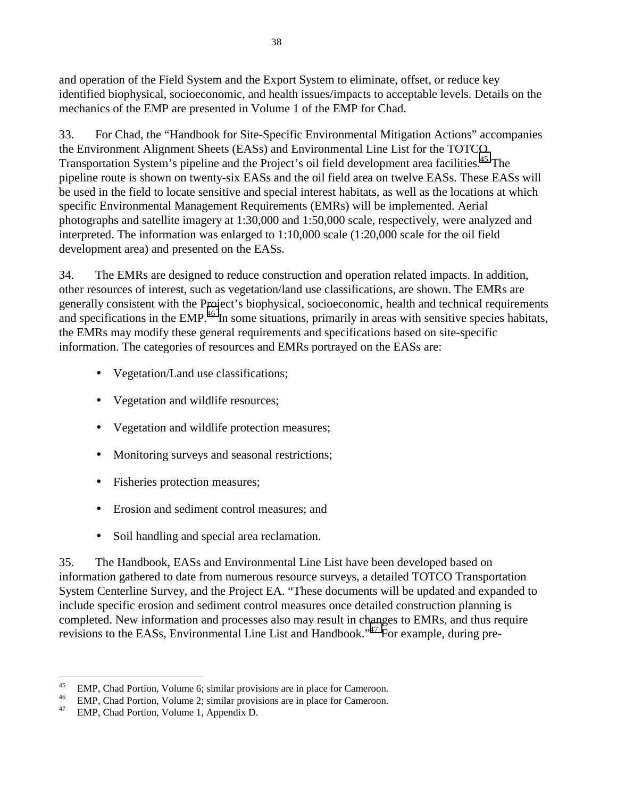and operation of the Field System and the Export System to eliminate, offset, or reduce key identified biophysical, socioeconomic, and health issues/impacts to acceptable levels. Details on the mechanics of the EMP are presented in Volume 1 of the EMP for Chad.

33. For Chad, the "Handbook for Site-Specific Environmental Mitigation Actions" accompanies the Environment Alignment Sheets (EASs) and Environmental Line List for the TOTCO Transportation System's pipeline and the Project's oil field development area facilities.<sup>45</sup> The pipeline route is shown on twenty-six EASs and the oil field area on twelve EASs. These EASs will be used in the field to locate sensitive and special interest habitats, as well as the locations at which specific Environmental Management Requirements (EMRs) will be implemented. Aerial photographs and satellite imagery at 1:30,000 and 1:50,000 scale, respectively, were analyzed and interpreted. The information was enlarged to 1:10,000 scale (1:20,000 scale for the oil field development area) and presented on the EASs.

34. The EMRs are designed to reduce construction and operation related impacts. In addition, other resources of interest, such as vegetation/land use classifications, are shown. The EMRs are generally consistent with the Project's biophysical, socioeconomic, health and technical requirements and specifications in the EMP.<sup>46</sup> In some situations, primarily in areas with sensitive species habitats, the EMRs may modify these general requirements and specifications based on site-specific information. The categories of resources and EMRs portrayed on the EASs are:

- Vegetation/Land use classifications;
- Vegetation and wildlife resources;
- Vegetation and wildlife protection measures;
- Monitoring surveys and seasonal restrictions;
- Fisheries protection measures;
- Erosion and sediment control measures; and
- Soil handling and special area reclamation.

35. The Handbook, EASs and Environmental Line List have been developed based on information gathered to date from numerous resource surveys, a detailed TOTCO Transportation System Centerline Survey, and the Project EA. "These documents will be updated and expanded to include specific erosion and sediment control measures once detailed construction planning is completed. New information and processes also may result in changes to EMRs, and thus require revisions to the EASs, Environmental Line List and Handbook."47 For example, during pre-

<sup>&</sup>lt;sup>45</sup> EMP, Chad Portion, Volume 6; similar provisions are in place for Cameroon.

<sup>&</sup>lt;sup>46</sup> EMP, Chad Portion, Volume 2; similar provisions are in place for Cameroon.

<sup>47</sup> EMP, Chad Portion, Volume 1, Appendix D.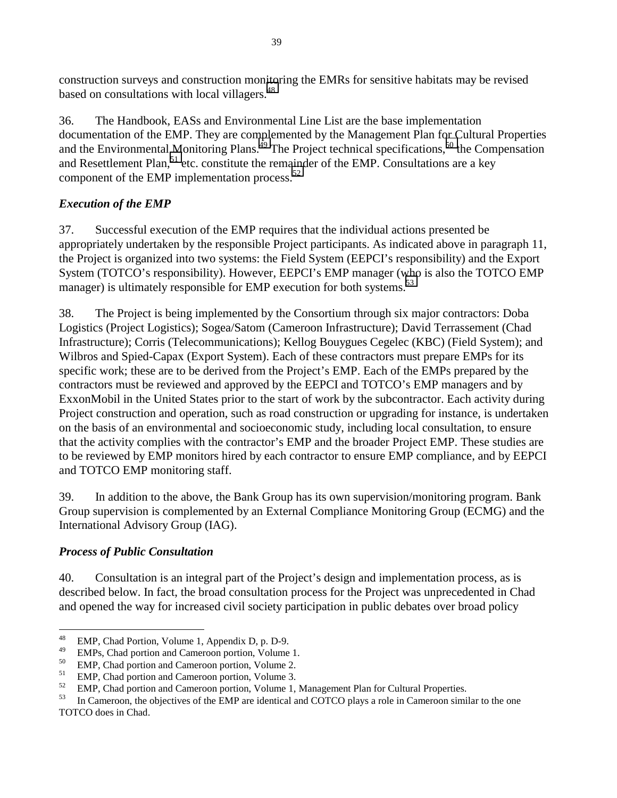construction surveys and construction monitoring the EMRs for sensitive habitats may be revised based on consultations with local villagers.<sup>48</sup>

36. The Handbook, EASs and Environmental Line List are the base implementation documentation of the EMP. They are complemented by the Management Plan for Cultural Properties and the Environmental Monitoring Plans.<sup>49</sup> The Project technical specifications,<sup>50</sup> the Compensation and Resettlement Plan,  $51$  etc. constitute the remainder of the EMP. Consultations are a key component of the EMP implementation process.<sup>52</sup>

# *Execution of the EMP*

37. Successful execution of the EMP requires that the individual actions presented be appropriately undertaken by the responsible Project participants. As indicated above in paragraph 11, the Project is organized into two systems: the Field System (EEPCI's responsibility) and the Export System (TOTCO's responsibility). However, EEPCI's EMP manager (who is also the TOTCO EMP manager) is ultimately responsible for EMP execution for both systems.<sup>53</sup>

38. The Project is being implemented by the Consortium through six major contractors: Doba Logistics (Project Logistics); Sogea/Satom (Cameroon Infrastructure); David Terrassement (Chad Infrastructure); Corris (Telecommunications); Kellog Bouygues Cegelec (KBC) (Field System); and Wilbros and Spied-Capax (Export System). Each of these contractors must prepare EMPs for its specific work; these are to be derived from the Project's EMP. Each of the EMPs prepared by the contractors must be reviewed and approved by the EEPCI and TOTCO's EMP managers and by ExxonMobil in the United States prior to the start of work by the subcontractor. Each activity during Project construction and operation, such as road construction or upgrading for instance, is undertaken on the basis of an environmental and socioeconomic study, including local consultation, to ensure that the activity complies with the contractor's EMP and the broader Project EMP. These studies are to be reviewed by EMP monitors hired by each contractor to ensure EMP compliance, and by EEPCI and TOTCO EMP monitoring staff.

39. In addition to the above, the Bank Group has its own supervision/monitoring program. Bank Group supervision is complemented by an External Compliance Monitoring Group (ECMG) and the International Advisory Group (IAG).

# *Process of Public Consultation*

40. Consultation is an integral part of the Project's design and implementation process, as is described below. In fact, the broad consultation process for the Project was unprecedented in Chad and opened the way for increased civil society participation in public debates over broad policy

 $48\,$ <sup>48</sup> EMP, Chad Portion, Volume 1, Appendix D, p. D-9.

 $^{49}$  EMPs, Chad portion and Cameroon portion, Volume 1.

 $^{50}$  EMP, Chad portion and Cameroon portion, Volume 2.

<sup>&</sup>lt;sup>51</sup> EMP, Chad portion and Cameroon portion, Volume 3.<br><sup>52</sup> EMP Chad portion and Cameroon portion, Volume 1.

 $^{52}$  EMP, Chad portion and Cameroon portion, Volume 1, Management Plan for Cultural Properties.<br>
In Cameroon, the objectives of the EMP are identical and COTCO plays a role in Cameroon simi

In Cameroon, the objectives of the EMP are identical and COTCO plays a role in Cameroon similar to the one TOTCO does in Chad.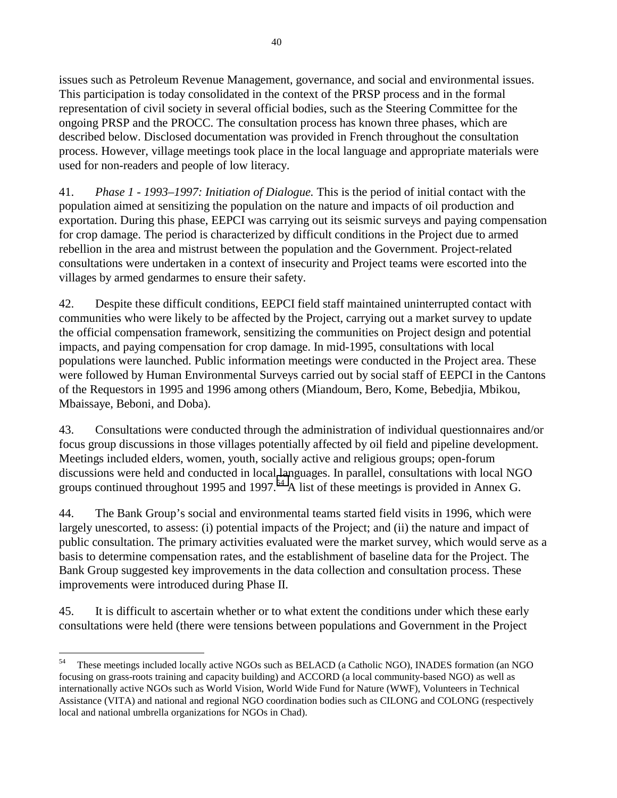issues such as Petroleum Revenue Management, governance, and social and environmental issues. This participation is today consolidated in the context of the PRSP process and in the formal representation of civil society in several official bodies, such as the Steering Committee for the ongoing PRSP and the PROCC. The consultation process has known three phases, which are described below. Disclosed documentation was provided in French throughout the consultation process. However, village meetings took place in the local language and appropriate materials were used for non-readers and people of low literacy.

41. *Phase 1 - 1993–1997: Initiation of Dialogue.* This is the period of initial contact with the population aimed at sensitizing the population on the nature and impacts of oil production and exportation. During this phase, EEPCI was carrying out its seismic surveys and paying compensation for crop damage. The period is characterized by difficult conditions in the Project due to armed rebellion in the area and mistrust between the population and the Government. Project-related consultations were undertaken in a context of insecurity and Project teams were escorted into the villages by armed gendarmes to ensure their safety.

42. Despite these difficult conditions, EEPCI field staff maintained uninterrupted contact with communities who were likely to be affected by the Project, carrying out a market survey to update the official compensation framework, sensitizing the communities on Project design and potential impacts, and paying compensation for crop damage. In mid-1995, consultations with local populations were launched. Public information meetings were conducted in the Project area. These were followed by Human Environmental Surveys carried out by social staff of EEPCI in the Cantons of the Requestors in 1995 and 1996 among others (Miandoum, Bero, Kome, Bebedjia, Mbikou, Mbaissaye, Beboni, and Doba).

43. Consultations were conducted through the administration of individual questionnaires and/or focus group discussions in those villages potentially affected by oil field and pipeline development. Meetings included elders, women, youth, socially active and religious groups; open-forum discussions were held and conducted in local languages. In parallel, consultations with local NGO groups continued throughout 1995 and 1997.<sup>54</sup> A list of these meetings is provided in Annex G.

44. The Bank Group's social and environmental teams started field visits in 1996, which were largely unescorted, to assess: (i) potential impacts of the Project; and (ii) the nature and impact of public consultation. The primary activities evaluated were the market survey, which would serve as a basis to determine compensation rates, and the establishment of baseline data for the Project. The Bank Group suggested key improvements in the data collection and consultation process. These improvements were introduced during Phase II.

45. It is difficult to ascertain whether or to what extent the conditions under which these early consultations were held (there were tensions between populations and Government in the Project

<sup>&</sup>lt;sup>54</sup> These meetings included locally active NGOs such as BELACD (a Catholic NGO), INADES formation (an NGO) focusing on grass-roots training and capacity building) and ACCORD (a local community-based NGO) as well as internationally active NGOs such as World Vision, World Wide Fund for Nature (WWF), Volunteers in Technical Assistance (VITA) and national and regional NGO coordination bodies such as CILONG and COLONG (respectively local and national umbrella organizations for NGOs in Chad).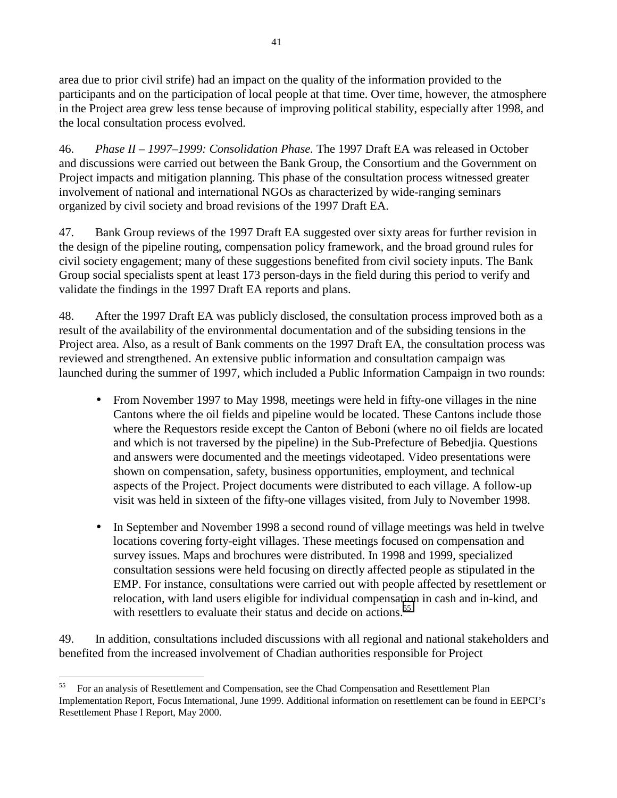area due to prior civil strife) had an impact on the quality of the information provided to the participants and on the participation of local people at that time. Over time, however, the atmosphere in the Project area grew less tense because of improving political stability, especially after 1998, and the local consultation process evolved.

46. *Phase II – 1997–1999: Consolidation Phase.* The 1997 Draft EA was released in October and discussions were carried out between the Bank Group, the Consortium and the Government on Project impacts and mitigation planning. This phase of the consultation process witnessed greater involvement of national and international NGOs as characterized by wide-ranging seminars organized by civil society and broad revisions of the 1997 Draft EA.

47. Bank Group reviews of the 1997 Draft EA suggested over sixty areas for further revision in the design of the pipeline routing, compensation policy framework, and the broad ground rules for civil society engagement; many of these suggestions benefited from civil society inputs. The Bank Group social specialists spent at least 173 person-days in the field during this period to verify and validate the findings in the 1997 Draft EA reports and plans.

48. After the 1997 Draft EA was publicly disclosed, the consultation process improved both as a result of the availability of the environmental documentation and of the subsiding tensions in the Project area. Also, as a result of Bank comments on the 1997 Draft EA, the consultation process was reviewed and strengthened. An extensive public information and consultation campaign was launched during the summer of 1997, which included a Public Information Campaign in two rounds:

- From November 1997 to May 1998, meetings were held in fifty-one villages in the nine Cantons where the oil fields and pipeline would be located. These Cantons include those where the Requestors reside except the Canton of Beboni (where no oil fields are located and which is not traversed by the pipeline) in the Sub-Prefecture of Bebedjia. Questions and answers were documented and the meetings videotaped. Video presentations were shown on compensation, safety, business opportunities, employment, and technical aspects of the Project. Project documents were distributed to each village. A follow-up visit was held in sixteen of the fifty-one villages visited, from July to November 1998.
- In September and November 1998 a second round of village meetings was held in twelve locations covering forty-eight villages. These meetings focused on compensation and survey issues. Maps and brochures were distributed. In 1998 and 1999, specialized consultation sessions were held focusing on directly affected people as stipulated in the EMP. For instance, consultations were carried out with people affected by resettlement or relocation, with land users eligible for individual compensation in cash and in-kind, and with resettlers to evaluate their status and decide on actions.<sup>55</sup>

49. In addition, consultations included discussions with all regional and national stakeholders and benefited from the increased involvement of Chadian authorities responsible for Project

<sup>&</sup>lt;sup>55</sup> For an analysis of Resettlement and Compensation, see the Chad Compensation and Resettlement Plan Implementation Report, Focus International, June 1999. Additional information on resettlement can be found in EEPCI's Resettlement Phase I Report, May 2000.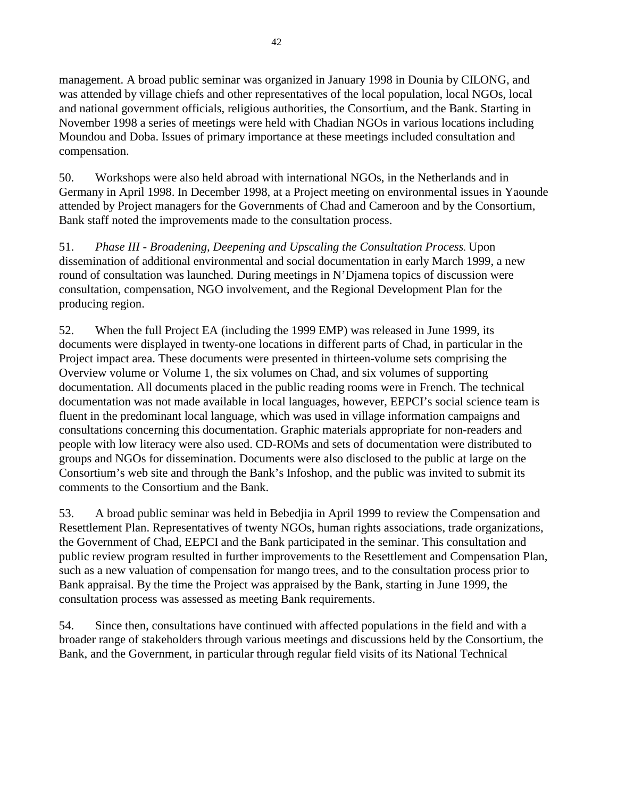management. A broad public seminar was organized in January 1998 in Dounia by CILONG, and was attended by village chiefs and other representatives of the local population, local NGOs, local and national government officials, religious authorities, the Consortium, and the Bank. Starting in November 1998 a series of meetings were held with Chadian NGOs in various locations including Moundou and Doba. Issues of primary importance at these meetings included consultation and compensation.

50. Workshops were also held abroad with international NGOs, in the Netherlands and in Germany in April 1998. In December 1998, at a Project meeting on environmental issues in Yaounde attended by Project managers for the Governments of Chad and Cameroon and by the Consortium, Bank staff noted the improvements made to the consultation process.

51. *Phase III - Broadening, Deepening and Upscaling the Consultation Process.* Upon dissemination of additional environmental and social documentation in early March 1999, a new round of consultation was launched. During meetings in N'Djamena topics of discussion were consultation, compensation, NGO involvement, and the Regional Development Plan for the producing region.

52. When the full Project EA (including the 1999 EMP) was released in June 1999, its documents were displayed in twenty-one locations in different parts of Chad, in particular in the Project impact area. These documents were presented in thirteen-volume sets comprising the Overview volume or Volume 1, the six volumes on Chad, and six volumes of supporting documentation. All documents placed in the public reading rooms were in French. The technical documentation was not made available in local languages, however, EEPCI's social science team is fluent in the predominant local language, which was used in village information campaigns and consultations concerning this documentation. Graphic materials appropriate for non-readers and people with low literacy were also used. CD-ROMs and sets of documentation were distributed to groups and NGOs for dissemination. Documents were also disclosed to the public at large on the Consortium's web site and through the Bank's Infoshop, and the public was invited to submit its comments to the Consortium and the Bank.

53. A broad public seminar was held in Bebedjia in April 1999 to review the Compensation and Resettlement Plan. Representatives of twenty NGOs, human rights associations, trade organizations, the Government of Chad, EEPCI and the Bank participated in the seminar. This consultation and public review program resulted in further improvements to the Resettlement and Compensation Plan, such as a new valuation of compensation for mango trees, and to the consultation process prior to Bank appraisal. By the time the Project was appraised by the Bank, starting in June 1999, the consultation process was assessed as meeting Bank requirements.

54. Since then, consultations have continued with affected populations in the field and with a broader range of stakeholders through various meetings and discussions held by the Consortium, the Bank, and the Government, in particular through regular field visits of its National Technical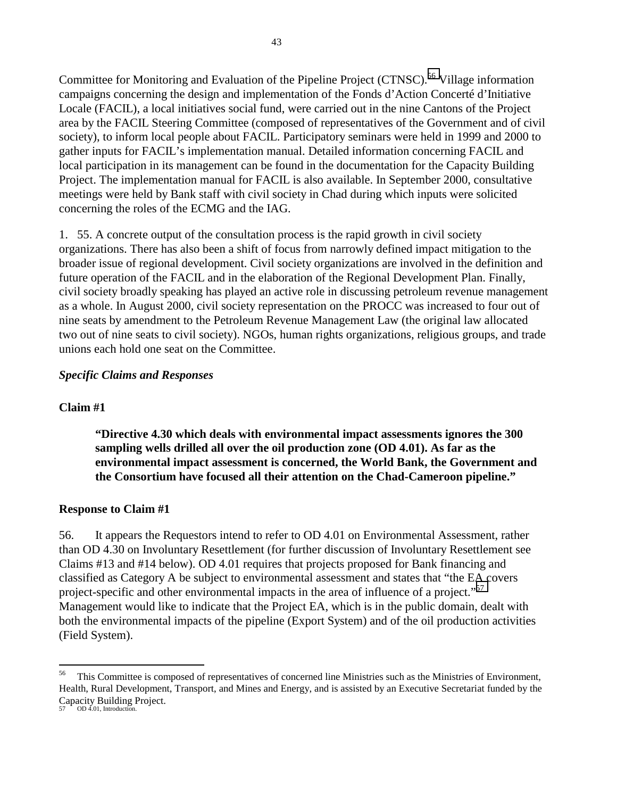Committee for Monitoring and Evaluation of the Pipeline Project (CTNSC).<sup>56</sup> Village information campaigns concerning the design and implementation of the Fonds d'Action Concerté d'Initiative Locale (FACIL), a local initiatives social fund, were carried out in the nine Cantons of the Project area by the FACIL Steering Committee (composed of representatives of the Government and of civil society), to inform local people about FACIL. Participatory seminars were held in 1999 and 2000 to gather inputs for FACIL's implementation manual. Detailed information concerning FACIL and local participation in its management can be found in the documentation for the Capacity Building Project. The implementation manual for FACIL is also available. In September 2000, consultative meetings were held by Bank staff with civil society in Chad during which inputs were solicited concerning the roles of the ECMG and the IAG.

1. 55. A concrete output of the consultation process is the rapid growth in civil society organizations. There has also been a shift of focus from narrowly defined impact mitigation to the broader issue of regional development. Civil society organizations are involved in the definition and future operation of the FACIL and in the elaboration of the Regional Development Plan. Finally, civil society broadly speaking has played an active role in discussing petroleum revenue management as a whole. In August 2000, civil society representation on the PROCC was increased to four out of nine seats by amendment to the Petroleum Revenue Management Law (the original law allocated two out of nine seats to civil society). NGOs, human rights organizations, religious groups, and trade unions each hold one seat on the Committee.

## *Specific Claims and Responses*

## **Claim #1**

**"Directive 4.30 which deals with environmental impact assessments ignores the 300 sampling wells drilled all over the oil production zone (OD 4.01). As far as the environmental impact assessment is concerned, the World Bank, the Government and the Consortium have focused all their attention on the Chad-Cameroon pipeline."** 

## **Response to Claim #1**

56. It appears the Requestors intend to refer to OD 4.01 on Environmental Assessment, rather than OD 4.30 on Involuntary Resettlement (for further discussion of Involuntary Resettlement see Claims #13 and #14 below). OD 4.01 requires that projects proposed for Bank financing and classified as Category A be subject to environmental assessment and states that "the EA covers project-specific and other environmental impacts in the area of influence of a project."<sup>57</sup> Management would like to indicate that the Project EA, which is in the public domain, dealt with both the environmental impacts of the pipeline (Export System) and of the oil production activities (Field System).

<sup>&</sup>lt;sup>56</sup> This Committee is composed of representatives of concerned line Ministries such as the Ministries of Environment, Health, Rural Development, Transport, and Mines and Energy, and is assisted by an Executive Secretariat funded by the Capacity Building Project. 57 OD 4.01, Introduction.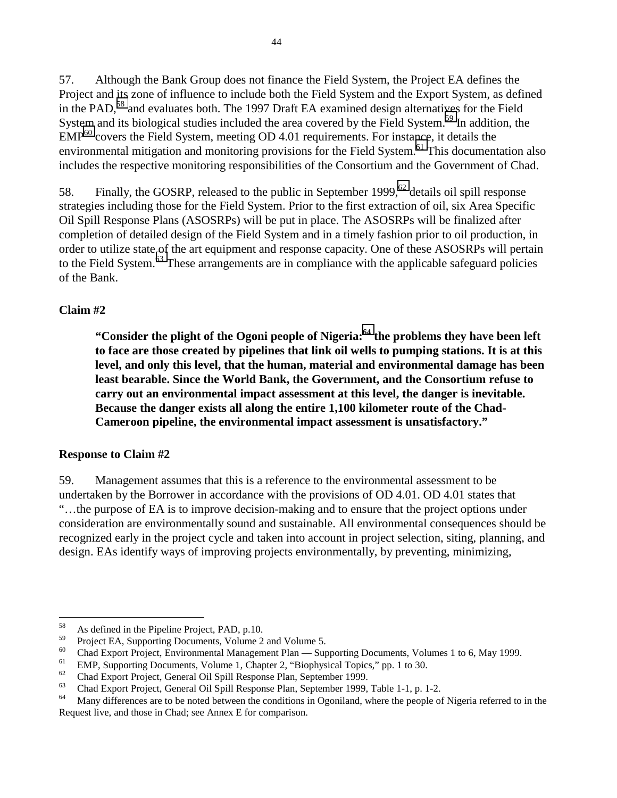57. Although the Bank Group does not finance the Field System, the Project EA defines the Project and its zone of influence to include both the Field System and the Export System, as defined in the PAD,<sup>58</sup> and evaluates both. The 1997 Draft EA examined design alternatives for the Field System and its biological studies included the area covered by the Field System.<sup>59</sup> In addition, the  $EMP<sup>60</sup>$  covers the Field System, meeting OD 4.01 requirements. For instance, it details the environmental mitigation and monitoring provisions for the Field System.<sup>61</sup> This documentation also includes the respective monitoring responsibilities of the Consortium and the Government of Chad.

58. Finally, the GOSRP, released to the public in September 1999,<sup>62</sup> details oil spill response strategies including those for the Field System. Prior to the first extraction of oil, six Area Specific Oil Spill Response Plans (ASOSRPs) will be put in place. The ASOSRPs will be finalized after completion of detailed design of the Field System and in a timely fashion prior to oil production, in order to utilize state of the art equipment and response capacity. One of these ASOSRPs will pertain to the Field System.<sup>63</sup> These arrangements are in compliance with the applicable safeguard policies of the Bank.

# **Claim #2**

**"Consider the plight of the Ogoni people of Nigeria:64 the problems they have been left to face are those created by pipelines that link oil wells to pumping stations. It is at this level, and only this level, that the human, material and environmental damage has been least bearable. Since the World Bank, the Government, and the Consortium refuse to carry out an environmental impact assessment at this level, the danger is inevitable. Because the danger exists all along the entire 1,100 kilometer route of the Chad-Cameroon pipeline, the environmental impact assessment is unsatisfactory."** 

# **Response to Claim #2**

59. Management assumes that this is a reference to the environmental assessment to be undertaken by the Borrower in accordance with the provisions of OD 4.01. OD 4.01 states that "…the purpose of EA is to improve decision-making and to ensure that the project options under consideration are environmentally sound and sustainable. All environmental consequences should be recognized early in the project cycle and taken into account in project selection, siting, planning, and design. EAs identify ways of improving projects environmentally, by preventing, minimizing,

<sup>58</sup> <sup>58</sup> As defined in the Pipeline Project, PAD, p.10.<br> $\frac{59}{2}$  Project EA, Supporting Decuments, Volume 2

 $^{59}$  Project EA, Supporting Documents, Volume 2 and Volume 5.<br> $^{60}$  Chad Eurept Draiast, Eurinemental Management Plan, Sym

<sup>&</sup>lt;sup>60</sup> Chad Export Project, Environmental Management Plan — Supporting Documents, Volumes 1 to 6, May 1999.

<sup>&</sup>lt;sup>61</sup> EMP, Supporting Documents, Volume 1, Chapter 2, "Biophysical Topics," pp. 1 to 30.

 $^{62}$  Chad Export Project, General Oil Spill Response Plan, September 1999.<br>
Chad Export Project, General Oil Spill Response Plan, September 1999.

 $^{63}$  Chad Export Project, General Oil Spill Response Plan, September 1999, Table 1-1, p. 1-2.<br>Many differences are to be noted between the conditions in Occariland, where the people of

Many differences are to be noted between the conditions in Ogoniland, where the people of Nigeria referred to in the Request live, and those in Chad; see Annex E for comparison.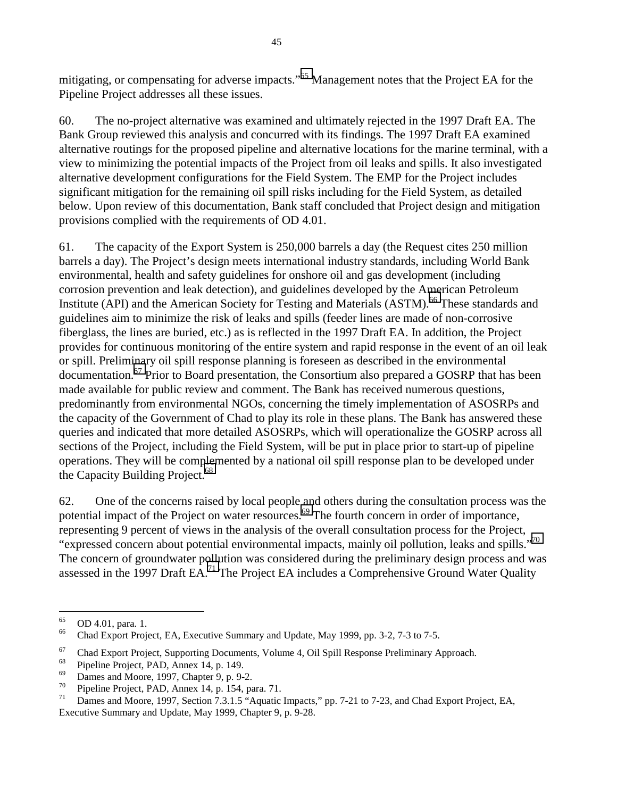mitigating, or compensating for adverse impacts."<sup>65</sup> Management notes that the Project EA for the Pipeline Project addresses all these issues.

60. The no-project alternative was examined and ultimately rejected in the 1997 Draft EA. The Bank Group reviewed this analysis and concurred with its findings. The 1997 Draft EA examined alternative routings for the proposed pipeline and alternative locations for the marine terminal, with a view to minimizing the potential impacts of the Project from oil leaks and spills. It also investigated alternative development configurations for the Field System. The EMP for the Project includes significant mitigation for the remaining oil spill risks including for the Field System, as detailed below. Upon review of this documentation, Bank staff concluded that Project design and mitigation provisions complied with the requirements of OD 4.01.

61. The capacity of the Export System is 250,000 barrels a day (the Request cites 250 million barrels a day). The Project's design meets international industry standards, including World Bank environmental, health and safety guidelines for onshore oil and gas development (including corrosion prevention and leak detection), and guidelines developed by the American Petroleum Institute (API) and the American Society for Testing and Materials (ASTM).<sup>66</sup> These standards and guidelines aim to minimize the risk of leaks and spills (feeder lines are made of non-corrosive fiberglass, the lines are buried, etc.) as is reflected in the 1997 Draft EA. In addition, the Project provides for continuous monitoring of the entire system and rapid response in the event of an oil leak or spill. Preliminary oil spill response planning is foreseen as described in the environmental documentation.<sup>67</sup> Prior to Board presentation, the Consortium also prepared a GOSRP that has been made available for public review and comment. The Bank has received numerous questions, predominantly from environmental NGOs, concerning the timely implementation of ASOSRPs and the capacity of the Government of Chad to play its role in these plans. The Bank has answered these queries and indicated that more detailed ASOSRPs, which will operationalize the GOSRP across all sections of the Project, including the Field System, will be put in place prior to start-up of pipeline operations. They will be complemented by a national oil spill response plan to be developed under the Capacity Building Project.<sup>68</sup>

62. One of the concerns raised by local people and others during the consultation process was the potential impact of the Project on water resources.<sup>69</sup> The fourth concern in order of importance, representing 9 percent of views in the analysis of the overall consultation process for the Project, "expressed concern about potential environmental impacts, mainly oil pollution, leaks and spills."70 The concern of groundwater pollution was considered during the preliminary design process and was assessed in the 1997 Draft EA.71 The Project EA includes a Comprehensive Ground Water Quality

<sup>65</sup>  $^{65}$  OD 4.01, para. 1.<br><sup>66</sup> Chad Export Proje

Chad Export Project, EA, Executive Summary and Update, May 1999, pp. 3-2, 7-3 to 7-5.

<sup>&</sup>lt;sup>67</sup> Chad Export Project, Supporting Documents, Volume 4, Oil Spill Response Preliminary Approach.

<sup>&</sup>lt;sup>68</sup> Pipeline Project, PAD, Annex 14, p. 149.

 $^{69}$  Dames and Moore, 1997, Chapter 9, p. 9-2.

<sup>&</sup>lt;sup>70</sup> Pipeline Project, PAD, Annex 14, p. 154, para. 71.<br><sup>71</sup> Perses and Moore, 1997, Section 7.3.1.5 "Agustia.

Dames and Moore, 1997, Section 7.3.1.5 "Aquatic Impacts," pp. 7-21 to 7-23, and Chad Export Project, EA, Executive Summary and Update, May 1999, Chapter 9, p. 9-28.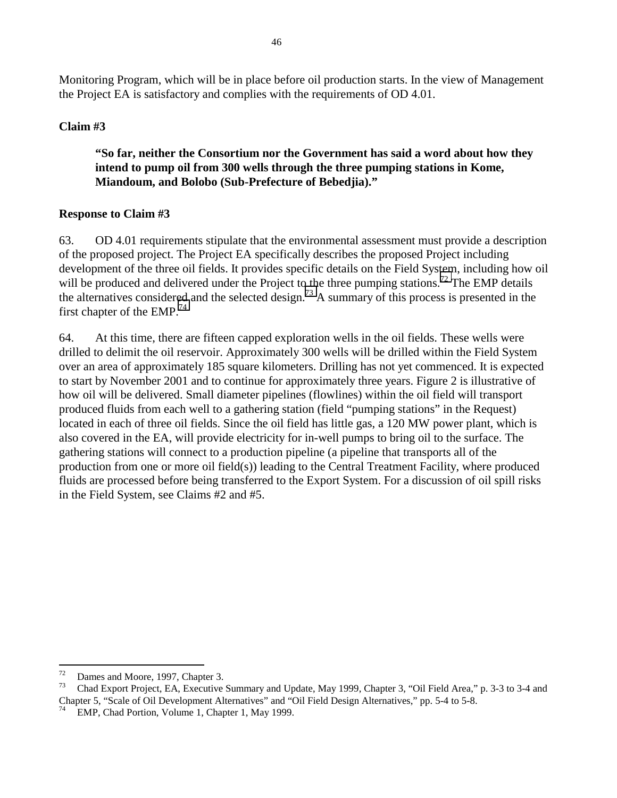Monitoring Program, which will be in place before oil production starts. In the view of Management the Project EA is satisfactory and complies with the requirements of OD 4.01.

## **Claim #3**

**"So far, neither the Consortium nor the Government has said a word about how they intend to pump oil from 300 wells through the three pumping stations in Kome, Miandoum, and Bolobo (Sub-Prefecture of Bebedjia)."** 

#### **Response to Claim #3**

63. OD 4.01 requirements stipulate that the environmental assessment must provide a description of the proposed project. The Project EA specifically describes the proposed Project including development of the three oil fields. It provides specific details on the Field System, including how oil will be produced and delivered under the Project to the three pumping stations.<sup>72</sup> The EMP details the alternatives considered and the selected design.<sup>73</sup> A summary of this process is presented in the first chapter of the  $EMP<sup>74</sup>$ 

64. At this time, there are fifteen capped exploration wells in the oil fields. These wells were drilled to delimit the oil reservoir. Approximately 300 wells will be drilled within the Field System over an area of approximately 185 square kilometers. Drilling has not yet commenced. It is expected to start by November 2001 and to continue for approximately three years. Figure 2 is illustrative of how oil will be delivered. Small diameter pipelines (flowlines) within the oil field will transport produced fluids from each well to a gathering station (field "pumping stations" in the Request) located in each of three oil fields. Since the oil field has little gas, a 120 MW power plant, which is also covered in the EA, will provide electricity for in-well pumps to bring oil to the surface. The gathering stations will connect to a production pipeline (a pipeline that transports all of the production from one or more oil field(s)) leading to the Central Treatment Facility, where produced fluids are processed before being transferred to the Export System. For a discussion of oil spill risks in the Field System, see Claims #2 and #5.

<sup>72</sup>  $^{72}$  Dames and Moore, 1997, Chapter 3.<br> $^{73}$  Chad Export Project, EA, Expositive

<sup>73</sup> Chad Export Project, EA, Executive Summary and Update, May 1999, Chapter 3, "Oil Field Area," p. 3-3 to 3-4 and Chapter 5, "Scale of Oil Development Alternatives" and "Oil Field Design Alternatives," pp. 5-4 to 5-8.

 $74$  EMP, Chad Portion, Volume 1, Chapter 1, May 1999.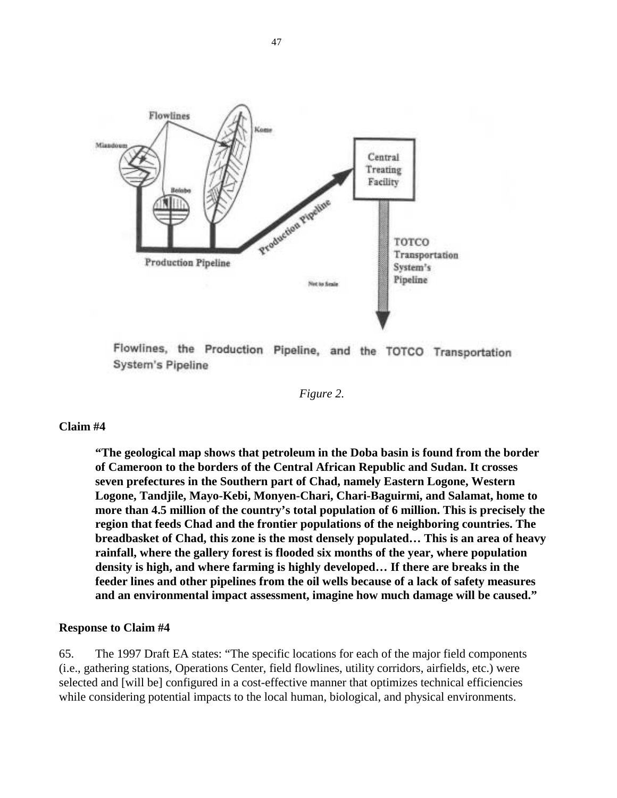

Flowlines, the Production Pipeline, and the TOTCO Transportation **System's Pipeline** 

*Figure 2.* 

**"The geological map shows that petroleum in the Doba basin is found from the border of Cameroon to the borders of the Central African Republic and Sudan. It crosses seven prefectures in the Southern part of Chad, namely Eastern Logone, Western Logone, Tandjile, Mayo-Kebi, Monyen-Chari, Chari-Baguirmi, and Salamat, home to more than 4.5 million of the country's total population of 6 million. This is precisely the region that feeds Chad and the frontier populations of the neighboring countries. The breadbasket of Chad, this zone is the most densely populated… This is an area of heavy rainfall, where the gallery forest is flooded six months of the year, where population density is high, and where farming is highly developed… If there are breaks in the feeder lines and other pipelines from the oil wells because of a lack of safety measures and an environmental impact assessment, imagine how much damage will be caused."** 

#### **Response to Claim #4**

65. The 1997 Draft EA states: "The specific locations for each of the major field components (i.e., gathering stations, Operations Center, field flowlines, utility corridors, airfields, etc.) were selected and [will be] configured in a cost-effective manner that optimizes technical efficiencies while considering potential impacts to the local human, biological, and physical environments.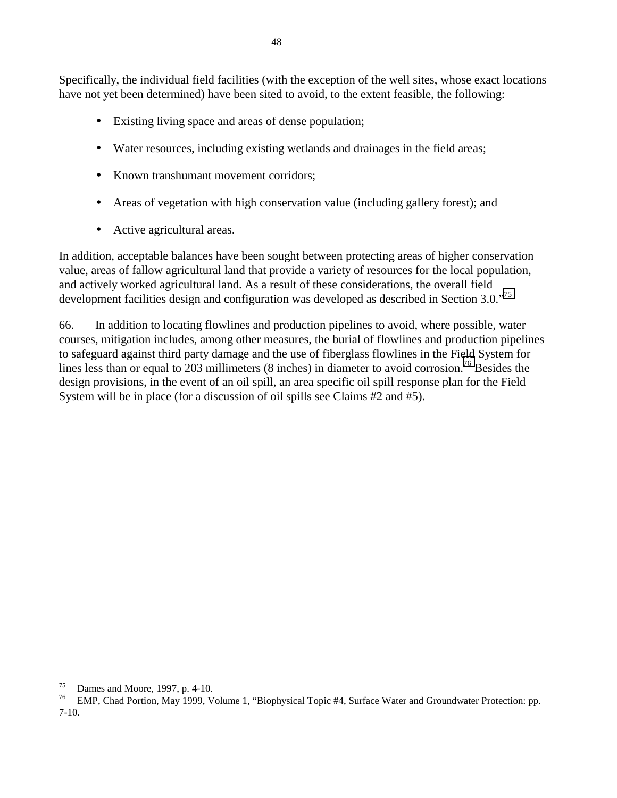Specifically, the individual field facilities (with the exception of the well sites, whose exact locations have not yet been determined) have been sited to avoid, to the extent feasible, the following:

- Existing living space and areas of dense population;
- Water resources, including existing wetlands and drainages in the field areas;
- Known transhumant movement corridors;
- Areas of vegetation with high conservation value (including gallery forest); and
- Active agricultural areas.

In addition, acceptable balances have been sought between protecting areas of higher conservation value, areas of fallow agricultural land that provide a variety of resources for the local population, and actively worked agricultural land. As a result of these considerations, the overall field development facilities design and configuration was developed as described in Section 3.0."<sup>75</sup>

66. In addition to locating flowlines and production pipelines to avoid, where possible, water courses, mitigation includes, among other measures, the burial of flowlines and production pipelines to safeguard against third party damage and the use of fiberglass flowlines in the Field System for lines less than or equal to 203 millimeters (8 inches) in diameter to avoid corrosion.<sup>76</sup> Besides the design provisions, in the event of an oil spill, an area specific oil spill response plan for the Field System will be in place (for a discussion of oil spills see Claims #2 and #5).

Dames and Moore, 1997, p. 4-10.

<sup>76</sup> EMP, Chad Portion, May 1999, Volume 1, "Biophysical Topic #4, Surface Water and Groundwater Protection: pp. 7-10.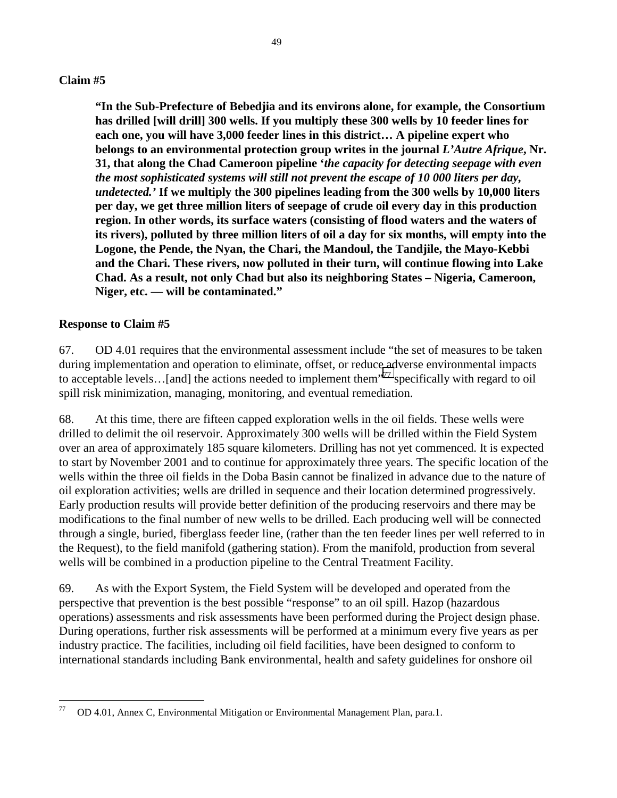**"In the Sub-Prefecture of Bebedjia and its environs alone, for example, the Consortium has drilled [will drill] 300 wells. If you multiply these 300 wells by 10 feeder lines for each one, you will have 3,000 feeder lines in this district… A pipeline expert who belongs to an environmental protection group writes in the journal** *L'Autre Afrique***, Nr. 31, that along the Chad Cameroon pipeline '***the capacity for detecting seepage with even the most sophisticated systems will still not prevent the escape of 10 000 liters per day, undetected.'* **If we multiply the 300 pipelines leading from the 300 wells by 10,000 liters per day, we get three million liters of seepage of crude oil every day in this production region. In other words, its surface waters (consisting of flood waters and the waters of its rivers), polluted by three million liters of oil a day for six months, will empty into the Logone, the Pende, the Nyan, the Chari, the Mandoul, the Tandjile, the Mayo-Kebbi and the Chari. These rivers, now polluted in their turn, will continue flowing into Lake Chad. As a result, not only Chad but also its neighboring States – Nigeria, Cameroon, Niger, etc. — will be contaminated."** 

## **Response to Claim #5**

67. OD 4.01 requires that the environmental assessment include "the set of measures to be taken during implementation and operation to eliminate, offset, or reduce adverse environmental impacts to acceptable levels...[and] the actions needed to implement them<sup>"77</sup> specifically with regard to oil spill risk minimization, managing, monitoring, and eventual remediation.

68. At this time, there are fifteen capped exploration wells in the oil fields. These wells were drilled to delimit the oil reservoir. Approximately 300 wells will be drilled within the Field System over an area of approximately 185 square kilometers. Drilling has not yet commenced. It is expected to start by November 2001 and to continue for approximately three years. The specific location of the wells within the three oil fields in the Doba Basin cannot be finalized in advance due to the nature of oil exploration activities; wells are drilled in sequence and their location determined progressively. Early production results will provide better definition of the producing reservoirs and there may be modifications to the final number of new wells to be drilled. Each producing well will be connected through a single, buried, fiberglass feeder line, (rather than the ten feeder lines per well referred to in the Request), to the field manifold (gathering station). From the manifold, production from several wells will be combined in a production pipeline to the Central Treatment Facility.

69. As with the Export System, the Field System will be developed and operated from the perspective that prevention is the best possible "response" to an oil spill. Hazop (hazardous operations) assessments and risk assessments have been performed during the Project design phase. During operations, further risk assessments will be performed at a minimum every five years as per industry practice. The facilities, including oil field facilities, have been designed to conform to international standards including Bank environmental, health and safety guidelines for onshore oil

 $77\,$ 77 OD 4.01, Annex C, Environmental Mitigation or Environmental Management Plan, para.1.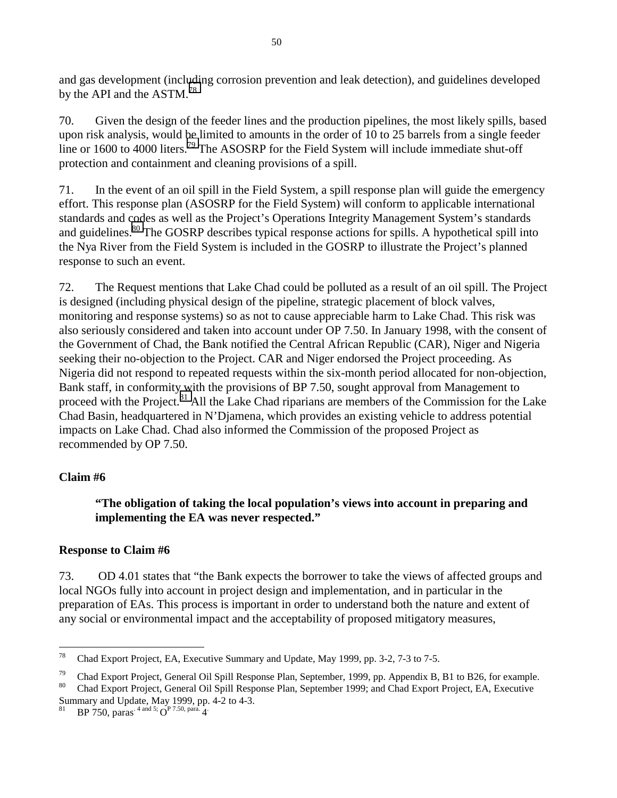and gas development (including corrosion prevention and leak detection), and guidelines developed by the API and the ASTM.<sup>78</sup>

70. Given the design of the feeder lines and the production pipelines, the most likely spills, based upon risk analysis, would be limited to amounts in the order of 10 to 25 barrels from a single feeder line or 1600 to 4000 liters.<sup>79</sup> The ASOSRP for the Field System will include immediate shut-off protection and containment and cleaning provisions of a spill.

71. In the event of an oil spill in the Field System, a spill response plan will guide the emergency effort. This response plan (ASOSRP for the Field System) will conform to applicable international standards and codes as well as the Project's Operations Integrity Management System's standards and guidelines.<sup>80</sup> The GOSRP describes typical response actions for spills. A hypothetical spill into the Nya River from the Field System is included in the GOSRP to illustrate the Project's planned response to such an event.

72. The Request mentions that Lake Chad could be polluted as a result of an oil spill. The Project is designed (including physical design of the pipeline, strategic placement of block valves, monitoring and response systems) so as not to cause appreciable harm to Lake Chad. This risk was also seriously considered and taken into account under OP 7.50. In January 1998, with the consent of the Government of Chad, the Bank notified the Central African Republic (CAR), Niger and Nigeria seeking their no-objection to the Project. CAR and Niger endorsed the Project proceeding. As Nigeria did not respond to repeated requests within the six-month period allocated for non-objection, Bank staff, in conformity with the provisions of BP 7.50, sought approval from Management to proceed with the Project.<sup>81</sup> All the Lake Chad riparians are members of the Commission for the Lake Chad Basin, headquartered in N'Djamena, which provides an existing vehicle to address potential impacts on Lake Chad. Chad also informed the Commission of the proposed Project as recommended by OP 7.50.

# **Claim #6**

# **"The obligation of taking the local population's views into account in preparing and implementing the EA was never respected."**

# **Response to Claim #6**

73. OD 4.01 states that "the Bank expects the borrower to take the views of affected groups and local NGOs fully into account in project design and implementation, and in particular in the preparation of EAs. This process is important in order to understand both the nature and extent of any social or environmental impact and the acceptability of proposed mitigatory measures,

<sup>78</sup> Chad Export Project, EA, Executive Summary and Update, May 1999, pp. 3-2, 7-3 to 7-5.

<sup>&</sup>lt;sup>79</sup> Chad Export Project, General Oil Spill Response Plan, September, 1999, pp. Appendix B, B1 to B26, for example.<br><sup>80</sup> Chad Export Project, General Oil Spill Response Plan, September 1999, pp. Appendix B, B1 to B26, for

<sup>80</sup> Chad Export Project, General Oil Spill Response Plan, September 1999; and Chad Export Project, EA, Executive Summary and Update, May 1999, pp. 4-2 to 4-3.

BP 750, paras.  $4 \text{ and } 5$ ;  $\overrightarrow{O}^{\text{P}}$  7.50, para.  $4$ .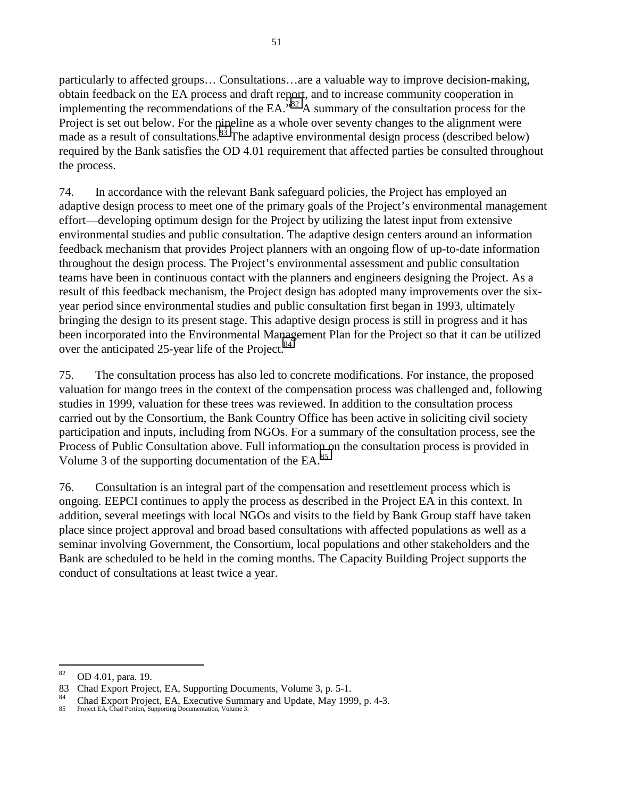particularly to affected groups… Consultations…are a valuable way to improve decision-making, obtain feedback on the EA process and draft report, and to increase community cooperation in implementing the recommendations of the EA.<sup> $32$ </sup> A summary of the consultation process for the Project is set out below. For the pipeline as a whole over seventy changes to the alignment were made as a result of consultations.<sup>83</sup> The adaptive environmental design process (described below) required by the Bank satisfies the OD 4.01 requirement that affected parties be consulted throughout the process.

74. In accordance with the relevant Bank safeguard policies, the Project has employed an adaptive design process to meet one of the primary goals of the Project's environmental management effort—developing optimum design for the Project by utilizing the latest input from extensive environmental studies and public consultation. The adaptive design centers around an information feedback mechanism that provides Project planners with an ongoing flow of up-to-date information throughout the design process. The Project's environmental assessment and public consultation teams have been in continuous contact with the planners and engineers designing the Project. As a result of this feedback mechanism, the Project design has adopted many improvements over the sixyear period since environmental studies and public consultation first began in 1993, ultimately bringing the design to its present stage. This adaptive design process is still in progress and it has been incorporated into the Environmental Management Plan for the Project so that it can be utilized over the anticipated 25-year life of the Project.<sup>84</sup>

75. The consultation process has also led to concrete modifications. For instance, the proposed valuation for mango trees in the context of the compensation process was challenged and, following studies in 1999, valuation for these trees was reviewed. In addition to the consultation process carried out by the Consortium, the Bank Country Office has been active in soliciting civil society participation and inputs, including from NGOs. For a summary of the consultation process, see the Process of Public Consultation above. Full information on the consultation process is provided in Volume 3 of the supporting documentation of the EA. $^{85}$ 

76. Consultation is an integral part of the compensation and resettlement process which is ongoing. EEPCI continues to apply the process as described in the Project EA in this context. In addition, several meetings with local NGOs and visits to the field by Bank Group staff have taken place since project approval and broad based consultations with affected populations as well as a seminar involving Government, the Consortium, local populations and other stakeholders and the Bank are scheduled to be held in the coming months. The Capacity Building Project supports the conduct of consultations at least twice a year.

<sup>82</sup> 82 OD 4.01, para. 19.

<sup>83</sup> Chad Export Project, EA, Supporting Documents, Volume 3, p. 5-1.

<sup>&</sup>lt;sup>84</sup> Chad Export Project, EA, Executive Summary and Update, May 1999, p. 4-3.<br><sup>85</sup> Project EA, Chad Portion Supporting Documentation Volume 3

Project EA, Chad Portion, Supporting Documentation, Volume 3.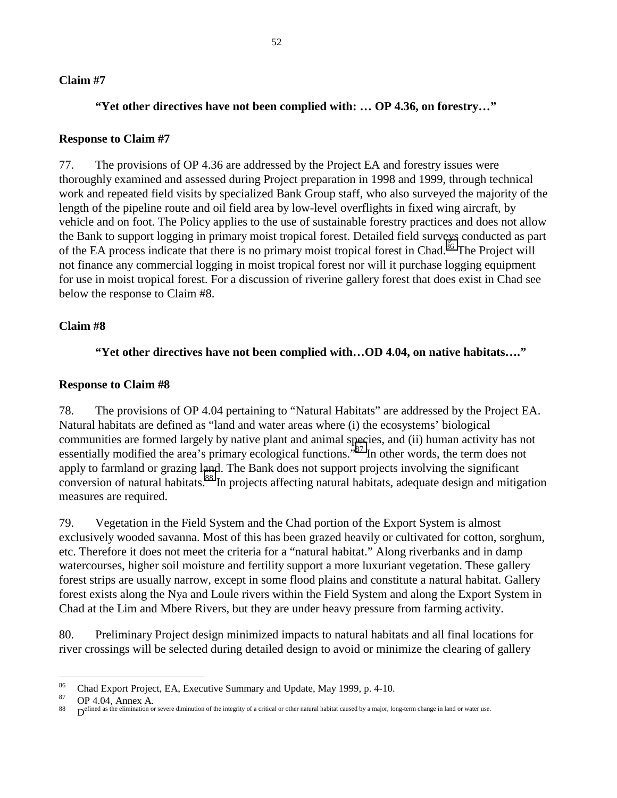## **"Yet other directives have not been complied with: … OP 4.36, on forestry…"**

### **Response to Claim #7**

77. The provisions of OP 4.36 are addressed by the Project EA and forestry issues were thoroughly examined and assessed during Project preparation in 1998 and 1999, through technical work and repeated field visits by specialized Bank Group staff, who also surveyed the majority of the length of the pipeline route and oil field area by low-level overflights in fixed wing aircraft, by vehicle and on foot. The Policy applies to the use of sustainable forestry practices and does not allow the Bank to support logging in primary moist tropical forest. Detailed field surveys conducted as part of the EA process indicate that there is no primary moist tropical forest in Chad.<sup>86</sup> The Project will not finance any commercial logging in moist tropical forest nor will it purchase logging equipment for use in moist tropical forest. For a discussion of riverine gallery forest that does exist in Chad see below the response to Claim #8.

## **Claim #8**

#### **"Yet other directives have not been complied with…OD 4.04, on native habitats…."**

#### **Response to Claim #8**

78. The provisions of OP 4.04 pertaining to "Natural Habitats" are addressed by the Project EA. Natural habitats are defined as "land and water areas where (i) the ecosystems' biological communities are formed largely by native plant and animal species, and (ii) human activity has not essentially modified the area's primary ecological functions."<sup>87</sup> In other words, the term does not apply to farmland or grazing land. The Bank does not support projects involving the significant conversion of natural habitats.<sup>88</sup> In projects affecting natural habitats, adequate design and mitigation measures are required.

79. Vegetation in the Field System and the Chad portion of the Export System is almost exclusively wooded savanna. Most of this has been grazed heavily or cultivated for cotton, sorghum, etc. Therefore it does not meet the criteria for a "natural habitat." Along riverbanks and in damp watercourses, higher soil moisture and fertility support a more luxuriant vegetation. These gallery forest strips are usually narrow, except in some flood plains and constitute a natural habitat. Gallery forest exists along the Nya and Loule rivers within the Field System and along the Export System in Chad at the Lim and Mbere Rivers, but they are under heavy pressure from farming activity.

80. Preliminary Project design minimized impacts to natural habitats and all final locations for river crossings will be selected during detailed design to avoid or minimize the clearing of gallery

 $\frac{86}{27}$  Chad Export Project, EA, Executive Summary and Update, May 1999, p. 4-10.

 $^{87}$  OP 4.04, Annex A.

**Defined as the elimination or severe diminution of the integrity of a critical or other natural habitat caused by a major, long-term change in land or water use.**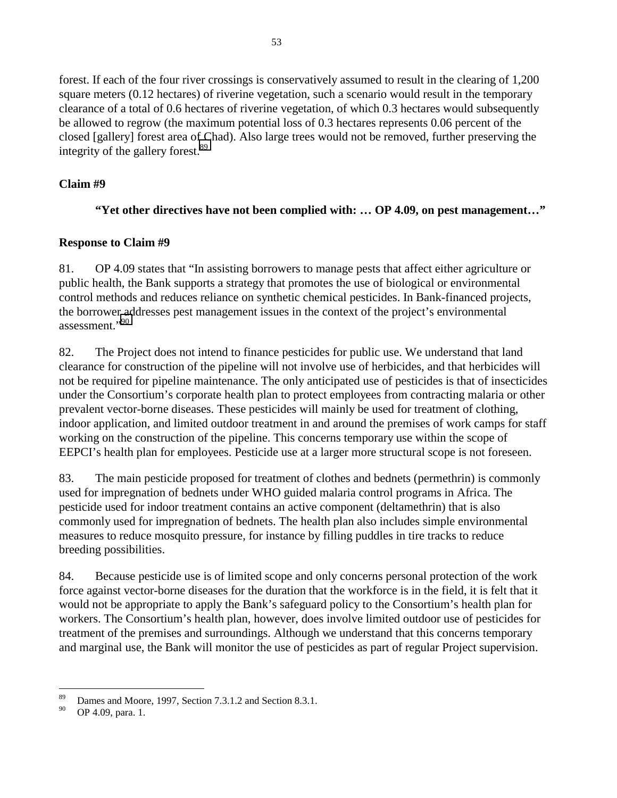forest. If each of the four river crossings is conservatively assumed to result in the clearing of 1,200 square meters (0.12 hectares) of riverine vegetation, such a scenario would result in the temporary clearance of a total of 0.6 hectares of riverine vegetation, of which 0.3 hectares would subsequently be allowed to regrow (the maximum potential loss of 0.3 hectares represents 0.06 percent of the closed [gallery] forest area of Chad). Also large trees would not be removed, further preserving the integrity of the gallery forest. $89$ 

# **Claim #9**

# **"Yet other directives have not been complied with: … OP 4.09, on pest management…"**

# **Response to Claim #9**

81. OP 4.09 states that "In assisting borrowers to manage pests that affect either agriculture or public health, the Bank supports a strategy that promotes the use of biological or environmental control methods and reduces reliance on synthetic chemical pesticides. In Bank-financed projects, the borrower addresses pest management issues in the context of the project's environmental assessment."90

82. The Project does not intend to finance pesticides for public use. We understand that land clearance for construction of the pipeline will not involve use of herbicides, and that herbicides will not be required for pipeline maintenance. The only anticipated use of pesticides is that of insecticides under the Consortium's corporate health plan to protect employees from contracting malaria or other prevalent vector-borne diseases. These pesticides will mainly be used for treatment of clothing, indoor application, and limited outdoor treatment in and around the premises of work camps for staff working on the construction of the pipeline. This concerns temporary use within the scope of EEPCI's health plan for employees. Pesticide use at a larger more structural scope is not foreseen.

83. The main pesticide proposed for treatment of clothes and bednets (permethrin) is commonly used for impregnation of bednets under WHO guided malaria control programs in Africa. The pesticide used for indoor treatment contains an active component (deltamethrin) that is also commonly used for impregnation of bednets. The health plan also includes simple environmental measures to reduce mosquito pressure, for instance by filling puddles in tire tracks to reduce breeding possibilities.

84. Because pesticide use is of limited scope and only concerns personal protection of the work force against vector-borne diseases for the duration that the workforce is in the field, it is felt that it would not be appropriate to apply the Bank's safeguard policy to the Consortium's health plan for workers. The Consortium's health plan, however, does involve limited outdoor use of pesticides for treatment of the premises and surroundings. Although we understand that this concerns temporary and marginal use, the Bank will monitor the use of pesticides as part of regular Project supervision.

 $\overline{a}$ <sup>89</sup> Dames and Moore, 1997, Section 7.3.1.2 and Section 8.3.1.<br> **OB** 4.00 perc 1

OP 4.09, para. 1.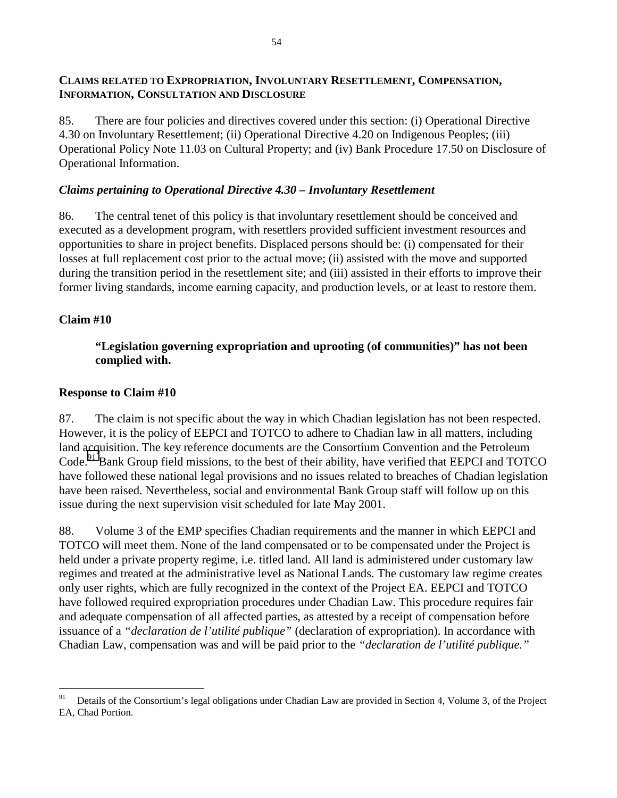## **CLAIMS RELATED TO EXPROPRIATION, INVOLUNTARY RESETTLEMENT, COMPENSATION, INFORMATION, CONSULTATION AND DISCLOSURE**

85. There are four policies and directives covered under this section: (i) Operational Directive 4.30 on Involuntary Resettlement; (ii) Operational Directive 4.20 on Indigenous Peoples; (iii) Operational Policy Note 11.03 on Cultural Property; and (iv) Bank Procedure 17.50 on Disclosure of Operational Information.

## *Claims pertaining to Operational Directive 4.30 – Involuntary Resettlement*

86. The central tenet of this policy is that involuntary resettlement should be conceived and executed as a development program, with resettlers provided sufficient investment resources and opportunities to share in project benefits. Displaced persons should be: (i) compensated for their losses at full replacement cost prior to the actual move; (ii) assisted with the move and supported during the transition period in the resettlement site; and (iii) assisted in their efforts to improve their former living standards, income earning capacity, and production levels, or at least to restore them.

# **Claim #10**

# **"Legislation governing expropriation and uprooting (of communities)" has not been complied with.**

## **Response to Claim #10**

87. The claim is not specific about the way in which Chadian legislation has not been respected. However, it is the policy of EEPCI and TOTCO to adhere to Chadian law in all matters, including land acquisition. The key reference documents are the Consortium Convention and the Petroleum Code.<sup>91</sup> Bank Group field missions, to the best of their ability, have verified that EEPCI and TOTCO have followed these national legal provisions and no issues related to breaches of Chadian legislation have been raised. Nevertheless, social and environmental Bank Group staff will follow up on this issue during the next supervision visit scheduled for late May 2001.

88. Volume 3 of the EMP specifies Chadian requirements and the manner in which EEPCI and TOTCO will meet them. None of the land compensated or to be compensated under the Project is held under a private property regime, i.e. titled land. All land is administered under customary law regimes and treated at the administrative level as National Lands. The customary law regime creates only user rights, which are fully recognized in the context of the Project EA. EEPCI and TOTCO have followed required expropriation procedures under Chadian Law. This procedure requires fair and adequate compensation of all affected parties, as attested by a receipt of compensation before issuance of a *"declaration de l'utilité publique"* (declaration of expropriation). In accordance with Chadian Law, compensation was and will be paid prior to the *"declaration de l'utilité publique."*

<sup>91</sup> Details of the Consortium's legal obligations under Chadian Law are provided in Section 4, Volume 3, of the Project EA, Chad Portion.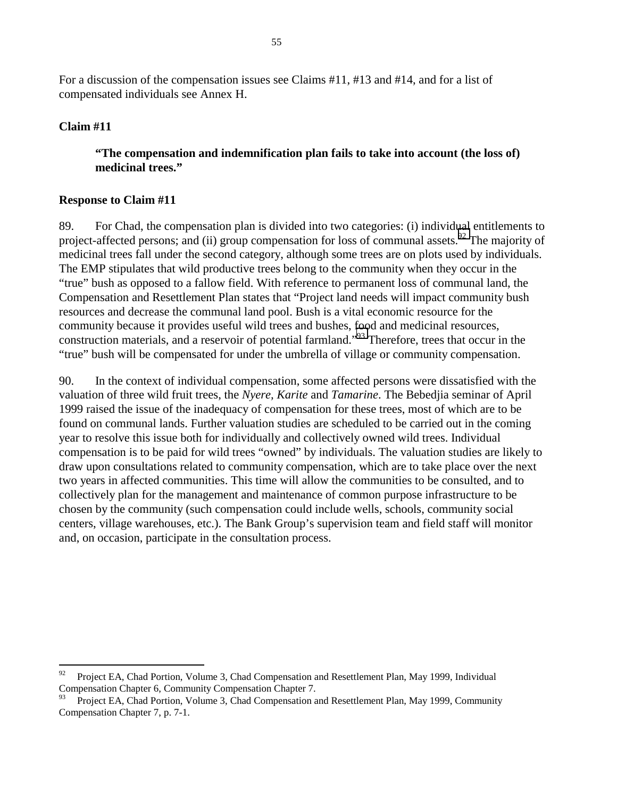For a discussion of the compensation issues see Claims #11, #13 and #14, and for a list of compensated individuals see Annex H.

## **Claim #11**

## **"The compensation and indemnification plan fails to take into account (the loss of) medicinal trees."**

## **Response to Claim #11**

89. For Chad, the compensation plan is divided into two categories: (i) individual entitlements to project-affected persons; and (ii) group compensation for loss of communal assets.<sup>92</sup> The majority of medicinal trees fall under the second category, although some trees are on plots used by individuals. The EMP stipulates that wild productive trees belong to the community when they occur in the "true" bush as opposed to a fallow field. With reference to permanent loss of communal land, the Compensation and Resettlement Plan states that "Project land needs will impact community bush resources and decrease the communal land pool. Bush is a vital economic resource for the community because it provides useful wild trees and bushes, food and medicinal resources, construction materials, and a reservoir of potential farmland."93 Therefore, trees that occur in the "true" bush will be compensated for under the umbrella of village or community compensation.

90. In the context of individual compensation, some affected persons were dissatisfied with the valuation of three wild fruit trees, the *Nyere, Karite* and *Tamarine*. The Bebedjia seminar of April 1999 raised the issue of the inadequacy of compensation for these trees, most of which are to be found on communal lands. Further valuation studies are scheduled to be carried out in the coming year to resolve this issue both for individually and collectively owned wild trees. Individual compensation is to be paid for wild trees "owned" by individuals. The valuation studies are likely to draw upon consultations related to community compensation, which are to take place over the next two years in affected communities. This time will allow the communities to be consulted, and to collectively plan for the management and maintenance of common purpose infrastructure to be chosen by the community (such compensation could include wells, schools, community social centers, village warehouses, etc.). The Bank Group's supervision team and field staff will monitor and, on occasion, participate in the consultation process.

<sup>92</sup> Project EA, Chad Portion, Volume 3, Chad Compensation and Resettlement Plan, May 1999, Individual Compensation Chapter 6, Community Compensation Chapter 7.

<sup>93</sup> Project EA, Chad Portion, Volume 3, Chad Compensation and Resettlement Plan, May 1999, Community Compensation Chapter 7, p. 7-1.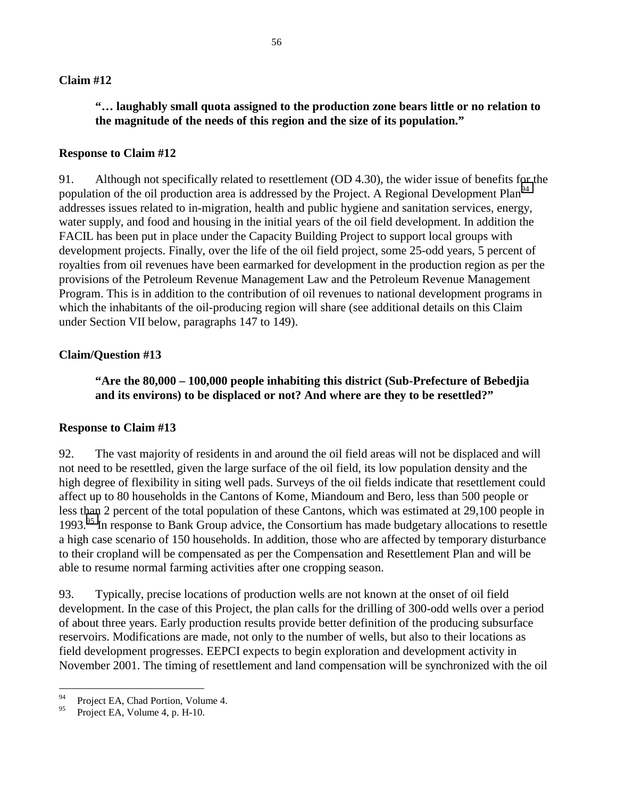# **"… laughably small quota assigned to the production zone bears little or no relation to the magnitude of the needs of this region and the size of its population."**

### **Response to Claim #12**

91. Although not specifically related to resettlement (OD 4.30), the wider issue of benefits for the population of the oil production area is addressed by the Project. A Regional Development Plan<sup>94</sup> addresses issues related to in-migration, health and public hygiene and sanitation services, energy, water supply, and food and housing in the initial years of the oil field development. In addition the FACIL has been put in place under the Capacity Building Project to support local groups with development projects. Finally, over the life of the oil field project, some 25-odd years, 5 percent of royalties from oil revenues have been earmarked for development in the production region as per the provisions of the Petroleum Revenue Management Law and the Petroleum Revenue Management Program. This is in addition to the contribution of oil revenues to national development programs in which the inhabitants of the oil-producing region will share (see additional details on this Claim under Section VII below, paragraphs 147 to 149).

## **Claim/Question #13**

**"Are the 80,000 – 100,000 people inhabiting this district (Sub-Prefecture of Bebedjia and its environs) to be displaced or not? And where are they to be resettled?"** 

## **Response to Claim #13**

92. The vast majority of residents in and around the oil field areas will not be displaced and will not need to be resettled, given the large surface of the oil field, its low population density and the high degree of flexibility in siting well pads. Surveys of the oil fields indicate that resettlement could affect up to 80 households in the Cantons of Kome, Miandoum and Bero, less than 500 people or less than 2 percent of the total population of these Cantons, which was estimated at 29,100 people in 1993.<sup>95</sup> In response to Bank Group advice, the Consortium has made budgetary allocations to resettle a high case scenario of 150 households. In addition, those who are affected by temporary disturbance to their cropland will be compensated as per the Compensation and Resettlement Plan and will be able to resume normal farming activities after one cropping season.

93. Typically, precise locations of production wells are not known at the onset of oil field development. In the case of this Project, the plan calls for the drilling of 300-odd wells over a period of about three years. Early production results provide better definition of the producing subsurface reservoirs. Modifications are made, not only to the number of wells, but also to their locations as field development progresses. EEPCI expects to begin exploration and development activity in November 2001. The timing of resettlement and land compensation will be synchronized with the oil

<sup>94</sup> <sup>94</sup> Project EA, Chad Portion, Volume 4.<br>Project EA, Volume 4, p. H. 10.

Project EA, Volume 4, p. H-10.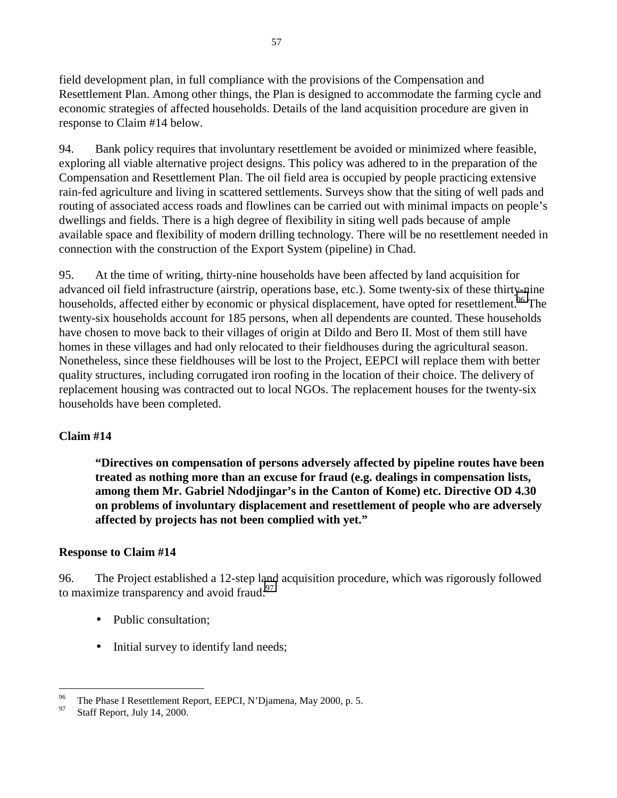field development plan, in full compliance with the provisions of the Compensation and Resettlement Plan. Among other things, the Plan is designed to accommodate the farming cycle and economic strategies of affected households. Details of the land acquisition procedure are given in response to Claim #14 below.

94. Bank policy requires that involuntary resettlement be avoided or minimized where feasible, exploring all viable alternative project designs. This policy was adhered to in the preparation of the Compensation and Resettlement Plan. The oil field area is occupied by people practicing extensive rain-fed agriculture and living in scattered settlements. Surveys show that the siting of well pads and routing of associated access roads and flowlines can be carried out with minimal impacts on people's dwellings and fields. There is a high degree of flexibility in siting well pads because of ample available space and flexibility of modern drilling technology. There will be no resettlement needed in connection with the construction of the Export System (pipeline) in Chad.

95. At the time of writing, thirty-nine households have been affected by land acquisition for advanced oil field infrastructure (airstrip, operations base, etc.). Some twenty-six of these thirty-nine households, affected either by economic or physical displacement, have opted for resettlement.<sup>96</sup> The twenty-six households account for 185 persons, when all dependents are counted. These households have chosen to move back to their villages of origin at Dildo and Bero II. Most of them still have homes in these villages and had only relocated to their fieldhouses during the agricultural season. Nonetheless, since these fieldhouses will be lost to the Project, EEPCI will replace them with better quality structures, including corrugated iron roofing in the location of their choice. The delivery of replacement housing was contracted out to local NGOs. The replacement houses for the twenty-six households have been completed.

## **Claim #14**

**"Directives on compensation of persons adversely affected by pipeline routes have been treated as nothing more than an excuse for fraud (e.g. dealings in compensation lists, among them Mr. Gabriel Ndodjingar's in the Canton of Kome) etc. Directive OD 4.30 on problems of involuntary displacement and resettlement of people who are adversely affected by projects has not been complied with yet."** 

## **Response to Claim #14**

96. The Project established a 12-step land acquisition procedure, which was rigorously followed to maximize transparency and avoid fraud: $97$ 

- Public consultation:
- Initial survey to identify land needs;

<sup>&</sup>lt;sup>96</sup> The Phase I Resettlement Report, EEPCI, N'Djamena, May 2000, p. 5.<br> $^{97}$  Stoff Report, July 14, 2000.

Staff Report, July 14, 2000.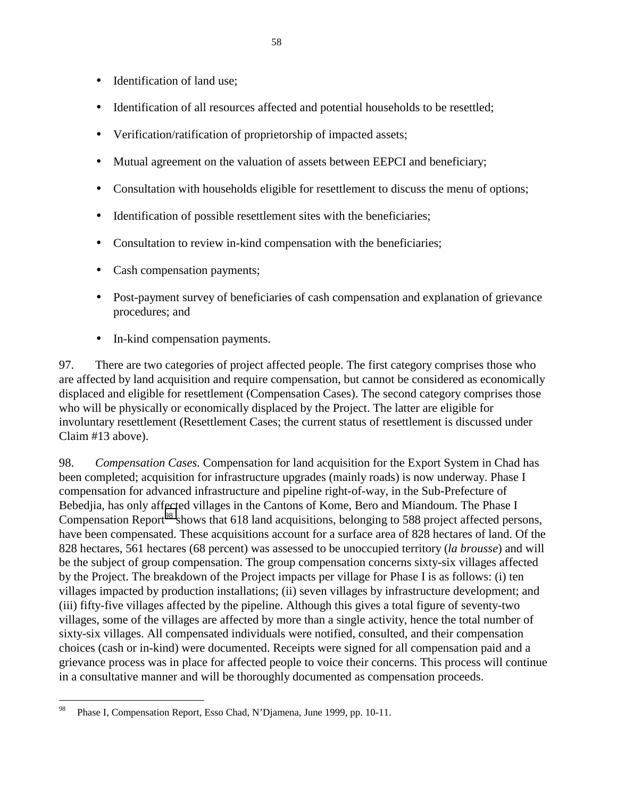- Identification of land use;
- Identification of all resources affected and potential households to be resettled;
- Verification/ratification of proprietorship of impacted assets;
- Mutual agreement on the valuation of assets between EEPCI and beneficiary;
- Consultation with households eligible for resettlement to discuss the menu of options;
- Identification of possible resettlement sites with the beneficiaries;
- Consultation to review in-kind compensation with the beneficiaries;
- Cash compensation payments;
- Post-payment survey of beneficiaries of cash compensation and explanation of grievance procedures; and
- In-kind compensation payments.

97. There are two categories of project affected people. The first category comprises those who are affected by land acquisition and require compensation, but cannot be considered as economically displaced and eligible for resettlement (Compensation Cases). The second category comprises those who will be physically or economically displaced by the Project. The latter are eligible for involuntary resettlement (Resettlement Cases; the current status of resettlement is discussed under Claim #13 above).

98. *Compensation Cases.* Compensation for land acquisition for the Export System in Chad has been completed; acquisition for infrastructure upgrades (mainly roads) is now underway. Phase I compensation for advanced infrastructure and pipeline right-of-way, in the Sub-Prefecture of Bebedjia, has only affected villages in the Cantons of Kome, Bero and Miandoum. The Phase I Compensation Report<sup>98</sup> shows that 618 land acquisitions, belonging to 588 project affected persons, have been compensated. These acquisitions account for a surface area of 828 hectares of land. Of the 828 hectares, 561 hectares (68 percent) was assessed to be unoccupied territory (*la brousse*) and will be the subject of group compensation. The group compensation concerns sixty-six villages affected by the Project. The breakdown of the Project impacts per village for Phase I is as follows: (i) ten villages impacted by production installations; (ii) seven villages by infrastructure development; and (iii) fifty-five villages affected by the pipeline. Although this gives a total figure of seventy-two villages, some of the villages are affected by more than a single activity, hence the total number of sixty-six villages. All compensated individuals were notified, consulted, and their compensation choices (cash or in-kind) were documented. Receipts were signed for all compensation paid and a grievance process was in place for affected people to voice their concerns. This process will continue in a consultative manner and will be thoroughly documented as compensation proceeds.

<sup>98</sup> Phase I, Compensation Report, Esso Chad, N'Djamena, June 1999, pp. 10-11.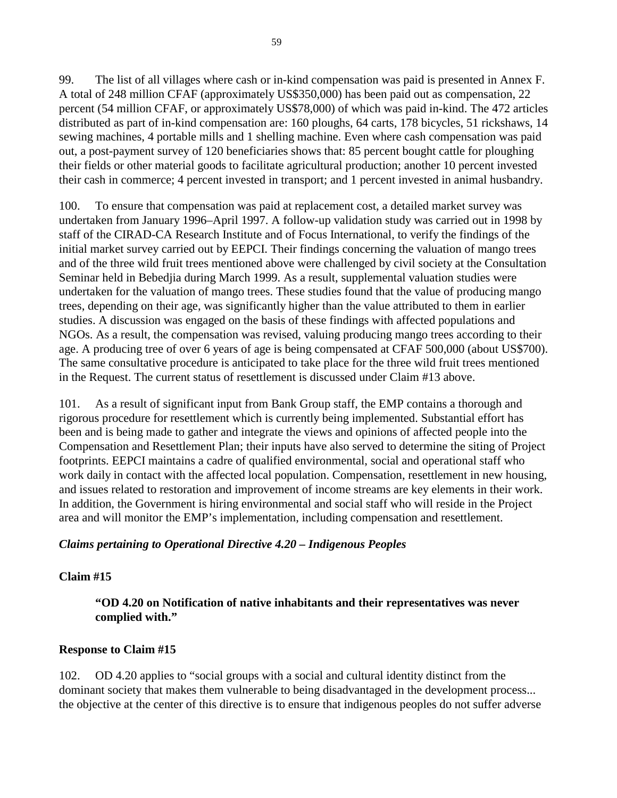99. The list of all villages where cash or in-kind compensation was paid is presented in Annex F. A total of 248 million CFAF (approximately US\$350,000) has been paid out as compensation, 22 percent (54 million CFAF, or approximately US\$78,000) of which was paid in-kind. The 472 articles distributed as part of in-kind compensation are: 160 ploughs, 64 carts, 178 bicycles, 51 rickshaws, 14 sewing machines, 4 portable mills and 1 shelling machine. Even where cash compensation was paid out, a post-payment survey of 120 beneficiaries shows that: 85 percent bought cattle for ploughing their fields or other material goods to facilitate agricultural production; another 10 percent invested their cash in commerce; 4 percent invested in transport; and 1 percent invested in animal husbandry.

100. To ensure that compensation was paid at replacement cost, a detailed market survey was undertaken from January 1996–April 1997. A follow-up validation study was carried out in 1998 by staff of the CIRAD-CA Research Institute and of Focus International, to verify the findings of the initial market survey carried out by EEPCI. Their findings concerning the valuation of mango trees and of the three wild fruit trees mentioned above were challenged by civil society at the Consultation Seminar held in Bebedjia during March 1999. As a result, supplemental valuation studies were undertaken for the valuation of mango trees. These studies found that the value of producing mango trees, depending on their age, was significantly higher than the value attributed to them in earlier studies. A discussion was engaged on the basis of these findings with affected populations and NGOs. As a result, the compensation was revised, valuing producing mango trees according to their age. A producing tree of over 6 years of age is being compensated at CFAF 500,000 (about US\$700). The same consultative procedure is anticipated to take place for the three wild fruit trees mentioned in the Request. The current status of resettlement is discussed under Claim #13 above.

101. As a result of significant input from Bank Group staff, the EMP contains a thorough and rigorous procedure for resettlement which is currently being implemented. Substantial effort has been and is being made to gather and integrate the views and opinions of affected people into the Compensation and Resettlement Plan; their inputs have also served to determine the siting of Project footprints. EEPCI maintains a cadre of qualified environmental, social and operational staff who work daily in contact with the affected local population. Compensation, resettlement in new housing, and issues related to restoration and improvement of income streams are key elements in their work. In addition, the Government is hiring environmental and social staff who will reside in the Project area and will monitor the EMP's implementation, including compensation and resettlement.

# *Claims pertaining to Operational Directive 4.20 – Indigenous Peoples*

# **Claim #15**

**"OD 4.20 on Notification of native inhabitants and their representatives was never complied with."** 

# **Response to Claim #15**

102. OD 4.20 applies to "social groups with a social and cultural identity distinct from the dominant society that makes them vulnerable to being disadvantaged in the development process... the objective at the center of this directive is to ensure that indigenous peoples do not suffer adverse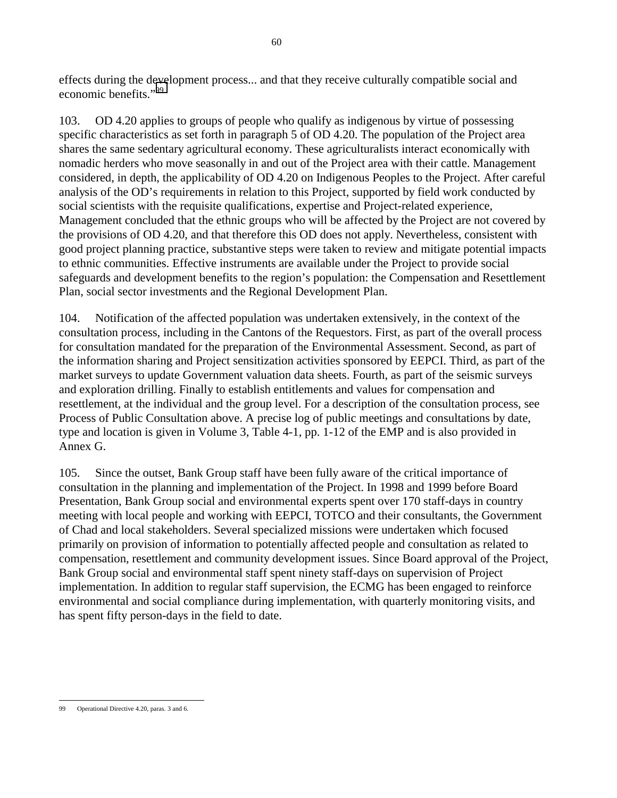effects during the development process... and that they receive culturally compatible social and economic benefits."99

103. OD 4.20 applies to groups of people who qualify as indigenous by virtue of possessing specific characteristics as set forth in paragraph 5 of OD 4.20. The population of the Project area shares the same sedentary agricultural economy. These agriculturalists interact economically with nomadic herders who move seasonally in and out of the Project area with their cattle. Management considered, in depth, the applicability of OD 4.20 on Indigenous Peoples to the Project. After careful analysis of the OD's requirements in relation to this Project, supported by field work conducted by social scientists with the requisite qualifications, expertise and Project-related experience, Management concluded that the ethnic groups who will be affected by the Project are not covered by the provisions of OD 4.20, and that therefore this OD does not apply. Nevertheless, consistent with good project planning practice, substantive steps were taken to review and mitigate potential impacts to ethnic communities. Effective instruments are available under the Project to provide social safeguards and development benefits to the region's population: the Compensation and Resettlement Plan, social sector investments and the Regional Development Plan.

104. Notification of the affected population was undertaken extensively, in the context of the consultation process, including in the Cantons of the Requestors. First, as part of the overall process for consultation mandated for the preparation of the Environmental Assessment. Second, as part of the information sharing and Project sensitization activities sponsored by EEPCI. Third, as part of the market surveys to update Government valuation data sheets. Fourth, as part of the seismic surveys and exploration drilling. Finally to establish entitlements and values for compensation and resettlement, at the individual and the group level. For a description of the consultation process, see Process of Public Consultation above. A precise log of public meetings and consultations by date, type and location is given in Volume 3, Table 4-1, pp. 1-12 of the EMP and is also provided in Annex G.

105. Since the outset, Bank Group staff have been fully aware of the critical importance of consultation in the planning and implementation of the Project. In 1998 and 1999 before Board Presentation, Bank Group social and environmental experts spent over 170 staff-days in country meeting with local people and working with EEPCI, TOTCO and their consultants, the Government of Chad and local stakeholders. Several specialized missions were undertaken which focused primarily on provision of information to potentially affected people and consultation as related to compensation, resettlement and community development issues. Since Board approval of the Project, Bank Group social and environmental staff spent ninety staff-days on supervision of Project implementation. In addition to regular staff supervision, the ECMG has been engaged to reinforce environmental and social compliance during implementation, with quarterly monitoring visits, and has spent fifty person-days in the field to date.

 $\overline{a}$ 99 Operational Directive 4.20, paras. 3 and 6.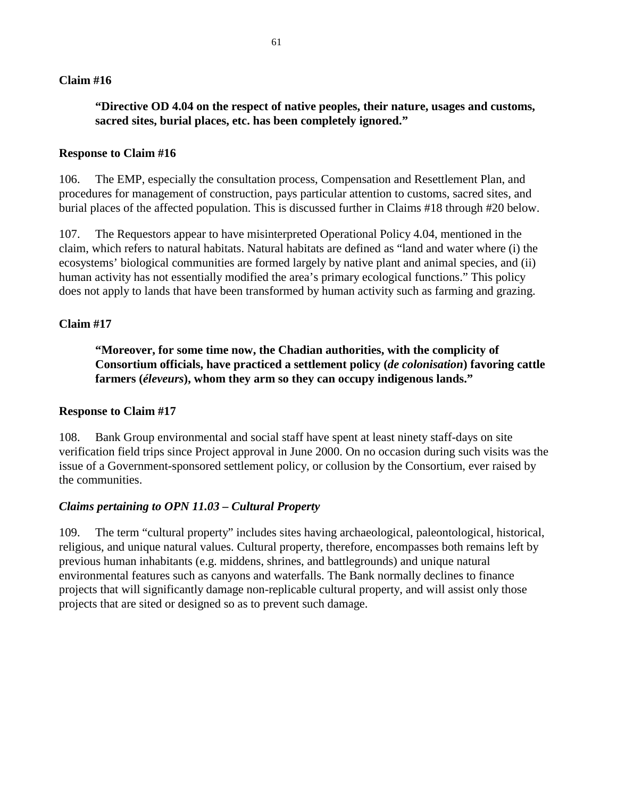## **"Directive OD 4.04 on the respect of native peoples, their nature, usages and customs, sacred sites, burial places, etc. has been completely ignored."**

#### **Response to Claim #16**

106. The EMP, especially the consultation process, Compensation and Resettlement Plan, and procedures for management of construction, pays particular attention to customs, sacred sites, and burial places of the affected population. This is discussed further in Claims #18 through #20 below.

107. The Requestors appear to have misinterpreted Operational Policy 4.04, mentioned in the claim, which refers to natural habitats. Natural habitats are defined as "land and water where (i) the ecosystems' biological communities are formed largely by native plant and animal species, and (ii) human activity has not essentially modified the area's primary ecological functions." This policy does not apply to lands that have been transformed by human activity such as farming and grazing.

#### **Claim #17**

**"Moreover, for some time now, the Chadian authorities, with the complicity of Consortium officials, have practiced a settlement policy (***de colonisation***) favoring cattle farmers (***éleveurs***), whom they arm so they can occupy indigenous lands."** 

#### **Response to Claim #17**

108. Bank Group environmental and social staff have spent at least ninety staff-days on site verification field trips since Project approval in June 2000. On no occasion during such visits was the issue of a Government-sponsored settlement policy, or collusion by the Consortium, ever raised by the communities.

#### *Claims pertaining to OPN 11.03 – Cultural Property*

109. The term "cultural property" includes sites having archaeological, paleontological, historical, religious, and unique natural values. Cultural property, therefore, encompasses both remains left by previous human inhabitants (e.g. middens, shrines, and battlegrounds) and unique natural environmental features such as canyons and waterfalls. The Bank normally declines to finance projects that will significantly damage non-replicable cultural property, and will assist only those projects that are sited or designed so as to prevent such damage.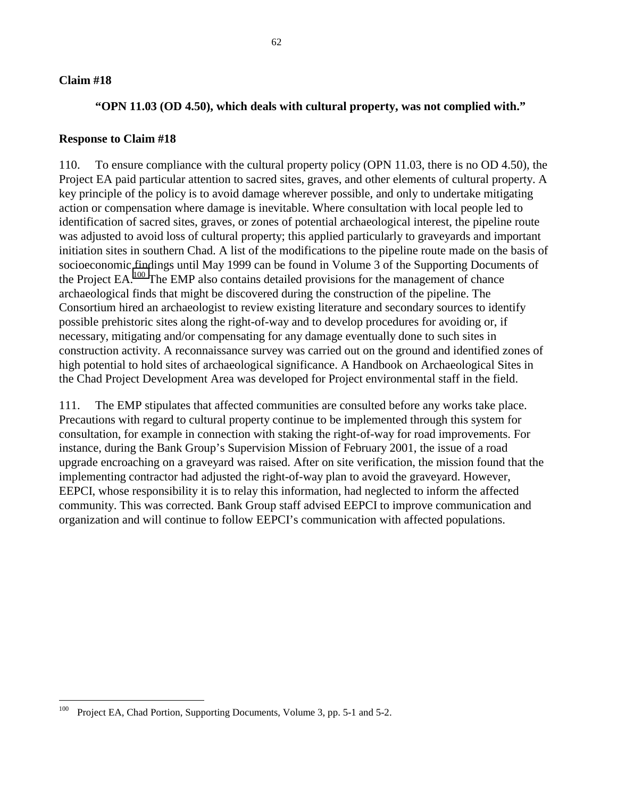## **"OPN 11.03 (OD 4.50), which deals with cultural property, was not complied with."**

#### **Response to Claim #18**

110. To ensure compliance with the cultural property policy (OPN 11.03, there is no OD 4.50), the Project EA paid particular attention to sacred sites, graves, and other elements of cultural property. A key principle of the policy is to avoid damage wherever possible, and only to undertake mitigating action or compensation where damage is inevitable. Where consultation with local people led to identification of sacred sites, graves, or zones of potential archaeological interest, the pipeline route was adjusted to avoid loss of cultural property; this applied particularly to graveyards and important initiation sites in southern Chad. A list of the modifications to the pipeline route made on the basis of socioeconomic findings until May 1999 can be found in Volume 3 of the Supporting Documents of the Project EA.100 The EMP also contains detailed provisions for the management of chance archaeological finds that might be discovered during the construction of the pipeline. The Consortium hired an archaeologist to review existing literature and secondary sources to identify possible prehistoric sites along the right-of-way and to develop procedures for avoiding or, if necessary, mitigating and/or compensating for any damage eventually done to such sites in construction activity. A reconnaissance survey was carried out on the ground and identified zones of high potential to hold sites of archaeological significance. A Handbook on Archaeological Sites in the Chad Project Development Area was developed for Project environmental staff in the field.

111. The EMP stipulates that affected communities are consulted before any works take place. Precautions with regard to cultural property continue to be implemented through this system for consultation, for example in connection with staking the right-of-way for road improvements. For instance, during the Bank Group's Supervision Mission of February 2001, the issue of a road upgrade encroaching on a graveyard was raised. After on site verification, the mission found that the implementing contractor had adjusted the right-of-way plan to avoid the graveyard. However, EEPCI, whose responsibility it is to relay this information, had neglected to inform the affected community. This was corrected. Bank Group staff advised EEPCI to improve communication and organization and will continue to follow EEPCI's communication with affected populations.

 $100\,$ Project EA, Chad Portion, Supporting Documents, Volume 3, pp. 5-1 and 5-2.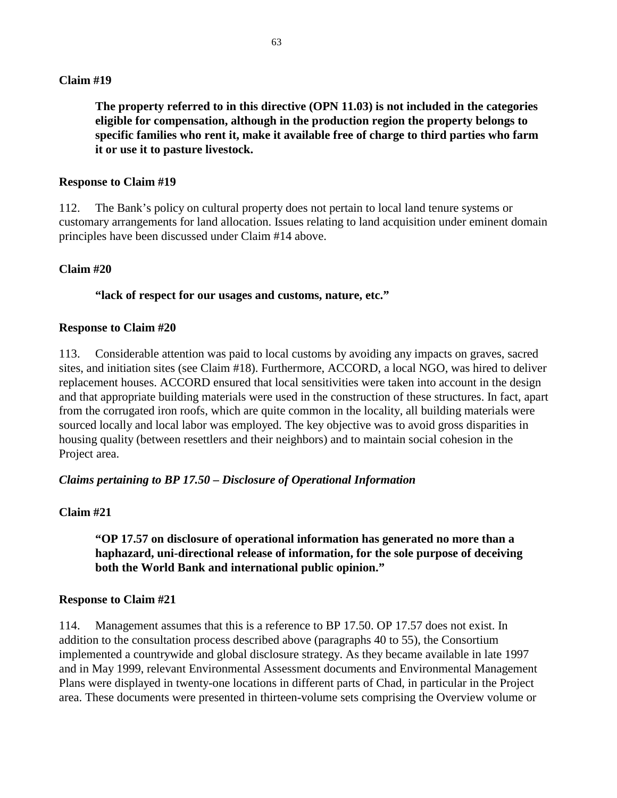**The property referred to in this directive (OPN 11.03) is not included in the categories eligible for compensation, although in the production region the property belongs to specific families who rent it, make it available free of charge to third parties who farm it or use it to pasture livestock.** 

#### **Response to Claim #19**

112. The Bank's policy on cultural property does not pertain to local land tenure systems or customary arrangements for land allocation. Issues relating to land acquisition under eminent domain principles have been discussed under Claim #14 above.

#### **Claim #20**

#### **"lack of respect for our usages and customs, nature, etc."**

#### **Response to Claim #20**

113. Considerable attention was paid to local customs by avoiding any impacts on graves, sacred sites, and initiation sites (see Claim #18). Furthermore, ACCORD, a local NGO, was hired to deliver replacement houses. ACCORD ensured that local sensitivities were taken into account in the design and that appropriate building materials were used in the construction of these structures. In fact, apart from the corrugated iron roofs, which are quite common in the locality, all building materials were sourced locally and local labor was employed. The key objective was to avoid gross disparities in housing quality (between resettlers and their neighbors) and to maintain social cohesion in the Project area.

#### *Claims pertaining to BP 17.50 – Disclosure of Operational Information*

## **Claim #21**

**"OP 17.57 on disclosure of operational information has generated no more than a haphazard, uni-directional release of information, for the sole purpose of deceiving both the World Bank and international public opinion."** 

#### **Response to Claim #21**

114. Management assumes that this is a reference to BP 17.50. OP 17.57 does not exist. In addition to the consultation process described above (paragraphs 40 to 55), the Consortium implemented a countrywide and global disclosure strategy. As they became available in late 1997 and in May 1999, relevant Environmental Assessment documents and Environmental Management Plans were displayed in twenty-one locations in different parts of Chad, in particular in the Project area. These documents were presented in thirteen-volume sets comprising the Overview volume or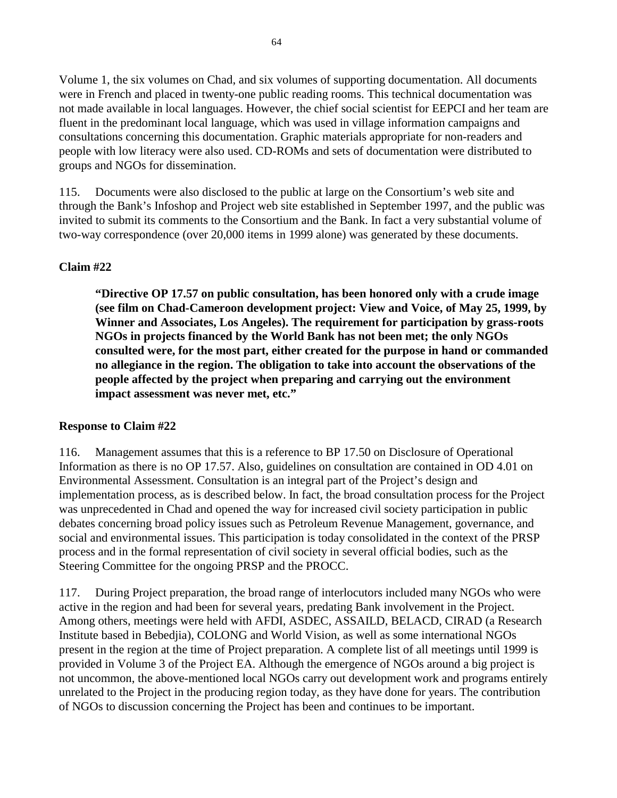Volume 1, the six volumes on Chad, and six volumes of supporting documentation. All documents were in French and placed in twenty-one public reading rooms. This technical documentation was not made available in local languages. However, the chief social scientist for EEPCI and her team are fluent in the predominant local language, which was used in village information campaigns and consultations concerning this documentation. Graphic materials appropriate for non-readers and people with low literacy were also used. CD-ROMs and sets of documentation were distributed to groups and NGOs for dissemination.

115. Documents were also disclosed to the public at large on the Consortium's web site and through the Bank's Infoshop and Project web site established in September 1997, and the public was invited to submit its comments to the Consortium and the Bank. In fact a very substantial volume of two-way correspondence (over 20,000 items in 1999 alone) was generated by these documents.

# **Claim #22**

**"Directive OP 17.57 on public consultation, has been honored only with a crude image (see film on Chad-Cameroon development project: View and Voice, of May 25, 1999, by Winner and Associates, Los Angeles). The requirement for participation by grass-roots NGOs in projects financed by the World Bank has not been met; the only NGOs consulted were, for the most part, either created for the purpose in hand or commanded no allegiance in the region. The obligation to take into account the observations of the people affected by the project when preparing and carrying out the environment impact assessment was never met, etc."** 

# **Response to Claim #22**

116. Management assumes that this is a reference to BP 17.50 on Disclosure of Operational Information as there is no OP 17.57. Also, guidelines on consultation are contained in OD 4.01 on Environmental Assessment. Consultation is an integral part of the Project's design and implementation process, as is described below. In fact, the broad consultation process for the Project was unprecedented in Chad and opened the way for increased civil society participation in public debates concerning broad policy issues such as Petroleum Revenue Management, governance, and social and environmental issues. This participation is today consolidated in the context of the PRSP process and in the formal representation of civil society in several official bodies, such as the Steering Committee for the ongoing PRSP and the PROCC.

117. During Project preparation, the broad range of interlocutors included many NGOs who were active in the region and had been for several years, predating Bank involvement in the Project. Among others, meetings were held with AFDI, ASDEC, ASSAILD, BELACD, CIRAD (a Research Institute based in Bebedjia), COLONG and World Vision, as well as some international NGOs present in the region at the time of Project preparation. A complete list of all meetings until 1999 is provided in Volume 3 of the Project EA. Although the emergence of NGOs around a big project is not uncommon, the above-mentioned local NGOs carry out development work and programs entirely unrelated to the Project in the producing region today, as they have done for years. The contribution of NGOs to discussion concerning the Project has been and continues to be important.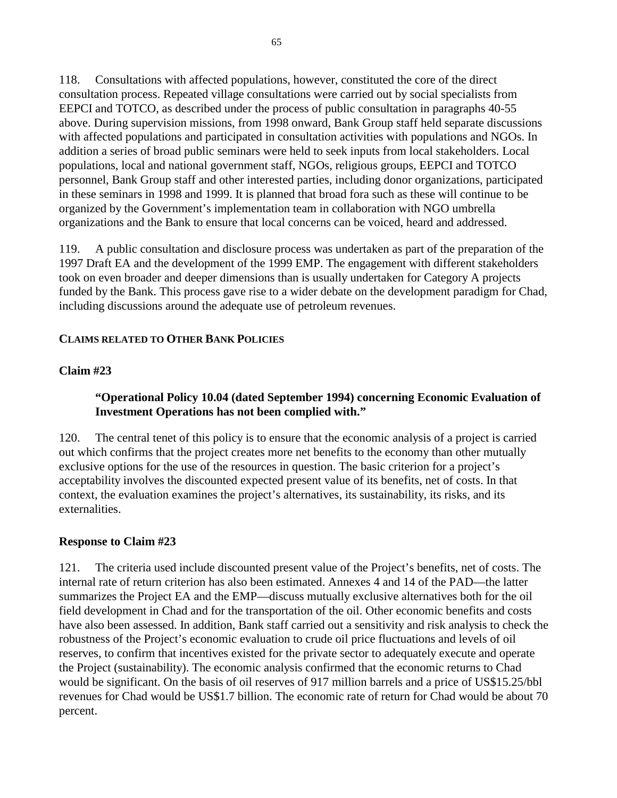118. Consultations with affected populations, however, constituted the core of the direct consultation process. Repeated village consultations were carried out by social specialists from EEPCI and TOTCO, as described under the process of public consultation in paragraphs 40-55 above. During supervision missions, from 1998 onward, Bank Group staff held separate discussions with affected populations and participated in consultation activities with populations and NGOs. In addition a series of broad public seminars were held to seek inputs from local stakeholders. Local populations, local and national government staff, NGOs, religious groups, EEPCI and TOTCO personnel, Bank Group staff and other interested parties, including donor organizations, participated in these seminars in 1998 and 1999. It is planned that broad fora such as these will continue to be organized by the Government's implementation team in collaboration with NGO umbrella organizations and the Bank to ensure that local concerns can be voiced, heard and addressed.

119. A public consultation and disclosure process was undertaken as part of the preparation of the 1997 Draft EA and the development of the 1999 EMP. The engagement with different stakeholders took on even broader and deeper dimensions than is usually undertaken for Category A projects funded by the Bank. This process gave rise to a wider debate on the development paradigm for Chad, including discussions around the adequate use of petroleum revenues.

## **CLAIMS RELATED TO OTHER BANK POLICIES**

## **Claim #23**

# **"Operational Policy 10.04 (dated September 1994) concerning Economic Evaluation of Investment Operations has not been complied with."**

120. The central tenet of this policy is to ensure that the economic analysis of a project is carried out which confirms that the project creates more net benefits to the economy than other mutually exclusive options for the use of the resources in question. The basic criterion for a project's acceptability involves the discounted expected present value of its benefits, net of costs. In that context, the evaluation examines the project's alternatives, its sustainability, its risks, and its externalities.

## **Response to Claim #23**

121. The criteria used include discounted present value of the Project's benefits, net of costs. The internal rate of return criterion has also been estimated. Annexes 4 and 14 of the PAD—the latter summarizes the Project EA and the EMP—discuss mutually exclusive alternatives both for the oil field development in Chad and for the transportation of the oil. Other economic benefits and costs have also been assessed. In addition, Bank staff carried out a sensitivity and risk analysis to check the robustness of the Project's economic evaluation to crude oil price fluctuations and levels of oil reserves, to confirm that incentives existed for the private sector to adequately execute and operate the Project (sustainability). The economic analysis confirmed that the economic returns to Chad would be significant. On the basis of oil reserves of 917 million barrels and a price of US\$15.25/bbl revenues for Chad would be US\$1.7 billion. The economic rate of return for Chad would be about 70 percent.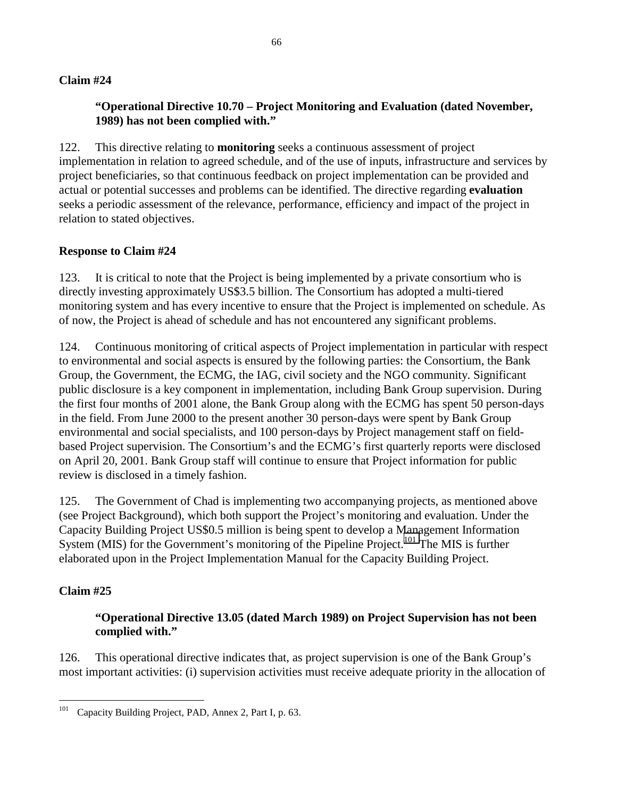# **"Operational Directive 10.70 – Project Monitoring and Evaluation (dated November, 1989) has not been complied with."**

122. This directive relating to **monitoring** seeks a continuous assessment of project implementation in relation to agreed schedule, and of the use of inputs, infrastructure and services by project beneficiaries, so that continuous feedback on project implementation can be provided and actual or potential successes and problems can be identified. The directive regarding **evaluation** seeks a periodic assessment of the relevance, performance, efficiency and impact of the project in relation to stated objectives.

## **Response to Claim #24**

123. It is critical to note that the Project is being implemented by a private consortium who is directly investing approximately US\$3.5 billion. The Consortium has adopted a multi-tiered monitoring system and has every incentive to ensure that the Project is implemented on schedule. As of now, the Project is ahead of schedule and has not encountered any significant problems.

124. Continuous monitoring of critical aspects of Project implementation in particular with respect to environmental and social aspects is ensured by the following parties: the Consortium, the Bank Group, the Government, the ECMG, the IAG, civil society and the NGO community. Significant public disclosure is a key component in implementation, including Bank Group supervision. During the first four months of 2001 alone, the Bank Group along with the ECMG has spent 50 person-days in the field. From June 2000 to the present another 30 person-days were spent by Bank Group environmental and social specialists, and 100 person-days by Project management staff on fieldbased Project supervision. The Consortium's and the ECMG's first quarterly reports were disclosed on April 20, 2001. Bank Group staff will continue to ensure that Project information for public review is disclosed in a timely fashion.

125. The Government of Chad is implementing two accompanying projects, as mentioned above (see Project Background), which both support the Project's monitoring and evaluation. Under the Capacity Building Project US\$0.5 million is being spent to develop a Management Information System (MIS) for the Government's monitoring of the Pipeline Project.<sup>101</sup> The MIS is further elaborated upon in the Project Implementation Manual for the Capacity Building Project.

# **Claim #25**

## **"Operational Directive 13.05 (dated March 1989) on Project Supervision has not been complied with."**

126. This operational directive indicates that, as project supervision is one of the Bank Group's most important activities: (i) supervision activities must receive adequate priority in the allocation of

 $101\,$ Capacity Building Project, PAD, Annex 2, Part I, p. 63.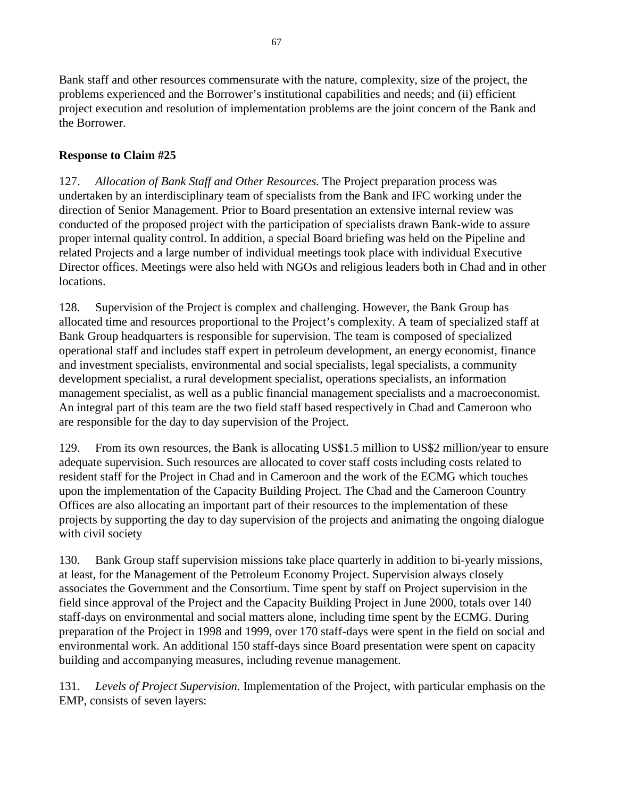Bank staff and other resources commensurate with the nature, complexity, size of the project, the problems experienced and the Borrower's institutional capabilities and needs; and (ii) efficient project execution and resolution of implementation problems are the joint concern of the Bank and the Borrower.

# **Response to Claim #25**

127. *Allocation of Bank Staff and Other Resources.* The Project preparation process was undertaken by an interdisciplinary team of specialists from the Bank and IFC working under the direction of Senior Management. Prior to Board presentation an extensive internal review was conducted of the proposed project with the participation of specialists drawn Bank-wide to assure proper internal quality control. In addition, a special Board briefing was held on the Pipeline and related Projects and a large number of individual meetings took place with individual Executive Director offices. Meetings were also held with NGOs and religious leaders both in Chad and in other locations.

128. Supervision of the Project is complex and challenging. However, the Bank Group has allocated time and resources proportional to the Project's complexity. A team of specialized staff at Bank Group headquarters is responsible for supervision. The team is composed of specialized operational staff and includes staff expert in petroleum development, an energy economist, finance and investment specialists, environmental and social specialists, legal specialists, a community development specialist, a rural development specialist, operations specialists, an information management specialist, as well as a public financial management specialists and a macroeconomist. An integral part of this team are the two field staff based respectively in Chad and Cameroon who are responsible for the day to day supervision of the Project.

129. From its own resources, the Bank is allocating US\$1.5 million to US\$2 million/year to ensure adequate supervision. Such resources are allocated to cover staff costs including costs related to resident staff for the Project in Chad and in Cameroon and the work of the ECMG which touches upon the implementation of the Capacity Building Project. The Chad and the Cameroon Country Offices are also allocating an important part of their resources to the implementation of these projects by supporting the day to day supervision of the projects and animating the ongoing dialogue with civil society

130. Bank Group staff supervision missions take place quarterly in addition to bi-yearly missions, at least, for the Management of the Petroleum Economy Project. Supervision always closely associates the Government and the Consortium. Time spent by staff on Project supervision in the field since approval of the Project and the Capacity Building Project in June 2000, totals over 140 staff-days on environmental and social matters alone, including time spent by the ECMG. During preparation of the Project in 1998 and 1999, over 170 staff-days were spent in the field on social and environmental work. An additional 150 staff-days since Board presentation were spent on capacity building and accompanying measures, including revenue management.

131. *Levels of Project Supervision.* Implementation of the Project, with particular emphasis on the EMP, consists of seven layers: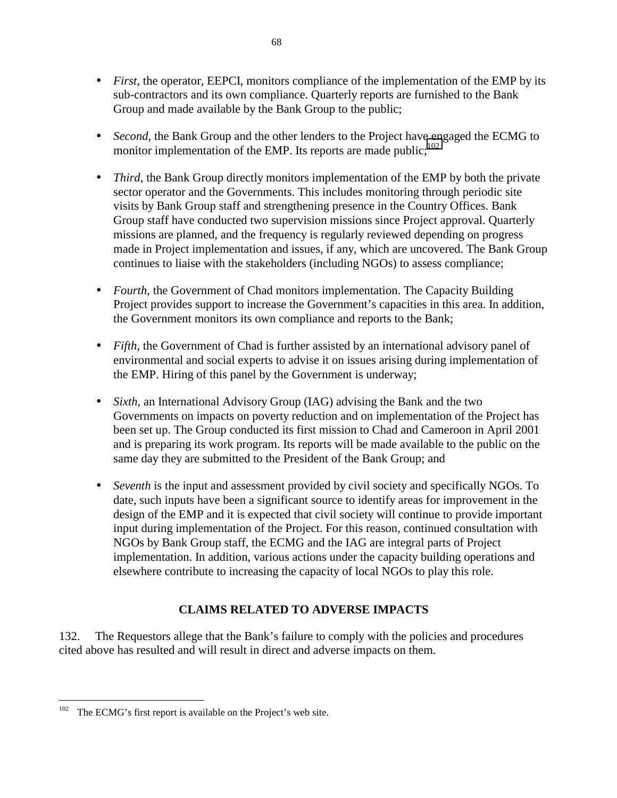- *First*, the operator, EEPCI, monitors compliance of the implementation of the EMP by its sub-contractors and its own compliance. Quarterly reports are furnished to the Bank Group and made available by the Bank Group to the public;
- *Second*, the Bank Group and the other lenders to the Project have engaged the ECMG to monitor implementation of the EMP. Its reports are made public; $102$
- *Third*, the Bank Group directly monitors implementation of the EMP by both the private sector operator and the Governments. This includes monitoring through periodic site visits by Bank Group staff and strengthening presence in the Country Offices. Bank Group staff have conducted two supervision missions since Project approval. Quarterly missions are planned, and the frequency is regularly reviewed depending on progress made in Project implementation and issues, if any, which are uncovered. The Bank Group continues to liaise with the stakeholders (including NGOs) to assess compliance;
- *Fourth*, the Government of Chad monitors implementation. The Capacity Building Project provides support to increase the Government's capacities in this area. In addition, the Government monitors its own compliance and reports to the Bank;
- *Fifth*, the Government of Chad is further assisted by an international advisory panel of environmental and social experts to advise it on issues arising during implementation of the EMP. Hiring of this panel by the Government is underway;
- *Sixth*, an International Advisory Group (IAG) advising the Bank and the two Governments on impacts on poverty reduction and on implementation of the Project has been set up. The Group conducted its first mission to Chad and Cameroon in April 2001 and is preparing its work program. Its reports will be made available to the public on the same day they are submitted to the President of the Bank Group; and
- *Seventh* is the input and assessment provided by civil society and specifically NGOs. To date, such inputs have been a significant source to identify areas for improvement in the design of the EMP and it is expected that civil society will continue to provide important input during implementation of the Project. For this reason, continued consultation with NGOs by Bank Group staff, the ECMG and the IAG are integral parts of Project implementation. In addition, various actions under the capacity building operations and elsewhere contribute to increasing the capacity of local NGOs to play this role.

# **CLAIMS RELATED TO ADVERSE IMPACTS**

132. The Requestors allege that the Bank's failure to comply with the policies and procedures cited above has resulted and will result in direct and adverse impacts on them.

 $102$  The ECMG's first report is available on the Project's web site.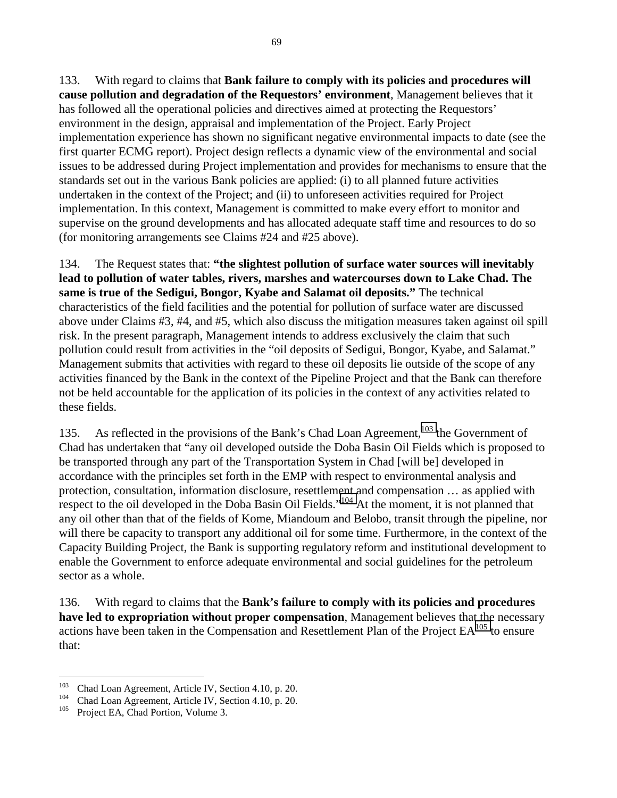133. With regard to claims that **Bank failure to comply with its policies and procedures will cause pollution and degradation of the Requestors' environment**, Management believes that it has followed all the operational policies and directives aimed at protecting the Requestors' environment in the design, appraisal and implementation of the Project. Early Project implementation experience has shown no significant negative environmental impacts to date (see the first quarter ECMG report). Project design reflects a dynamic view of the environmental and social issues to be addressed during Project implementation and provides for mechanisms to ensure that the standards set out in the various Bank policies are applied: (i) to all planned future activities undertaken in the context of the Project; and (ii) to unforeseen activities required for Project implementation. In this context, Management is committed to make every effort to monitor and supervise on the ground developments and has allocated adequate staff time and resources to do so (for monitoring arrangements see Claims #24 and #25 above).

134. The Request states that: **"the slightest pollution of surface water sources will inevitably lead to pollution of water tables, rivers, marshes and watercourses down to Lake Chad. The same is true of the Sedigui, Bongor, Kyabe and Salamat oil deposits."** The technical characteristics of the field facilities and the potential for pollution of surface water are discussed above under Claims #3, #4, and #5, which also discuss the mitigation measures taken against oil spill risk. In the present paragraph, Management intends to address exclusively the claim that such pollution could result from activities in the "oil deposits of Sedigui, Bongor, Kyabe, and Salamat." Management submits that activities with regard to these oil deposits lie outside of the scope of any activities financed by the Bank in the context of the Pipeline Project and that the Bank can therefore not be held accountable for the application of its policies in the context of any activities related to these fields.

135. As reflected in the provisions of the Bank's Chad Loan Agreement,<sup>103</sup> the Government of Chad has undertaken that "any oil developed outside the Doba Basin Oil Fields which is proposed to be transported through any part of the Transportation System in Chad [will be] developed in accordance with the principles set forth in the EMP with respect to environmental analysis and protection, consultation, information disclosure, resettlement and compensation … as applied with respect to the oil developed in the Doba Basin Oil Fields."<sup>104</sup> At the moment, it is not planned that any oil other than that of the fields of Kome, Miandoum and Belobo, transit through the pipeline, nor will there be capacity to transport any additional oil for some time. Furthermore, in the context of the Capacity Building Project, the Bank is supporting regulatory reform and institutional development to enable the Government to enforce adequate environmental and social guidelines for the petroleum sector as a whole.

136. With regard to claims that the **Bank's failure to comply with its policies and procedures have led to expropriation without proper compensation**, Management believes that the necessary actions have been taken in the Compensation and Resettlement Plan of the Project  $EA^{105}$  to ensure that:

<sup>&</sup>lt;sup>103</sup> Chad Loan Agreement, Article IV, Section 4.10, p. 20.<br><sup>104</sup> Chad Loan Agreement, Article IV, Section 4.10, p. 20.<br><sup>105</sup> Project EA, Chad Portion, Volume 3.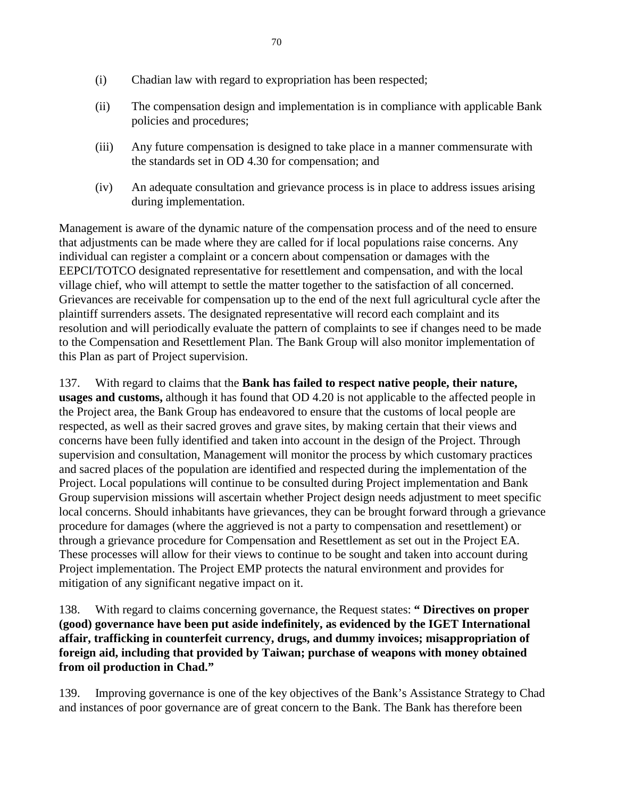- (i) Chadian law with regard to expropriation has been respected;
- (ii) The compensation design and implementation is in compliance with applicable Bank policies and procedures;
- (iii) Any future compensation is designed to take place in a manner commensurate with the standards set in OD 4.30 for compensation; and
- (iv) An adequate consultation and grievance process is in place to address issues arising during implementation.

Management is aware of the dynamic nature of the compensation process and of the need to ensure that adjustments can be made where they are called for if local populations raise concerns. Any individual can register a complaint or a concern about compensation or damages with the EEPCI/TOTCO designated representative for resettlement and compensation, and with the local village chief, who will attempt to settle the matter together to the satisfaction of all concerned. Grievances are receivable for compensation up to the end of the next full agricultural cycle after the plaintiff surrenders assets. The designated representative will record each complaint and its resolution and will periodically evaluate the pattern of complaints to see if changes need to be made to the Compensation and Resettlement Plan. The Bank Group will also monitor implementation of this Plan as part of Project supervision.

137. With regard to claims that the **Bank has failed to respect native people, their nature, usages and customs,** although it has found that OD 4.20 is not applicable to the affected people in the Project area, the Bank Group has endeavored to ensure that the customs of local people are respected, as well as their sacred groves and grave sites, by making certain that their views and concerns have been fully identified and taken into account in the design of the Project. Through supervision and consultation, Management will monitor the process by which customary practices and sacred places of the population are identified and respected during the implementation of the Project. Local populations will continue to be consulted during Project implementation and Bank Group supervision missions will ascertain whether Project design needs adjustment to meet specific local concerns. Should inhabitants have grievances, they can be brought forward through a grievance procedure for damages (where the aggrieved is not a party to compensation and resettlement) or through a grievance procedure for Compensation and Resettlement as set out in the Project EA. These processes will allow for their views to continue to be sought and taken into account during Project implementation. The Project EMP protects the natural environment and provides for mitigation of any significant negative impact on it.

138. With regard to claims concerning governance, the Request states: **" Directives on proper (good) governance have been put aside indefinitely, as evidenced by the IGET International affair, trafficking in counterfeit currency, drugs, and dummy invoices; misappropriation of foreign aid, including that provided by Taiwan; purchase of weapons with money obtained from oil production in Chad."**

139. Improving governance is one of the key objectives of the Bank's Assistance Strategy to Chad and instances of poor governance are of great concern to the Bank. The Bank has therefore been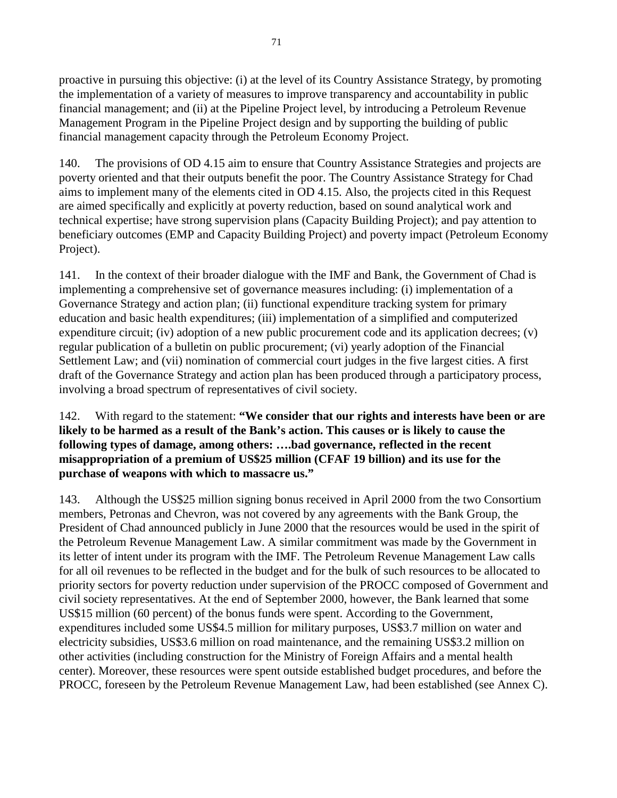proactive in pursuing this objective: (i) at the level of its Country Assistance Strategy, by promoting the implementation of a variety of measures to improve transparency and accountability in public financial management; and (ii) at the Pipeline Project level, by introducing a Petroleum Revenue Management Program in the Pipeline Project design and by supporting the building of public financial management capacity through the Petroleum Economy Project.

140. The provisions of OD 4.15 aim to ensure that Country Assistance Strategies and projects are poverty oriented and that their outputs benefit the poor. The Country Assistance Strategy for Chad aims to implement many of the elements cited in OD 4.15. Also, the projects cited in this Request are aimed specifically and explicitly at poverty reduction, based on sound analytical work and technical expertise; have strong supervision plans (Capacity Building Project); and pay attention to beneficiary outcomes (EMP and Capacity Building Project) and poverty impact (Petroleum Economy Project).

141. In the context of their broader dialogue with the IMF and Bank, the Government of Chad is implementing a comprehensive set of governance measures including: (i) implementation of a Governance Strategy and action plan; (ii) functional expenditure tracking system for primary education and basic health expenditures; (iii) implementation of a simplified and computerized expenditure circuit; (iv) adoption of a new public procurement code and its application decrees; (v) regular publication of a bulletin on public procurement; (vi) yearly adoption of the Financial Settlement Law; and (vii) nomination of commercial court judges in the five largest cities. A first draft of the Governance Strategy and action plan has been produced through a participatory process, involving a broad spectrum of representatives of civil society.

142. With regard to the statement: **"We consider that our rights and interests have been or are likely to be harmed as a result of the Bank's action. This causes or is likely to cause the following types of damage, among others: ….bad governance, reflected in the recent misappropriation of a premium of US\$25 million (CFAF 19 billion) and its use for the purchase of weapons with which to massacre us."**

143. Although the US\$25 million signing bonus received in April 2000 from the two Consortium members, Petronas and Chevron, was not covered by any agreements with the Bank Group, the President of Chad announced publicly in June 2000 that the resources would be used in the spirit of the Petroleum Revenue Management Law. A similar commitment was made by the Government in its letter of intent under its program with the IMF. The Petroleum Revenue Management Law calls for all oil revenues to be reflected in the budget and for the bulk of such resources to be allocated to priority sectors for poverty reduction under supervision of the PROCC composed of Government and civil society representatives. At the end of September 2000, however, the Bank learned that some US\$15 million (60 percent) of the bonus funds were spent. According to the Government, expenditures included some US\$4.5 million for military purposes, US\$3.7 million on water and electricity subsidies, US\$3.6 million on road maintenance, and the remaining US\$3.2 million on other activities (including construction for the Ministry of Foreign Affairs and a mental health center). Moreover, these resources were spent outside established budget procedures, and before the PROCC, foreseen by the Petroleum Revenue Management Law, had been established (see Annex C).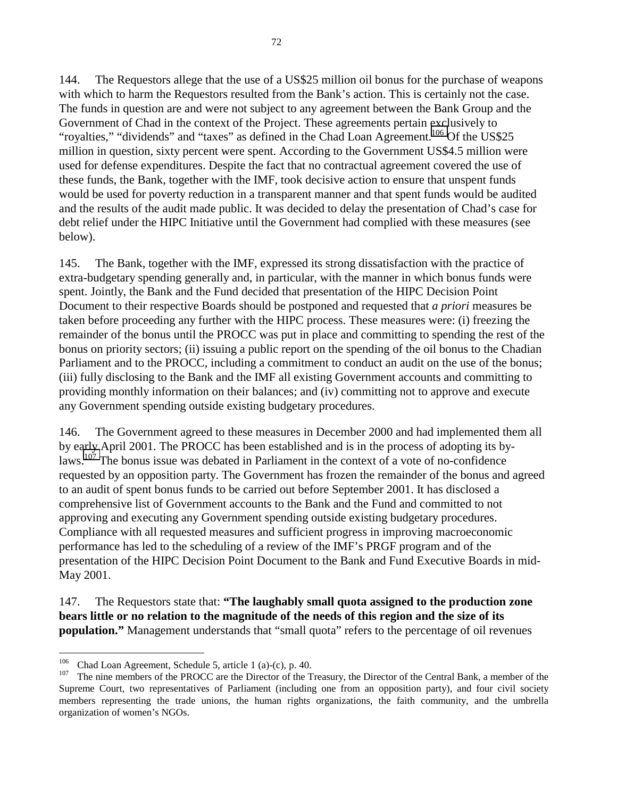144. The Requestors allege that the use of a US\$25 million oil bonus for the purchase of weapons with which to harm the Requestors resulted from the Bank's action. This is certainly not the case. The funds in question are and were not subject to any agreement between the Bank Group and the Government of Chad in the context of the Project. These agreements pertain exclusively to "royalties," "dividends" and "taxes" as defined in the Chad Loan Agreement.<sup>106</sup> Of the US\$25 million in question, sixty percent were spent. According to the Government US\$4.5 million were used for defense expenditures. Despite the fact that no contractual agreement covered the use of these funds, the Bank, together with the IMF, took decisive action to ensure that unspent funds would be used for poverty reduction in a transparent manner and that spent funds would be audited and the results of the audit made public. It was decided to delay the presentation of Chad's case for debt relief under the HIPC Initiative until the Government had complied with these measures (see below).

145. The Bank, together with the IMF, expressed its strong dissatisfaction with the practice of extra-budgetary spending generally and, in particular, with the manner in which bonus funds were spent. Jointly, the Bank and the Fund decided that presentation of the HIPC Decision Point Document to their respective Boards should be postponed and requested that *a priori* measures be taken before proceeding any further with the HIPC process. These measures were: (i) freezing the remainder of the bonus until the PROCC was put in place and committing to spending the rest of the bonus on priority sectors; (ii) issuing a public report on the spending of the oil bonus to the Chadian Parliament and to the PROCC, including a commitment to conduct an audit on the use of the bonus; (iii) fully disclosing to the Bank and the IMF all existing Government accounts and committing to providing monthly information on their balances; and (iv) committing not to approve and execute any Government spending outside existing budgetary procedures.

146. The Government agreed to these measures in December 2000 and had implemented them all by early April 2001. The PROCC has been established and is in the process of adopting its bylaws.107 The bonus issue was debated in Parliament in the context of a vote of no-confidence requested by an opposition party. The Government has frozen the remainder of the bonus and agreed to an audit of spent bonus funds to be carried out before September 2001. It has disclosed a comprehensive list of Government accounts to the Bank and the Fund and committed to not approving and executing any Government spending outside existing budgetary procedures. Compliance with all requested measures and sufficient progress in improving macroeconomic performance has led to the scheduling of a review of the IMF's PRGF program and of the presentation of the HIPC Decision Point Document to the Bank and Fund Executive Boards in mid-May 2001.

147. The Requestors state that: **"The laughably small quota assigned to the production zone bears little or no relation to the magnitude of the needs of this region and the size of its population."** Management understands that "small quota" refers to the percentage of oil revenues

<sup>&</sup>lt;sup>106</sup> Chad Loan Agreement, Schedule 5, article 1 (a)-(c), p. 40.<br><sup>107</sup> The nine members of the PROCC are the Director of the Treasury, the Director of the Central Bank, a member of the Supreme Court, two representatives of Parliament (including one from an opposition party), and four civil society members representing the trade unions, the human rights organizations, the faith community, and the umbrella organization of women's NGOs.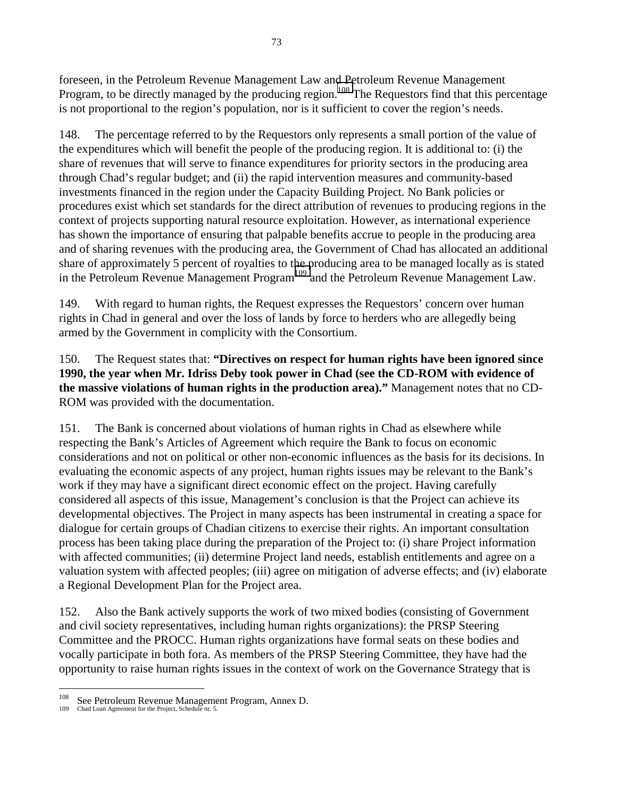foreseen, in the Petroleum Revenue Management Law and Petroleum Revenue Management Program, to be directly managed by the producing region.<sup>108</sup> The Requestors find that this percentage is not proportional to the region's population, nor is it sufficient to cover the region's needs.

148. The percentage referred to by the Requestors only represents a small portion of the value of the expenditures which will benefit the people of the producing region. It is additional to: (i) the share of revenues that will serve to finance expenditures for priority sectors in the producing area through Chad's regular budget; and (ii) the rapid intervention measures and community-based investments financed in the region under the Capacity Building Project. No Bank policies or procedures exist which set standards for the direct attribution of revenues to producing regions in the context of projects supporting natural resource exploitation. However, as international experience has shown the importance of ensuring that palpable benefits accrue to people in the producing area and of sharing revenues with the producing area, the Government of Chad has allocated an additional share of approximately 5 percent of royalties to the producing area to be managed locally as is stated in the Petroleum Revenue Management Program109 and the Petroleum Revenue Management Law.

149. With regard to human rights, the Request expresses the Requestors' concern over human rights in Chad in general and over the loss of lands by force to herders who are allegedly being armed by the Government in complicity with the Consortium.

150. The Request states that: **"Directives on respect for human rights have been ignored since 1990, the year when Mr. Idriss Deby took power in Chad (see the CD-ROM with evidence of the massive violations of human rights in the production area)."** Management notes that no CD-ROM was provided with the documentation.

151. The Bank is concerned about violations of human rights in Chad as elsewhere while respecting the Bank's Articles of Agreement which require the Bank to focus on economic considerations and not on political or other non-economic influences as the basis for its decisions. In evaluating the economic aspects of any project, human rights issues may be relevant to the Bank's work if they may have a significant direct economic effect on the project. Having carefully considered all aspects of this issue, Management's conclusion is that the Project can achieve its developmental objectives. The Project in many aspects has been instrumental in creating a space for dialogue for certain groups of Chadian citizens to exercise their rights. An important consultation process has been taking place during the preparation of the Project to: (i) share Project information with affected communities; (ii) determine Project land needs, establish entitlements and agree on a valuation system with affected peoples; (iii) agree on mitigation of adverse effects; and (iv) elaborate a Regional Development Plan for the Project area.

152. Also the Bank actively supports the work of two mixed bodies (consisting of Government and civil society representatives, including human rights organizations): the PRSP Steering Committee and the PROCC. Human rights organizations have formal seats on these bodies and vocally participate in both fora. As members of the PRSP Steering Committee, they have had the opportunity to raise human rights issues in the context of work on the Governance Strategy that is

<sup>108</sup> <sup>108</sup> See Petroleum Revenue Management Program, Annex D.

Chad Loan Agreement for the Project, Schedule nr. 5.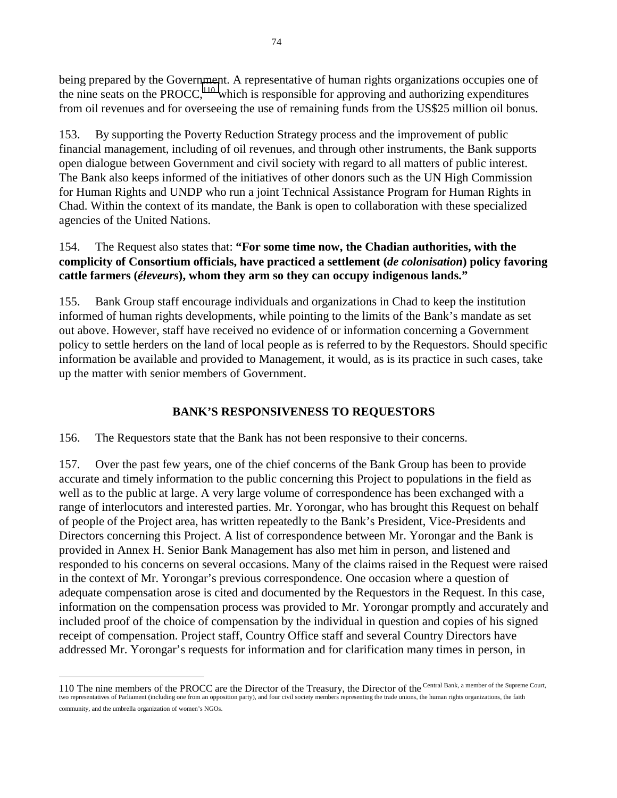being prepared by the Government. A representative of human rights organizations occupies one of the nine seats on the PROCC,<sup>110</sup> which is responsible for approving and authorizing expenditures from oil revenues and for overseeing the use of remaining funds from the US\$25 million oil bonus.

153. By supporting the Poverty Reduction Strategy process and the improvement of public financial management, including of oil revenues, and through other instruments, the Bank supports open dialogue between Government and civil society with regard to all matters of public interest. The Bank also keeps informed of the initiatives of other donors such as the UN High Commission for Human Rights and UNDP who run a joint Technical Assistance Program for Human Rights in Chad. Within the context of its mandate, the Bank is open to collaboration with these specialized agencies of the United Nations.

# 154. The Request also states that: **"For some time now, the Chadian authorities, with the complicity of Consortium officials, have practiced a settlement (***de colonisation***) policy favoring cattle farmers (***éleveurs***), whom they arm so they can occupy indigenous lands."**

155. Bank Group staff encourage individuals and organizations in Chad to keep the institution informed of human rights developments, while pointing to the limits of the Bank's mandate as set out above. However, staff have received no evidence of or information concerning a Government policy to settle herders on the land of local people as is referred to by the Requestors. Should specific information be available and provided to Management, it would, as is its practice in such cases, take up the matter with senior members of Government.

# **BANK'S RESPONSIVENESS TO REQUESTORS**

156. The Requestors state that the Bank has not been responsive to their concerns.

157. Over the past few years, one of the chief concerns of the Bank Group has been to provide accurate and timely information to the public concerning this Project to populations in the field as well as to the public at large. A very large volume of correspondence has been exchanged with a range of interlocutors and interested parties. Mr. Yorongar, who has brought this Request on behalf of people of the Project area, has written repeatedly to the Bank's President, Vice-Presidents and Directors concerning this Project. A list of correspondence between Mr. Yorongar and the Bank is provided in Annex H. Senior Bank Management has also met him in person, and listened and responded to his concerns on several occasions. Many of the claims raised in the Request were raised in the context of Mr. Yorongar's previous correspondence. One occasion where a question of adequate compensation arose is cited and documented by the Requestors in the Request. In this case, information on the compensation process was provided to Mr. Yorongar promptly and accurately and included proof of the choice of compensation by the individual in question and copies of his signed receipt of compensation. Project staff, Country Office staff and several Country Directors have addressed Mr. Yorongar's requests for information and for clarification many times in person, in

 $\overline{a}$ 

<sup>110</sup> The nine members of the PROCC are the Director of the Treasury, the Director of the Central Bank, a member of the Supreme Court, two representatives of Parliament (including one from an opposition party), and four civil society members representing the trade unions, the human rights organizations, the faith  $\mu$ community, and the umbrella organization of women's NGOs.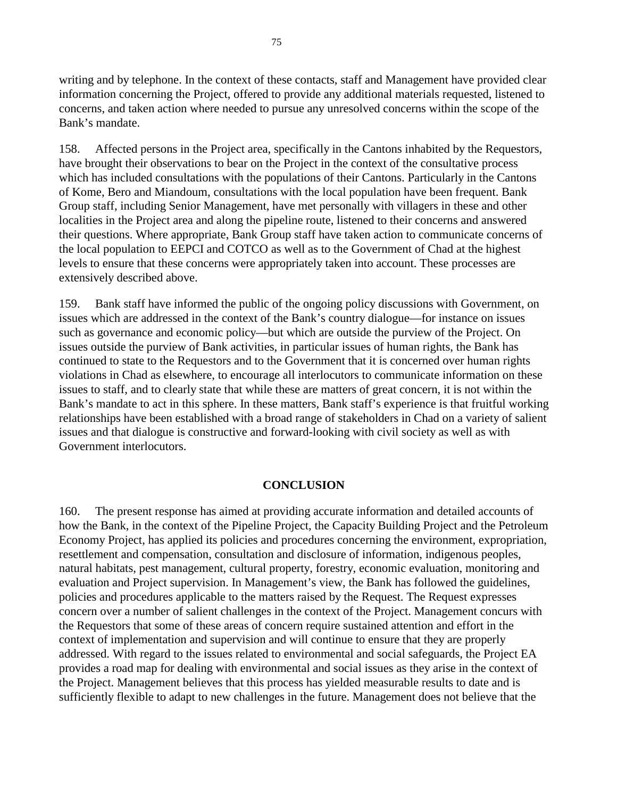writing and by telephone. In the context of these contacts, staff and Management have provided clear information concerning the Project, offered to provide any additional materials requested, listened to concerns, and taken action where needed to pursue any unresolved concerns within the scope of the Bank's mandate.

158. Affected persons in the Project area, specifically in the Cantons inhabited by the Requestors, have brought their observations to bear on the Project in the context of the consultative process which has included consultations with the populations of their Cantons. Particularly in the Cantons of Kome, Bero and Miandoum, consultations with the local population have been frequent. Bank Group staff, including Senior Management, have met personally with villagers in these and other localities in the Project area and along the pipeline route, listened to their concerns and answered their questions. Where appropriate, Bank Group staff have taken action to communicate concerns of the local population to EEPCI and COTCO as well as to the Government of Chad at the highest levels to ensure that these concerns were appropriately taken into account. These processes are extensively described above.

159. Bank staff have informed the public of the ongoing policy discussions with Government, on issues which are addressed in the context of the Bank's country dialogue—for instance on issues such as governance and economic policy—but which are outside the purview of the Project. On issues outside the purview of Bank activities, in particular issues of human rights, the Bank has continued to state to the Requestors and to the Government that it is concerned over human rights violations in Chad as elsewhere, to encourage all interlocutors to communicate information on these issues to staff, and to clearly state that while these are matters of great concern, it is not within the Bank's mandate to act in this sphere. In these matters, Bank staff's experience is that fruitful working relationships have been established with a broad range of stakeholders in Chad on a variety of salient issues and that dialogue is constructive and forward-looking with civil society as well as with Government interlocutors.

# **CONCLUSION**

160. The present response has aimed at providing accurate information and detailed accounts of how the Bank, in the context of the Pipeline Project, the Capacity Building Project and the Petroleum Economy Project, has applied its policies and procedures concerning the environment, expropriation, resettlement and compensation, consultation and disclosure of information, indigenous peoples, natural habitats, pest management, cultural property, forestry, economic evaluation, monitoring and evaluation and Project supervision. In Management's view, the Bank has followed the guidelines, policies and procedures applicable to the matters raised by the Request. The Request expresses concern over a number of salient challenges in the context of the Project. Management concurs with the Requestors that some of these areas of concern require sustained attention and effort in the context of implementation and supervision and will continue to ensure that they are properly addressed. With regard to the issues related to environmental and social safeguards, the Project EA provides a road map for dealing with environmental and social issues as they arise in the context of the Project. Management believes that this process has yielded measurable results to date and is sufficiently flexible to adapt to new challenges in the future. Management does not believe that the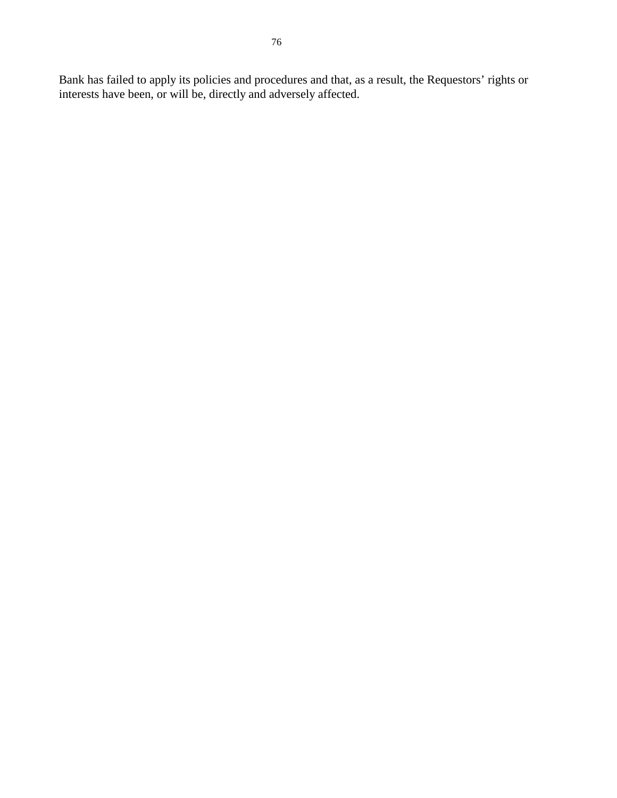Bank has failed to apply its policies and procedures and that, as a result, the Requestors' rights or interests have been, or will be, directly and adversely affected.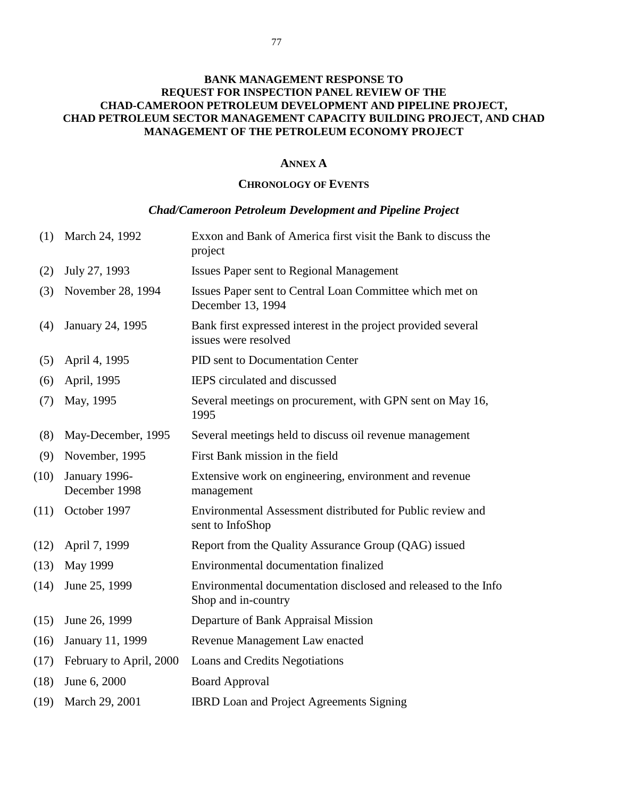#### **ANNEX A**

## **CHRONOLOGY OF EVENTS**

# *Chad/Cameroon Petroleum Development and Pipeline Project*

| (1)  | March 24, 1992                 | Exxon and Bank of America first visit the Bank to discuss the<br>project              |
|------|--------------------------------|---------------------------------------------------------------------------------------|
| (2)  | July 27, 1993                  | Issues Paper sent to Regional Management                                              |
| (3)  | November 28, 1994              | Issues Paper sent to Central Loan Committee which met on<br>December 13, 1994         |
| (4)  | January 24, 1995               | Bank first expressed interest in the project provided several<br>issues were resolved |
| (5)  | April 4, 1995                  | PID sent to Documentation Center                                                      |
| (6)  | April, 1995                    | IEPS circulated and discussed                                                         |
| (7)  | May, 1995                      | Several meetings on procurement, with GPN sent on May 16,<br>1995                     |
| (8)  | May-December, 1995             | Several meetings held to discuss oil revenue management                               |
| (9)  | November, 1995                 | First Bank mission in the field                                                       |
| (10) | January 1996-<br>December 1998 | Extensive work on engineering, environment and revenue<br>management                  |
| (11) | October 1997                   | Environmental Assessment distributed for Public review and<br>sent to InfoShop        |
| (12) | April 7, 1999                  | Report from the Quality Assurance Group (QAG) issued                                  |
| (13) | May 1999                       | Environmental documentation finalized                                                 |
| (14) | June 25, 1999                  | Environmental documentation disclosed and released to the Info<br>Shop and in-country |
| (15) | June 26, 1999                  | Departure of Bank Appraisal Mission                                                   |
| (16) | January 11, 1999               | Revenue Management Law enacted                                                        |
| (17) | February to April, 2000        | Loans and Credits Negotiations                                                        |
| (18) | June 6, 2000                   | <b>Board Approval</b>                                                                 |
| (19) | March 29, 2001                 | <b>IBRD</b> Loan and Project Agreements Signing                                       |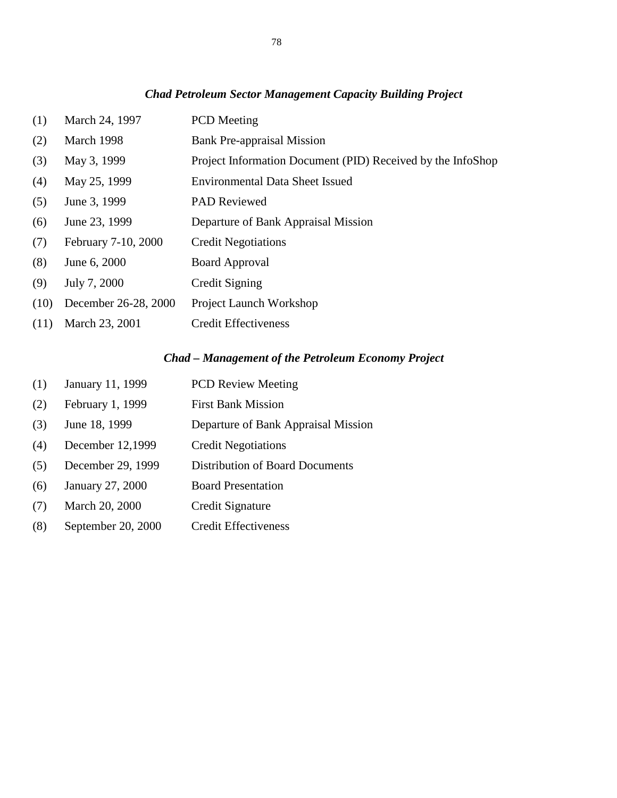# *Chad Petroleum Sector Management Capacity Building Project*

| (1)  | March 24, 1997       | <b>PCD</b> Meeting                                          |
|------|----------------------|-------------------------------------------------------------|
| (2)  | March 1998           | <b>Bank Pre-appraisal Mission</b>                           |
| (3)  | May 3, 1999          | Project Information Document (PID) Received by the InfoShop |
| (4)  | May 25, 1999         | <b>Environmental Data Sheet Issued</b>                      |
| (5)  | June 3, 1999         | <b>PAD Reviewed</b>                                         |
| (6)  | June 23, 1999        | Departure of Bank Appraisal Mission                         |
| (7)  | February 7-10, 2000  | <b>Credit Negotiations</b>                                  |
| (8)  | June 6, 2000         | <b>Board Approval</b>                                       |
| (9)  | July 7, 2000         | Credit Signing                                              |
| (10) | December 26-28, 2000 | <b>Project Launch Workshop</b>                              |
| (11) | March 23, 2001       | <b>Credit Effectiveness</b>                                 |

# *Chad – Management of the Petroleum Economy Project*

| (1) | January 11, 1999   | <b>PCD Review Meeting</b>              |
|-----|--------------------|----------------------------------------|
| (2) | February 1, 1999   | <b>First Bank Mission</b>              |
| (3) | June 18, 1999      | Departure of Bank Appraisal Mission    |
| (4) | December 12,1999   | <b>Credit Negotiations</b>             |
| (5) | December 29, 1999  | <b>Distribution of Board Documents</b> |
| (6) | January 27, 2000   | <b>Board Presentation</b>              |
| (7) | March 20, 2000     | Credit Signature                       |
| (8) | September 20, 2000 | <b>Credit Effectiveness</b>            |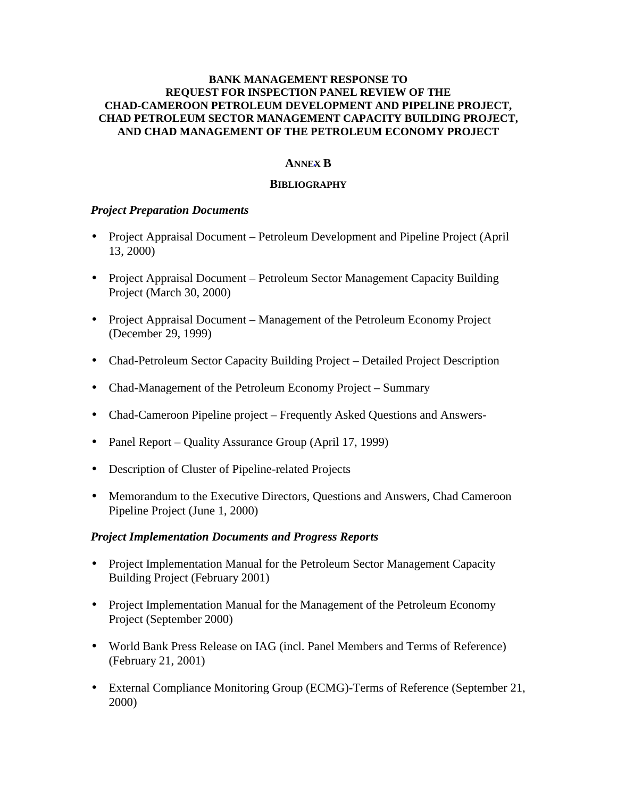# **ANNEX B**

# **BIBLIOGRAPHY**

# *Project Preparation Documents*

- Project Appraisal Document Petroleum Development and Pipeline Project (April 13, 2000)
- Project Appraisal Document Petroleum Sector Management Capacity Building Project (March 30, 2000)
- Project Appraisal Document Management of the Petroleum Economy Project (December 29, 1999)
- Chad-Petroleum Sector Capacity Building Project Detailed Project Description
- Chad-Management of the Petroleum Economy Project Summary
- Chad-Cameroon Pipeline project Frequently Asked Questions and Answers-
- Panel Report Quality Assurance Group (April 17, 1999)
- Description of Cluster of Pipeline-related Projects
- Memorandum to the Executive Directors, Questions and Answers, Chad Cameroon Pipeline Project (June 1, 2000)

# *Project Implementation Documents and Progress Reports*

- Project Implementation Manual for the Petroleum Sector Management Capacity Building Project (February 2001)
- Project Implementation Manual for the Management of the Petroleum Economy Project (September 2000)
- World Bank Press Release on IAG (incl. Panel Members and Terms of Reference) (February 21, 2001)
- External Compliance Monitoring Group (ECMG)-Terms of Reference (September 21, 2000)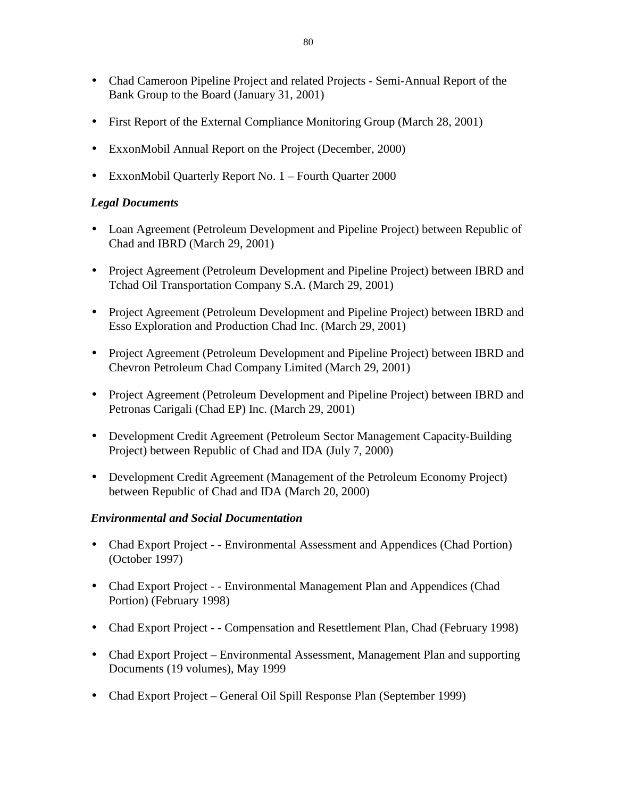- Chad Cameroon Pipeline Project and related Projects Semi-Annual Report of the Bank Group to the Board (January 31, 2001)
- First Report of the External Compliance Monitoring Group (March 28, 2001)
- ExxonMobil Annual Report on the Project (December, 2000)
- ExxonMobil Quarterly Report No. 1 Fourth Quarter 2000

# *Legal Documents*

- Loan Agreement (Petroleum Development and Pipeline Project) between Republic of Chad and IBRD (March 29, 2001)
- Project Agreement (Petroleum Development and Pipeline Project) between IBRD and Tchad Oil Transportation Company S.A. (March 29, 2001)
- Project Agreement (Petroleum Development and Pipeline Project) between IBRD and Esso Exploration and Production Chad Inc. (March 29, 2001)
- Project Agreement (Petroleum Development and Pipeline Project) between IBRD and Chevron Petroleum Chad Company Limited (March 29, 2001)
- Project Agreement (Petroleum Development and Pipeline Project) between IBRD and Petronas Carigali (Chad EP) Inc. (March 29, 2001)
- Development Credit Agreement (Petroleum Sector Management Capacity-Building Project) between Republic of Chad and IDA (July 7, 2000)
- Development Credit Agreement (Management of the Petroleum Economy Project) between Republic of Chad and IDA (March 20, 2000)

# *Environmental and Social Documentation*

- Chad Export Project - Environmental Assessment and Appendices (Chad Portion) (October 1997)
- Chad Export Project - Environmental Management Plan and Appendices (Chad Portion) (February 1998)
- Chad Export Project - Compensation and Resettlement Plan, Chad (February 1998)
- Chad Export Project Environmental Assessment, Management Plan and supporting Documents (19 volumes), May 1999
- Chad Export Project General Oil Spill Response Plan (September 1999)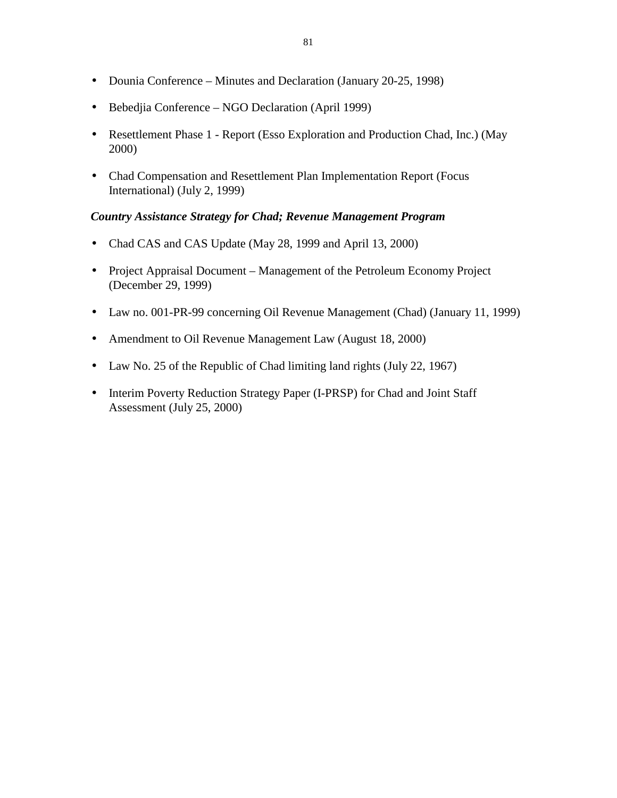- Dounia Conference Minutes and Declaration (January 20-25, 1998)
- Bebedjia Conference NGO Declaration (April 1999)
- Resettlement Phase 1 Report (Esso Exploration and Production Chad, Inc.) (May 2000)
- Chad Compensation and Resettlement Plan Implementation Report (Focus International) (July 2, 1999)

# *Country Assistance Strategy for Chad; Revenue Management Program*

- Chad CAS and CAS Update (May 28, 1999 and April 13, 2000)
- Project Appraisal Document Management of the Petroleum Economy Project (December 29, 1999)
- Law no. 001-PR-99 concerning Oil Revenue Management (Chad) (January 11, 1999)
- Amendment to Oil Revenue Management Law (August 18, 2000)
- Law No. 25 of the Republic of Chad limiting land rights (July 22, 1967)
- Interim Poverty Reduction Strategy Paper (I-PRSP) for Chad and Joint Staff Assessment (July 25, 2000)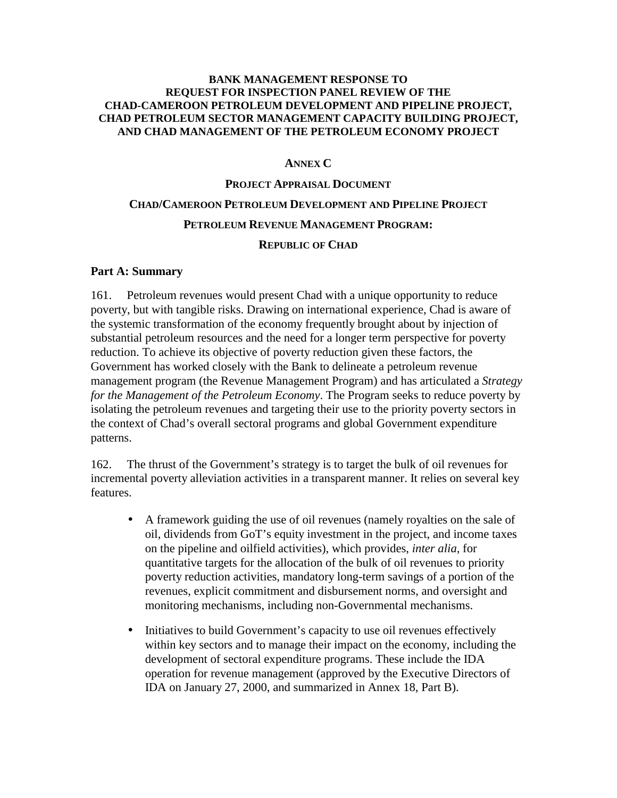# **ANNEX C**

# **PROJECT APPRAISAL DOCUMENT CHAD/CAMEROON PETROLEUM DEVELOPMENT AND PIPELINE PROJECT PETROLEUM REVENUE MANAGEMENT PROGRAM: REPUBLIC OF CHAD**

# **Part A: Summary**

161. Petroleum revenues would present Chad with a unique opportunity to reduce poverty, but with tangible risks. Drawing on international experience, Chad is aware of the systemic transformation of the economy frequently brought about by injection of substantial petroleum resources and the need for a longer term perspective for poverty reduction. To achieve its objective of poverty reduction given these factors, the Government has worked closely with the Bank to delineate a petroleum revenue management program (the Revenue Management Program) and has articulated a *Strategy for the Management of the Petroleum Economy*. The Program seeks to reduce poverty by isolating the petroleum revenues and targeting their use to the priority poverty sectors in the context of Chad's overall sectoral programs and global Government expenditure patterns.

162. The thrust of the Government's strategy is to target the bulk of oil revenues for incremental poverty alleviation activities in a transparent manner. It relies on several key features.

- A framework guiding the use of oil revenues (namely royalties on the sale of oil, dividends from GoT's equity investment in the project, and income taxes on the pipeline and oilfield activities), which provides, *inter alia,* for quantitative targets for the allocation of the bulk of oil revenues to priority poverty reduction activities, mandatory long-term savings of a portion of the revenues, explicit commitment and disbursement norms, and oversight and monitoring mechanisms, including non-Governmental mechanisms.
- Initiatives to build Government's capacity to use oil revenues effectively within key sectors and to manage their impact on the economy, including the development of sectoral expenditure programs. These include the IDA operation for revenue management (approved by the Executive Directors of IDA on January 27, 2000, and summarized in Annex 18, Part B).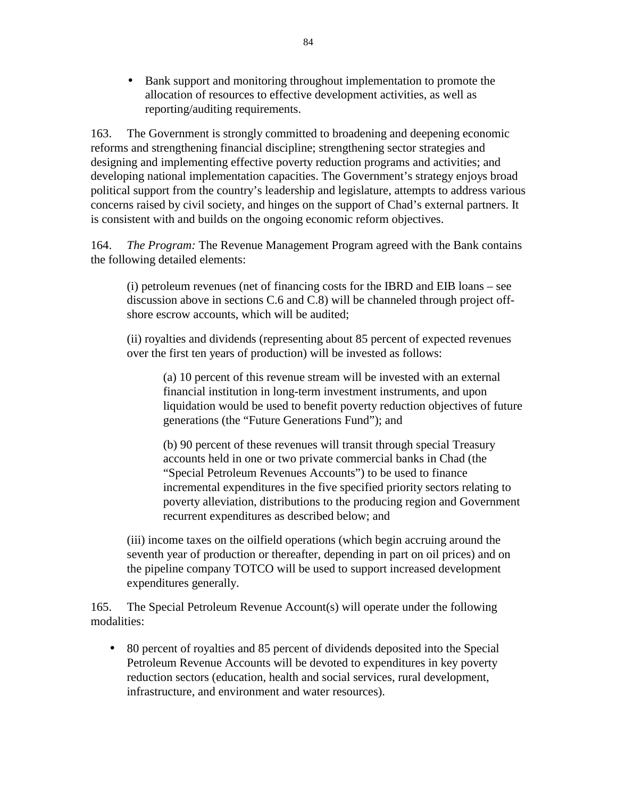• Bank support and monitoring throughout implementation to promote the allocation of resources to effective development activities, as well as reporting/auditing requirements.

163. The Government is strongly committed to broadening and deepening economic reforms and strengthening financial discipline; strengthening sector strategies and designing and implementing effective poverty reduction programs and activities; and developing national implementation capacities. The Government's strategy enjoys broad political support from the country's leadership and legislature, attempts to address various concerns raised by civil society, and hinges on the support of Chad's external partners. It is consistent with and builds on the ongoing economic reform objectives.

164. *The Program:* The Revenue Management Program agreed with the Bank contains the following detailed elements:

(i) petroleum revenues (net of financing costs for the IBRD and EIB loans – see discussion above in sections C.6 and C.8) will be channeled through project offshore escrow accounts, which will be audited;

(ii) royalties and dividends (representing about 85 percent of expected revenues over the first ten years of production) will be invested as follows:

(a) 10 percent of this revenue stream will be invested with an external financial institution in long-term investment instruments, and upon liquidation would be used to benefit poverty reduction objectives of future generations (the "Future Generations Fund"); and

(b) 90 percent of these revenues will transit through special Treasury accounts held in one or two private commercial banks in Chad (the "Special Petroleum Revenues Accounts") to be used to finance incremental expenditures in the five specified priority sectors relating to poverty alleviation, distributions to the producing region and Government recurrent expenditures as described below; and

(iii) income taxes on the oilfield operations (which begin accruing around the seventh year of production or thereafter, depending in part on oil prices) and on the pipeline company TOTCO will be used to support increased development expenditures generally.

165. The Special Petroleum Revenue Account(s) will operate under the following modalities:

• 80 percent of royalties and 85 percent of dividends deposited into the Special Petroleum Revenue Accounts will be devoted to expenditures in key poverty reduction sectors (education, health and social services, rural development, infrastructure, and environment and water resources).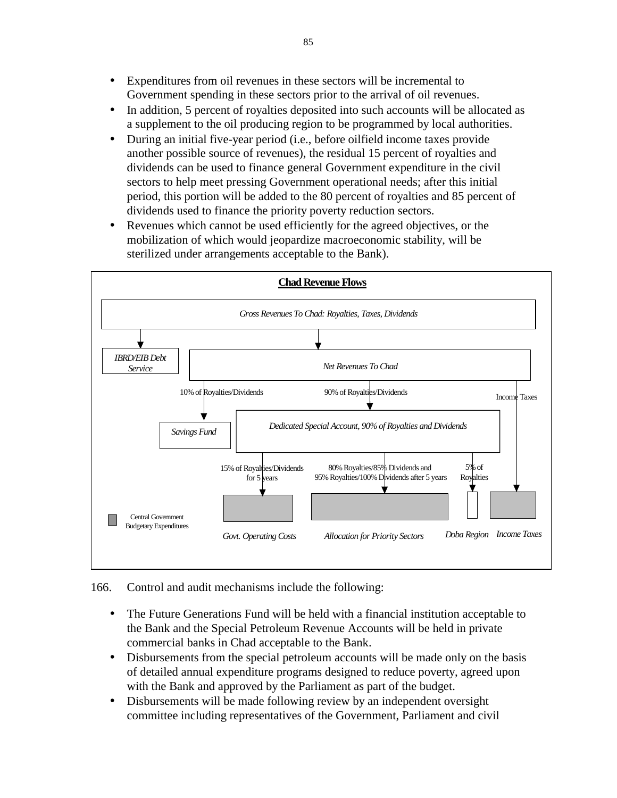- Expenditures from oil revenues in these sectors will be incremental to Government spending in these sectors prior to the arrival of oil revenues.
- In addition, 5 percent of royalties deposited into such accounts will be allocated as a supplement to the oil producing region to be programmed by local authorities.
- During an initial five-year period (i.e., before oilfield income taxes provide another possible source of revenues), the residual 15 percent of royalties and dividends can be used to finance general Government expenditure in the civil sectors to help meet pressing Government operational needs; after this initial period, this portion will be added to the 80 percent of royalties and 85 percent of dividends used to finance the priority poverty reduction sectors.
- Revenues which cannot be used efficiently for the agreed objectives, or the mobilization of which would jeopardize macroeconomic stability, will be sterilized under arrangements acceptable to the Bank).



166. Control and audit mechanisms include the following:

- The Future Generations Fund will be held with a financial institution acceptable to the Bank and the Special Petroleum Revenue Accounts will be held in private commercial banks in Chad acceptable to the Bank.
- Disbursements from the special petroleum accounts will be made only on the basis of detailed annual expenditure programs designed to reduce poverty, agreed upon with the Bank and approved by the Parliament as part of the budget.
- Disbursements will be made following review by an independent oversight committee including representatives of the Government, Parliament and civil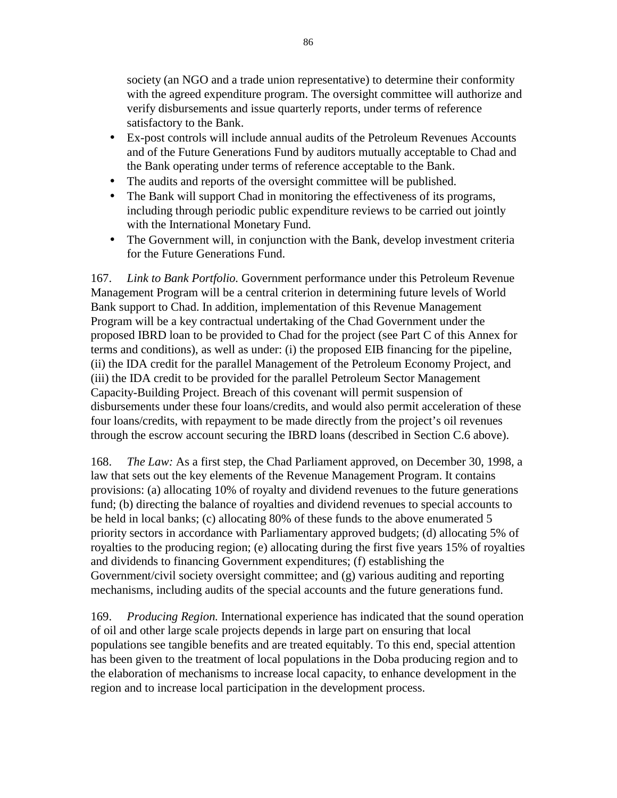society (an NGO and a trade union representative) to determine their conformity with the agreed expenditure program. The oversight committee will authorize and verify disbursements and issue quarterly reports, under terms of reference satisfactory to the Bank.

- Ex-post controls will include annual audits of the Petroleum Revenues Accounts and of the Future Generations Fund by auditors mutually acceptable to Chad and the Bank operating under terms of reference acceptable to the Bank.
- The audits and reports of the oversight committee will be published.
- The Bank will support Chad in monitoring the effectiveness of its programs, including through periodic public expenditure reviews to be carried out jointly with the International Monetary Fund.
- The Government will, in conjunction with the Bank, develop investment criteria for the Future Generations Fund.

167. *Link to Bank Portfolio.* Government performance under this Petroleum Revenue Management Program will be a central criterion in determining future levels of World Bank support to Chad. In addition, implementation of this Revenue Management Program will be a key contractual undertaking of the Chad Government under the proposed IBRD loan to be provided to Chad for the project (see Part C of this Annex for terms and conditions), as well as under: (i) the proposed EIB financing for the pipeline, (ii) the IDA credit for the parallel Management of the Petroleum Economy Project, and (iii) the IDA credit to be provided for the parallel Petroleum Sector Management Capacity-Building Project. Breach of this covenant will permit suspension of disbursements under these four loans/credits, and would also permit acceleration of these four loans/credits, with repayment to be made directly from the project's oil revenues through the escrow account securing the IBRD loans (described in Section C.6 above).

168. *The Law:* As a first step, the Chad Parliament approved, on December 30, 1998, a law that sets out the key elements of the Revenue Management Program. It contains provisions: (a) allocating 10% of royalty and dividend revenues to the future generations fund; (b) directing the balance of royalties and dividend revenues to special accounts to be held in local banks; (c) allocating 80% of these funds to the above enumerated 5 priority sectors in accordance with Parliamentary approved budgets; (d) allocating 5% of royalties to the producing region; (e) allocating during the first five years 15% of royalties and dividends to financing Government expenditures; (f) establishing the Government/civil society oversight committee; and (g) various auditing and reporting mechanisms, including audits of the special accounts and the future generations fund.

169. *Producing Region.* International experience has indicated that the sound operation of oil and other large scale projects depends in large part on ensuring that local populations see tangible benefits and are treated equitably. To this end, special attention has been given to the treatment of local populations in the Doba producing region and to the elaboration of mechanisms to increase local capacity, to enhance development in the region and to increase local participation in the development process.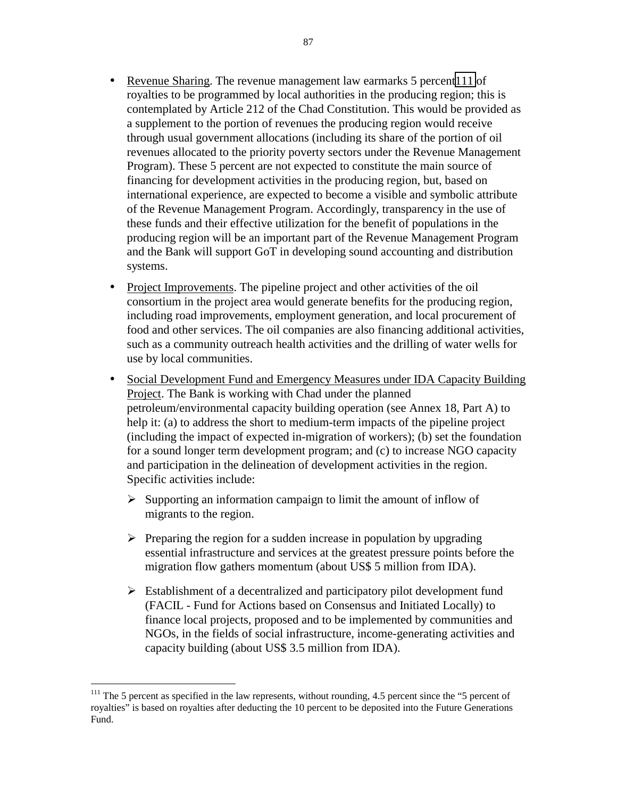- Revenue Sharing. The revenue management law earmarks 5 percent 111 of royalties to be programmed by local authorities in the producing region; this is contemplated by Article 212 of the Chad Constitution. This would be provided as a supplement to the portion of revenues the producing region would receive through usual government allocations (including its share of the portion of oil revenues allocated to the priority poverty sectors under the Revenue Management Program). These 5 percent are not expected to constitute the main source of financing for development activities in the producing region, but, based on international experience, are expected to become a visible and symbolic attribute of the Revenue Management Program. Accordingly, transparency in the use of these funds and their effective utilization for the benefit of populations in the producing region will be an important part of the Revenue Management Program and the Bank will support GoT in developing sound accounting and distribution systems.
- Project Improvements. The pipeline project and other activities of the oil consortium in the project area would generate benefits for the producing region, including road improvements, employment generation, and local procurement of food and other services. The oil companies are also financing additional activities, such as a community outreach health activities and the drilling of water wells for use by local communities.
- Social Development Fund and Emergency Measures under IDA Capacity Building Project. The Bank is working with Chad under the planned petroleum/environmental capacity building operation (see Annex 18, Part A) to help it: (a) to address the short to medium-term impacts of the pipeline project (including the impact of expected in-migration of workers); (b) set the foundation for a sound longer term development program; and (c) to increase NGO capacity and participation in the delineation of development activities in the region. Specific activities include:
	- $\triangleright$  Supporting an information campaign to limit the amount of inflow of migrants to the region.
	- $\triangleright$  Preparing the region for a sudden increase in population by upgrading essential infrastructure and services at the greatest pressure points before the migration flow gathers momentum (about US\$ 5 million from IDA).
	- $\triangleright$  Establishment of a decentralized and participatory pilot development fund (FACIL - Fund for Actions based on Consensus and Initiated Locally) to finance local projects, proposed and to be implemented by communities and NGOs, in the fields of social infrastructure, income-generating activities and capacity building (about US\$ 3.5 million from IDA).

 $\overline{a}$ 

 $111$  The 5 percent as specified in the law represents, without rounding, 4.5 percent since the "5 percent of royalties" is based on royalties after deducting the 10 percent to be deposited into the Future Generations Fund.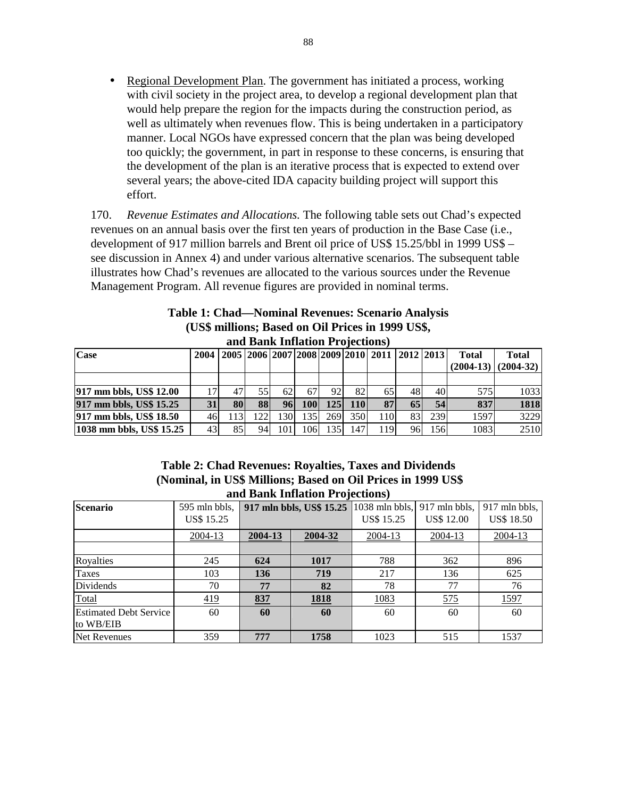• Regional Development Plan. The government has initiated a process, working with civil society in the project area, to develop a regional development plan that would help prepare the region for the impacts during the construction period, as well as ultimately when revenues flow. This is being undertaken in a participatory manner. Local NGOs have expressed concern that the plan was being developed too quickly; the government, in part in response to these concerns, is ensuring that the development of the plan is an iterative process that is expected to extend over several years; the above-cited IDA capacity building project will support this effort.

170. *Revenue Estimates and Allocations.* The following table sets out Chad's expected revenues on an annual basis over the first ten years of production in the Base Case (i.e., development of 917 million barrels and Brent oil price of US\$ 15.25/bbl in 1999 US\$ – see discussion in Annex 4) and under various alternative scenarios. The subsequent table illustrates how Chad's revenues are allocated to the various sources under the Revenue Management Program. All revenue figures are provided in nominal terms.

| <b>Table 1: Chad—Nominal Revenues: Scenario Analysis</b> |
|----------------------------------------------------------|
| (US\$ millions; Based on Oil Prices in 1999 US\$,        |
| and Bank Inflation Projections)                          |

| <b>Case</b>              |           |           |     |     |      |                  |            | 2004   2005   2006   2007   2008   2009   2010   2011   2012   2013 |     |      | <b>Total</b> | <b>Total</b> |
|--------------------------|-----------|-----------|-----|-----|------|------------------|------------|---------------------------------------------------------------------|-----|------|--------------|--------------|
|                          |           |           |     |     |      |                  |            |                                                                     |     |      | $(2004-13)$  | $(2004-32)$  |
|                          |           |           |     |     |      |                  |            |                                                                     |     |      |              |              |
| 917 mm bbls, US\$ 12.00  | 17        | 47        | 55  | 62  | 67 I | 92               | 82         | 65                                                                  | 48  | 40   | 575          | 1033         |
| 917 mm bbls, US\$ 15.25  | <b>31</b> | <b>80</b> | 88  | 96  | 100  | 125 <sup>1</sup> | <b>110</b> | 87                                                                  | 65  | 54   | 837          | 1818         |
| 917 mm bbls, US\$ 18.50  | 46        | 113I      | 122 | 130 | 1351 | 269              | 350        | 110                                                                 | 83  | 239  | 1597         | 3229         |
| 1038 mm bbls, US\$ 15.25 | 43        | 85        | 94  | 101 | 1061 | 1351             | 147        | 119                                                                 | 961 | 1561 | 1083         | 2510         |

# **Table 2: Chad Revenues: Royalties, Taxes and Dividends (Nominal, in US\$ Millions; Based on Oil Prices in 1999 US\$ and Bank Inflation Projections)**

| and Danis Innation I Follows,              |                                    |         |             |                                                                                |                   |                                    |  |  |
|--------------------------------------------|------------------------------------|---------|-------------|--------------------------------------------------------------------------------|-------------------|------------------------------------|--|--|
| <b>Scenario</b>                            | 595 mln bbls,<br><b>US\$ 15.25</b> |         |             | 917 mln bbls, US\$ 15.25   1038 mln bbls,   917 mln bbls,<br><b>US\$</b> 15.25 | <b>US\$ 12.00</b> | 917 mln bbls,<br><b>US\$ 18.50</b> |  |  |
|                                            | 2004-13                            | 2004-13 | 2004-32     | 2004-13                                                                        | $2004 - 13$       | 2004-13                            |  |  |
|                                            |                                    |         |             |                                                                                |                   |                                    |  |  |
| Royalties                                  | 245                                | 624     | 1017        | 788                                                                            | 362               | 896                                |  |  |
| Taxes                                      | 103                                | 136     | 719         | 217                                                                            | 136               | 625                                |  |  |
| Dividends                                  | 70                                 | 77      | 82          | 78                                                                             | 77                | 76                                 |  |  |
| Total                                      | 419                                | 837     | <b>1818</b> | 1083                                                                           | 575               | 1597                               |  |  |
| <b>Estimated Debt Service</b><br>to WB/EIB | 60                                 | 60      | 60          | 60                                                                             | 60                | 60                                 |  |  |
| Net Revenues                               | 359                                | 777     | 1758        | 1023                                                                           | 515               | 1537                               |  |  |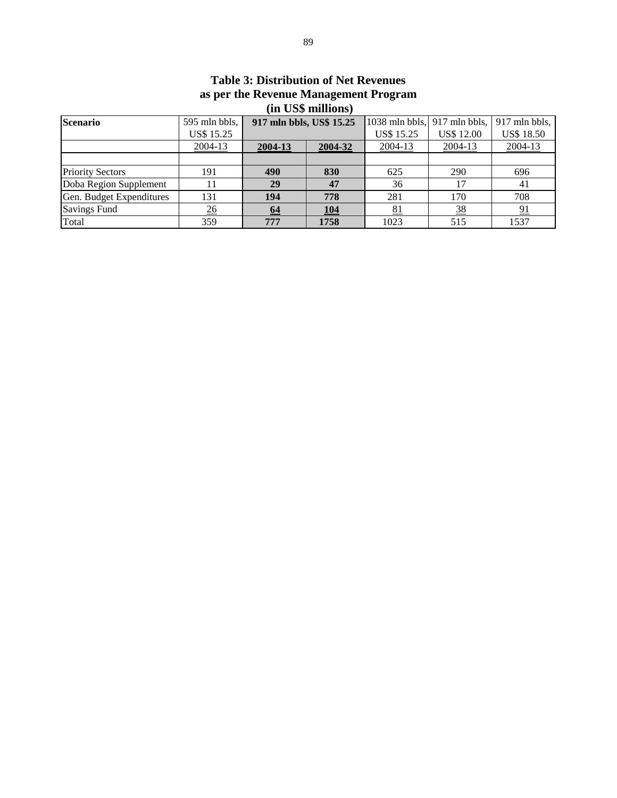| $\mathbf{m}$ coverint $\mathbf{v}$ |                   |                          |            |                                |                   |                   |  |  |
|------------------------------------|-------------------|--------------------------|------------|--------------------------------|-------------------|-------------------|--|--|
| <b>Scenario</b>                    | 595 mln bbls,     | 917 mln bbls, US\$ 15.25 |            | 1038 mln bbls, $917$ mln bbls, |                   | 917 mln bbls,     |  |  |
|                                    | <b>US\$ 15.25</b> |                          |            | <b>US\$ 15.25</b>              | <b>US\$ 12.00</b> | <b>US\$ 18.50</b> |  |  |
|                                    | 2004-13           | 2004-13                  | 2004-32    | 2004-13                        | 2004-13           | 2004-13           |  |  |
|                                    |                   |                          |            |                                |                   |                   |  |  |
| <b>Priority Sectors</b>            | 191               | 490                      | 830        | 625                            | 290               | 696               |  |  |
| Doba Region Supplement             |                   | 29                       |            | 36                             | 17                | 41                |  |  |
| Gen. Budget Expenditures           | 131               | 194                      | 778        | 281                            | 170               | 708               |  |  |
| <b>Savings Fund</b>                | $\frac{26}{5}$    | 64                       | <u>104</u> | <u>81</u>                      | <u>38</u>         | 91                |  |  |
| Total                              | 359               | 777                      | 1758       | 1023                           | 515               | 1537              |  |  |

# **Table 3: Distribution of Net Revenues as per the Revenue Management Program (in US\$ millions)**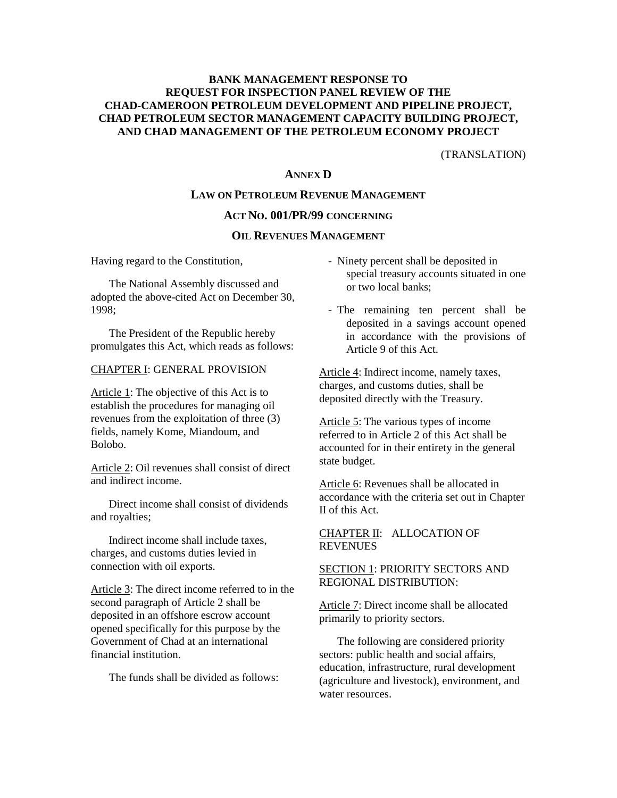(TRANSLATION)

# **ANNEX D**

### **LAW ON PETROLEUM REVENUE MANAGEMENT**

#### **ACT NO. 001/PR/99 CONCERNING**

#### **OIL REVENUES MANAGEMENT**

Having regard to the Constitution,

 The National Assembly discussed and adopted the above-cited Act on December 30, 1998;

 The President of the Republic hereby promulgates this Act, which reads as follows:

#### CHAPTER I: GENERAL PROVISION

Article 1: The objective of this Act is to establish the procedures for managing oil revenues from the exploitation of three (3) fields, namely Kome, Miandoum, and Bolobo.

Article 2: Oil revenues shall consist of direct and indirect income.

 Direct income shall consist of dividends and royalties;

 Indirect income shall include taxes, charges, and customs duties levied in connection with oil exports.

Article 3: The direct income referred to in the second paragraph of Article 2 shall be deposited in an offshore escrow account opened specifically for this purpose by the Government of Chad at an international financial institution.

The funds shall be divided as follows:

- Ninety percent shall be deposited in special treasury accounts situated in one or two local banks;
- The remaining ten percent shall be deposited in a savings account opened in accordance with the provisions of Article 9 of this Act.

Article 4: Indirect income, namely taxes, charges, and customs duties, shall be deposited directly with the Treasury.

Article 5: The various types of income referred to in Article 2 of this Act shall be accounted for in their entirety in the general state budget.

Article 6: Revenues shall be allocated in accordance with the criteria set out in Chapter II of this Act.

CHAPTER II: ALLOCATION OF REVENUES

#### SECTION 1: PRIORITY SECTORS AND REGIONAL DISTRIBUTION:

Article 7: Direct income shall be allocated primarily to priority sectors.

 The following are considered priority sectors: public health and social affairs, education, infrastructure, rural development (agriculture and livestock), environment, and water resources.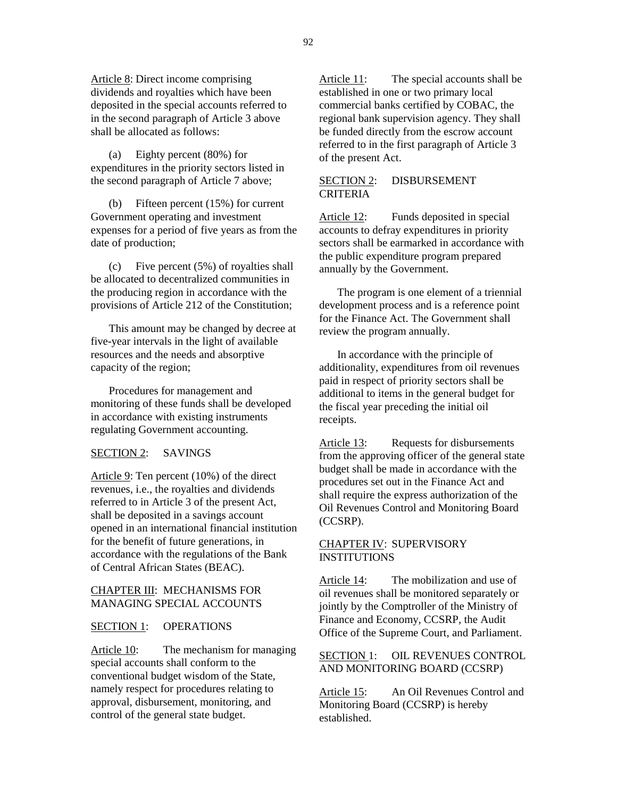Article 8: Direct income comprising dividends and royalties which have been deposited in the special accounts referred to in the second paragraph of Article 3 above shall be allocated as follows:

 (a) Eighty percent (80%) for expenditures in the priority sectors listed in the second paragraph of Article 7 above;

 (b) Fifteen percent (15%) for current Government operating and investment expenses for a period of five years as from the date of production;

 (c) Five percent (5%) of royalties shall be allocated to decentralized communities in the producing region in accordance with the provisions of Article 212 of the Constitution;

 This amount may be changed by decree at five-year intervals in the light of available resources and the needs and absorptive capacity of the region;

 Procedures for management and monitoring of these funds shall be developed in accordance with existing instruments regulating Government accounting.

#### SECTION 2: SAVINGS

Article 9: Ten percent (10%) of the direct revenues, i.e., the royalties and dividends referred to in Article 3 of the present Act, shall be deposited in a savings account opened in an international financial institution for the benefit of future generations, in accordance with the regulations of the Bank of Central African States (BEAC).

#### CHAPTER III: MECHANISMS FOR MANAGING SPECIAL ACCOUNTS

#### SECTION 1: OPERATIONS

Article 10: The mechanism for managing special accounts shall conform to the conventional budget wisdom of the State, namely respect for procedures relating to approval, disbursement, monitoring, and control of the general state budget.

Article 11: The special accounts shall be established in one or two primary local commercial banks certified by COBAC, the regional bank supervision agency. They shall be funded directly from the escrow account referred to in the first paragraph of Article 3 of the present Act.

#### SECTION 2: DISBURSEMENT CRITERIA

Article 12: Funds deposited in special accounts to defray expenditures in priority sectors shall be earmarked in accordance with the public expenditure program prepared annually by the Government.

 The program is one element of a triennial development process and is a reference point for the Finance Act. The Government shall review the program annually.

 In accordance with the principle of additionality, expenditures from oil revenues paid in respect of priority sectors shall be additional to items in the general budget for the fiscal year preceding the initial oil receipts.

Article 13: Requests for disbursements from the approving officer of the general state budget shall be made in accordance with the procedures set out in the Finance Act and shall require the express authorization of the Oil Revenues Control and Monitoring Board (CCSRP).

#### CHAPTER IV: SUPERVISORY **INSTITUTIONS**

Article 14: The mobilization and use of oil revenues shall be monitored separately or jointly by the Comptroller of the Ministry of Finance and Economy, CCSRP, the Audit Office of the Supreme Court, and Parliament.

#### SECTION 1: OIL REVENUES CONTROL AND MONITORING BOARD (CCSRP)

Article 15: An Oil Revenues Control and Monitoring Board (CCSRP) is hereby established.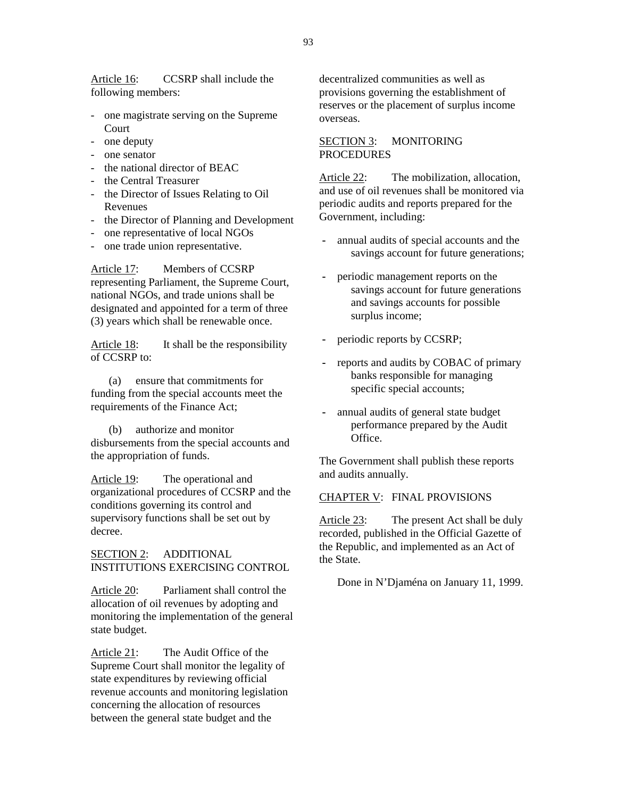Article 16: CCSRP shall include the following members:

- one magistrate serving on the Supreme Court
- one deputy
- one senator
- the national director of BEAC
- the Central Treasurer
- the Director of Issues Relating to Oil Revenues
- the Director of Planning and Development
- one representative of local NGOs
- one trade union representative.

Article 17: Members of CCSRP representing Parliament, the Supreme Court, national NGOs, and trade unions shall be designated and appointed for a term of three (3) years which shall be renewable once.

Article 18: It shall be the responsibility of CCSRP to:

 (a) ensure that commitments for funding from the special accounts meet the requirements of the Finance Act;

 (b) authorize and monitor disbursements from the special accounts and the appropriation of funds.

Article 19: The operational and organizational procedures of CCSRP and the conditions governing its control and supervisory functions shall be set out by decree.

SECTION 2: ADDITIONAL INSTITUTIONS EXERCISING CONTROL

Article 20: Parliament shall control the allocation of oil revenues by adopting and monitoring the implementation of the general state budget.

Article 21: The Audit Office of the Supreme Court shall monitor the legality of state expenditures by reviewing official revenue accounts and monitoring legislation concerning the allocation of resources between the general state budget and the

decentralized communities as well as provisions governing the establishment of reserves or the placement of surplus income overseas.

#### SECTION 3: MONITORING PROCEDURES

Article 22: The mobilization, allocation, and use of oil revenues shall be monitored via periodic audits and reports prepared for the Government, including:

- annual audits of special accounts and the savings account for future generations;
- periodic management reports on the savings account for future generations and savings accounts for possible surplus income;
- periodic reports by CCSRP;
- reports and audits by COBAC of primary banks responsible for managing specific special accounts;
- annual audits of general state budget performance prepared by the Audit Office.

The Government shall publish these reports and audits annually.

#### CHAPTER V: FINAL PROVISIONS

Article 23: The present Act shall be duly recorded, published in the Official Gazette of the Republic, and implemented as an Act of the State.

Done in N'Djaména on January 11, 1999.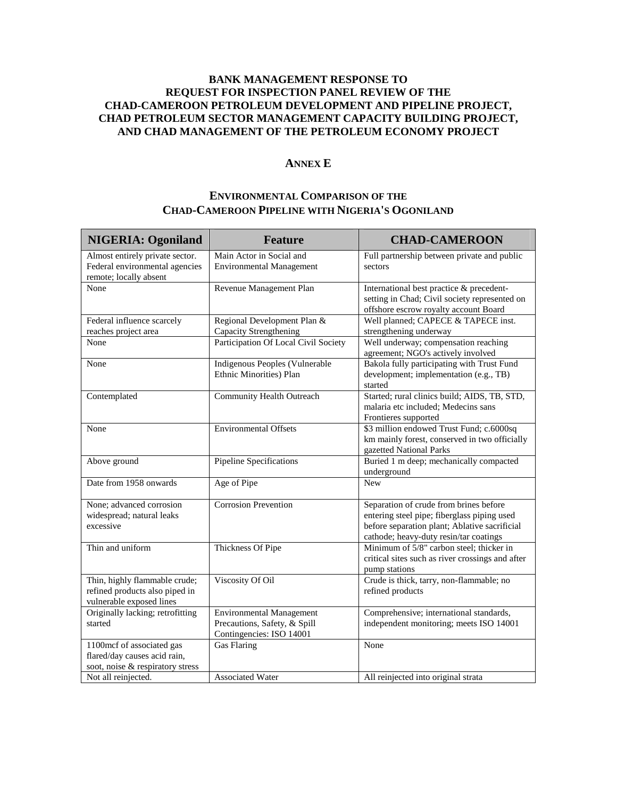#### **ANNEX E**

# **ENVIRONMENTAL COMPARISON OF THE CHAD-CAMEROON PIPELINE WITH NIGERIA'S OGONILAND**

| <b>NIGERIA: Ogoniland</b>                                                                     | <b>Feature</b>                                                                              | <b>CHAD-CAMEROON</b>                                                                                                                                                             |
|-----------------------------------------------------------------------------------------------|---------------------------------------------------------------------------------------------|----------------------------------------------------------------------------------------------------------------------------------------------------------------------------------|
| Almost entirely private sector.<br>Federal environmental agencies<br>remote; locally absent   | Main Actor in Social and<br><b>Environmental Management</b>                                 | Full partnership between private and public<br>sectors                                                                                                                           |
| None                                                                                          | Revenue Management Plan                                                                     | International best practice & precedent-<br>setting in Chad; Civil society represented on<br>offshore escrow royalty account Board                                               |
| Federal influence scarcely<br>reaches project area                                            | Regional Development Plan &<br>Capacity Strengthening                                       | Well planned; CAPECE & TAPECE inst.<br>strengthening underway                                                                                                                    |
| None                                                                                          | Participation Of Local Civil Society                                                        | Well underway; compensation reaching<br>agreement; NGO's actively involved                                                                                                       |
| None                                                                                          | Indigenous Peoples (Vulnerable<br>Ethnic Minorities) Plan                                   | Bakola fully participating with Trust Fund<br>development; implementation (e.g., TB)<br>started                                                                                  |
| Contemplated                                                                                  | Community Health Outreach                                                                   | Started; rural clinics build; AIDS, TB, STD,<br>malaria etc included; Medecins sans<br>Frontieres supported                                                                      |
| None                                                                                          | <b>Environmental Offsets</b>                                                                | \$3 million endowed Trust Fund; c.6000sq<br>km mainly forest, conserved in two officially<br>gazetted National Parks                                                             |
| Above ground                                                                                  | Pipeline Specifications                                                                     | Buried 1 m deep; mechanically compacted<br>underground                                                                                                                           |
| Date from 1958 onwards                                                                        | Age of Pipe                                                                                 | <b>New</b>                                                                                                                                                                       |
| None; advanced corrosion<br>widespread; natural leaks<br>excessive                            | <b>Corrosion Prevention</b>                                                                 | Separation of crude from brines before<br>entering steel pipe; fiberglass piping used<br>before separation plant; Ablative sacrificial<br>cathode; heavy-duty resin/tar coatings |
| Thin and uniform                                                                              | Thickness Of Pipe                                                                           | Minimum of 5/8" carbon steel; thicker in<br>critical sites such as river crossings and after<br>pump stations                                                                    |
| Thin, highly flammable crude;<br>refined products also piped in<br>vulnerable exposed lines   | Viscosity Of Oil                                                                            | Crude is thick, tarry, non-flammable; no<br>refined products                                                                                                                     |
| Originally lacking; retrofitting<br>started                                                   | <b>Environmental Management</b><br>Precautions, Safety, & Spill<br>Contingencies: ISO 14001 | Comprehensive; international standards,<br>independent monitoring; meets ISO 14001                                                                                               |
| 1100mcf of associated gas<br>flared/day causes acid rain,<br>soot, noise & respiratory stress | Gas Flaring                                                                                 | None                                                                                                                                                                             |
| Not all reinjected.                                                                           | <b>Associated Water</b>                                                                     | All reinjected into original strata                                                                                                                                              |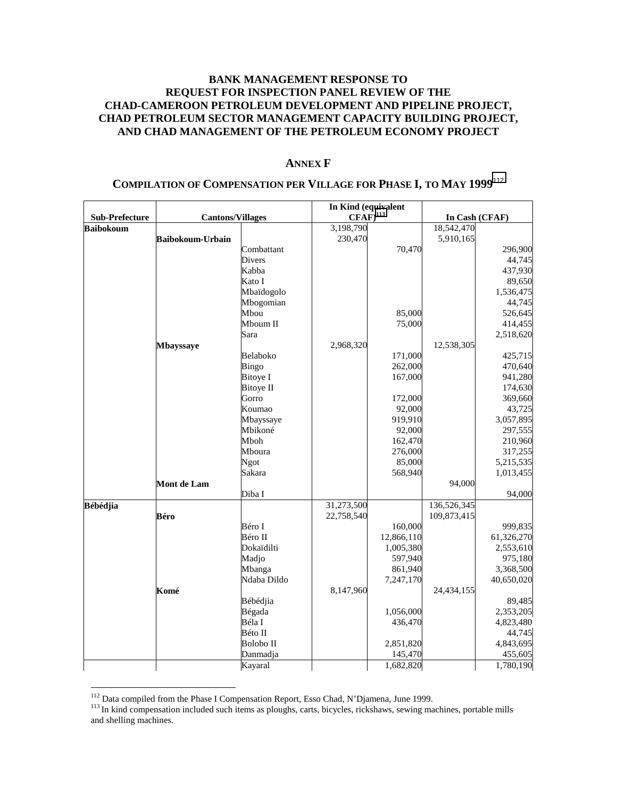#### **ANNEX F**

|                       |                         |                  | In Kind (equivalent |                |             |            |  |
|-----------------------|-------------------------|------------------|---------------------|----------------|-------------|------------|--|
| <b>Sub-Prefecture</b> | <b>Cantons/Villages</b> | $CFAF)^{113}$    |                     | In Cash (CFAF) |             |            |  |
| <b>Baibokoum</b>      |                         |                  | 3,198,790           |                | 18,542,470  |            |  |
|                       | <b>Baibokoum-Urbain</b> |                  | 230,470             |                | 5,910,165   |            |  |
|                       |                         | Combattant       |                     | 70,470         |             | 296,900    |  |
|                       |                         | Divers           |                     |                |             | 44,745     |  |
|                       |                         | Kabba            |                     |                |             | 437,930    |  |
|                       |                         | Kato I           |                     |                |             | 89,650     |  |
|                       |                         | Mbaïdogolo       |                     |                |             | 1,536,475  |  |
|                       |                         | Mbogomian        |                     |                |             | 44,745     |  |
|                       |                         | Mbou             |                     | 85,000         |             | 526,645    |  |
|                       |                         | Mboum II         |                     | 75,000         |             | 414,455    |  |
|                       |                         | Sara             |                     |                |             | 2,518,620  |  |
|                       | <b>Mbayssaye</b>        |                  | 2,968,320           |                | 12,538,305  |            |  |
|                       |                         | Belaboko         |                     | 171,000        |             | 425,715    |  |
|                       |                         | Bingo            |                     | 262,000        |             | 470,640    |  |
|                       |                         | <b>Bitoye I</b>  |                     | 167,000        |             | 941,280    |  |
|                       |                         | <b>Bitoye II</b> |                     |                |             | 174,630    |  |
|                       |                         | Gorro            |                     | 172,000        |             | 369,660    |  |
|                       |                         | Koumao           |                     | 92,000         |             | 43,725     |  |
|                       |                         | Mbayssaye        |                     | 919,910        |             | 3,057,895  |  |
|                       |                         | Mbikoné          |                     | 92,000         |             | 297,555    |  |
|                       |                         | Mboh             |                     | 162,470        |             | 210,960    |  |
|                       |                         | Mboura           |                     | 276,000        |             | 317,255    |  |
|                       |                         | Ngot             |                     | 85,000         |             | 5,215,535  |  |
|                       |                         | Sakara           |                     | 568,940        |             | 1,013,455  |  |
|                       | <b>Mont de Lam</b>      |                  |                     |                | 94,000      |            |  |
|                       |                         | Diba I           |                     |                |             | 94,000     |  |
| <b>Bébédjia</b>       |                         |                  | 31,273,500          |                | 136,526,345 |            |  |
|                       | Béro                    |                  | 22,758,540          |                | 109,873,415 |            |  |
|                       |                         | Béro I           |                     | 160,000        |             | 999,835    |  |
|                       |                         | Béro II          |                     | 12,866,110     |             | 61,326,270 |  |
|                       |                         | Dokaïdilti       |                     | 1,005,380      |             | 2,553,610  |  |
|                       |                         | Madjo            |                     | 597,940        |             | 975,180    |  |
|                       |                         | Mbanga           |                     | 861,940        |             | 3,368,500  |  |
|                       |                         | Ndaba Dildo      |                     | 7,247,170      |             | 40,650,020 |  |
|                       | Komé                    |                  | 8,147,960           |                | 24,434,155  |            |  |
|                       |                         | Bébédjia         |                     |                |             | 89,485     |  |
|                       |                         | Bégada           |                     | 1,056,000      |             | 2,353,205  |  |
|                       |                         | Béla I           |                     | 436,470        |             | 4,823,480  |  |
|                       |                         | Béto II          |                     |                |             | 44,745     |  |
|                       |                         | <b>Bolobo II</b> |                     | 2,851,820      |             | 4,843,695  |  |
|                       |                         | Danmadja         |                     | 145,470        |             | 455,605    |  |
|                       |                         | Kayaral          |                     | 1,682,820      |             | 1,780,190  |  |

# **COMPILATION OF COMPENSATION PER VILLAGE FOR PHASE I, TO MAY 1999**<sup>112</sup>

<sup>&</sup>lt;sup>112</sup> Data compiled from the Phase I Compensation Report, Esso Chad, N'Djamena, June 1999.

 $113$  In kind compensation included such items as ploughs, carts, bicycles, rickshaws, sewing machines, portable mills and shelling machines.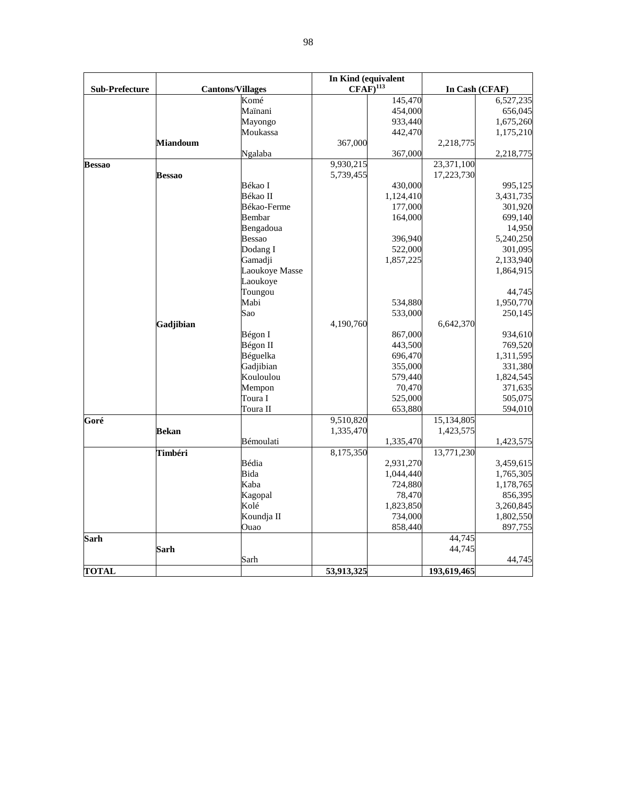|                       |                 |                         | In Kind (equivalent    |           |             |                |
|-----------------------|-----------------|-------------------------|------------------------|-----------|-------------|----------------|
| <b>Sub-Prefecture</b> |                 | <b>Cantons/Villages</b> | $CFAF)$ <sup>113</sup> |           |             | In Cash (CFAF) |
|                       |                 | Komé                    |                        | 145,470   |             | 6,527,235      |
|                       |                 | Maïnani                 |                        | 454,000   |             | 656,045        |
|                       |                 | Mayongo                 |                        | 933,440   |             | 1,675,260      |
|                       |                 | Moukassa                |                        | 442,470   |             | 1,175,210      |
|                       | <b>Miandoum</b> |                         | 367,000                |           | 2,218,775   |                |
|                       |                 | Ngalaba                 |                        | 367,000   |             | 2,218,775      |
| <b>Bessao</b>         |                 |                         | 9,930,215              |           | 23,371,100  |                |
|                       | <b>Bessao</b>   |                         | 5,739,455              |           | 17,223,730  |                |
|                       |                 | Békao I                 |                        | 430,000   |             | 995,125        |
|                       |                 | Békao II                |                        | 1,124,410 |             | 3,431,735      |
|                       |                 | Békao-Ferme             |                        | 177,000   |             | 301,920        |
|                       |                 | Bembar                  |                        | 164,000   |             | 699,140        |
|                       |                 | Bengadoua               |                        |           |             | 14,950         |
|                       |                 | <b>Bessao</b>           |                        | 396,940   |             | 5,240,250      |
|                       |                 | Dodang I                |                        | 522,000   |             | 301,095        |
|                       |                 | Gamadji                 |                        | 1,857,225 |             | 2,133,940      |
|                       |                 | Laoukoye Masse          |                        |           |             | 1,864,915      |
|                       |                 | Laoukoye                |                        |           |             |                |
|                       |                 | Toungou                 |                        |           |             | 44,745         |
|                       |                 | Mabi                    |                        | 534,880   |             | 1,950,770      |
|                       |                 | Sao                     |                        | 533,000   |             | 250,145        |
|                       | Gadjibian       |                         | 4,190,760              |           | 6,642,370   |                |
|                       |                 | Bégon I                 |                        | 867,000   |             | 934,610        |
|                       |                 | Bégon II                |                        | 443,500   |             | 769,520        |
|                       |                 | Béguelka                |                        | 696,470   |             | 1,311,595      |
|                       |                 | Gadjibian               |                        | 355,000   |             | 331,380        |
|                       |                 | Kouloulou               |                        | 579,440   |             | 1,824,545      |
|                       |                 | Mempon                  |                        | 70,470    |             | 371,635        |
|                       |                 | Toura I                 |                        | 525,000   |             | 505,075        |
|                       |                 | Toura II                |                        | 653,880   |             | 594,010        |
| Goré                  |                 |                         | 9,510,820              |           | 15,134,805  |                |
|                       | <b>Bekan</b>    |                         | 1,335,470              |           | 1,423,575   |                |
|                       |                 | Bémoulati               |                        | 1,335,470 |             | 1,423,575      |
|                       | Timbéri         |                         | 8,175,350              |           | 13,771,230  |                |
|                       |                 | Bédia                   |                        | 2,931,270 |             | 3,459,615      |
|                       |                 | Bida                    |                        | 1,044,440 |             | 1,765,305      |
|                       |                 | Kaba                    |                        | 724,880   |             | 1,178,765      |
|                       |                 | Kagopal                 |                        | 78,470    |             | 856,395        |
|                       |                 | Kolé                    |                        | 1,823,850 |             | 3,260,845      |
|                       |                 | Koundja II              |                        | 734,000   |             | 1,802,550      |
|                       |                 | Ouao                    |                        | 858,440   |             | 897,755        |
| <b>Sarh</b>           |                 |                         |                        |           | 44,745      |                |
|                       | Sarh            |                         |                        |           | 44,745      |                |
|                       |                 | Sarh                    |                        |           |             | 44,745         |
| <b>TOTAL</b>          |                 |                         | 53,913,325             |           | 193,619,465 |                |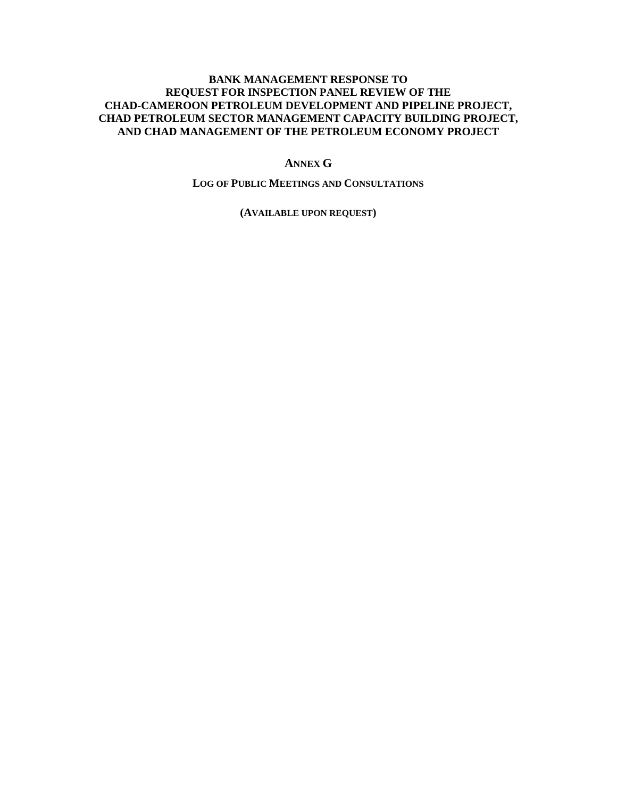#### **ANNEX G**

#### **LOG OF PUBLIC MEETINGS AND CONSULTATIONS**

**(AVAILABLE UPON REQUEST)**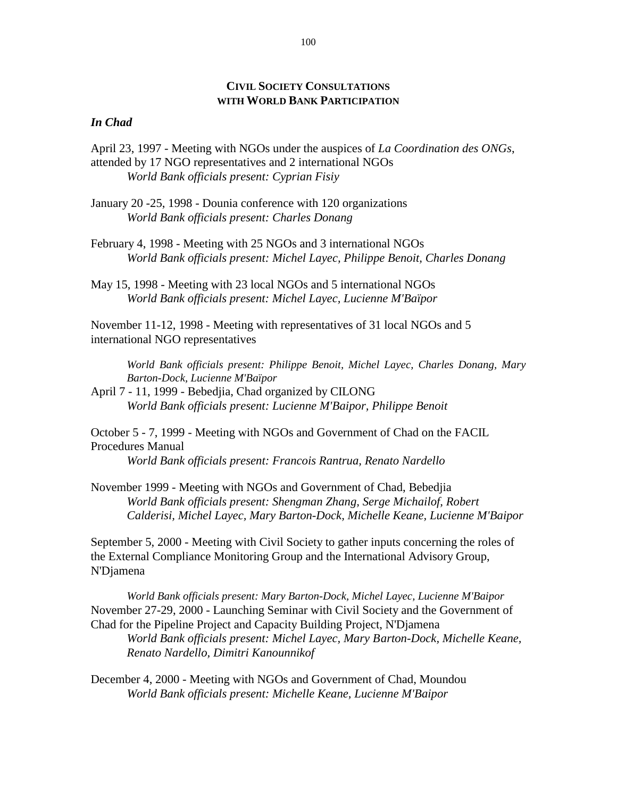# **CIVIL SOCIETY CONSULTATIONS WITH WORLD BANK PARTICIPATION**

# *In Chad*

- April 23, 1997 Meeting with NGOs under the auspices of *La Coordination des ONGs*, attended by 17 NGO representatives and 2 international NGOs *World Bank officials present: Cyprian Fisiy*
- January 20 -25, 1998 Dounia conference with 120 organizations *World Bank officials present: Charles Donang*
- February 4, 1998 Meeting with 25 NGOs and 3 international NGOs *World Bank officials present: Michel Layec, Philippe Benoit, Charles Donang*
- May 15, 1998 Meeting with 23 local NGOs and 5 international NGOs *World Bank officials present: Michel Layec, Lucienne M'Baïpor*

November 11-12, 1998 - Meeting with representatives of 31 local NGOs and 5 international NGO representatives

*World Bank officials present: Philippe Benoit, Michel Layec, Charles Donang, Mary Barton-Dock, Lucienne M'Baïpor* 

April 7 - 11, 1999 - Bebedjia, Chad organized by CILONG *World Bank officials present: Lucienne M'Baipor, Philippe Benoit* 

October 5 - 7, 1999 - Meeting with NGOs and Government of Chad on the FACIL Procedures Manual

*World Bank officials present: Francois Rantrua, Renato Nardello* 

November 1999 - Meeting with NGOs and Government of Chad, Bebedjia *World Bank officials present: Shengman Zhang, Serge Michailof, Robert Calderisi, Michel Layec, Mary Barton-Dock, Michelle Keane, Lucienne M'Baipor* 

September 5, 2000 - Meeting with Civil Society to gather inputs concerning the roles of the External Compliance Monitoring Group and the International Advisory Group, N'Djamena

*World Bank officials present: Mary Barton-Dock, Michel Layec, Lucienne M'Baipor*  November 27-29, 2000 - Launching Seminar with Civil Society and the Government of Chad for the Pipeline Project and Capacity Building Project, N'Djamena

*World Bank officials present: Michel Layec, Mary B arton-Dock, Michelle Keane, Renato Nardello, Dimitri Kanounnikof* 

December 4, 2000 - Meeting with NGOs and Government of Chad, Moundou *World Bank officials present: Michelle Keane, Lucienne M'Baipor*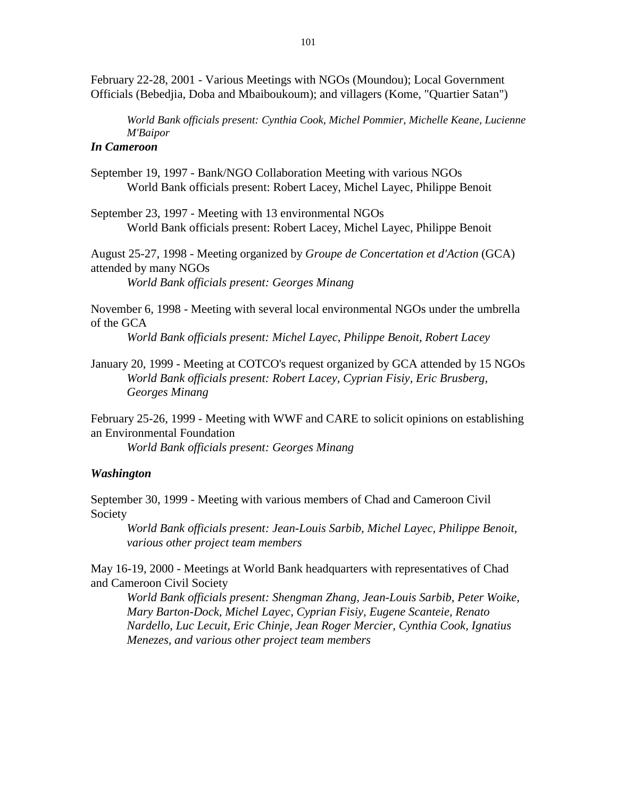February 22-28, 2001 - Various Meetings with NGOs (Moundou); Local Government Officials (Bebedjia, Doba and Mbaiboukoum); and villagers (Kome, "Quartier Satan")

*World Bank officials present: Cynthia Cook, Michel Pommier, Michelle Keane, Lucienne M'Baipor* 

# *In Cameroon*

September 19, 1997 - Bank/NGO Collaboration Meeting with various NGOs World Bank officials present: Robert Lacey, Michel Layec, Philippe Benoit

September 23, 1997 - Meeting with 13 environmental NGOs World Bank officials present: Robert Lacey, Michel Layec, Philippe Benoit

August 25-27, 1998 - Meeting organized by *Groupe de Concertation et d'Action* (GCA) attended by many NGOs

*World Bank officials present: Georges Minang* 

November 6, 1998 - Meeting with several local environmental NGOs under the umbrella of the GCA

*World Bank officials present: Michel Layec, Philippe Benoit, Robert Lacey* 

January 20, 1999 - Meeting at COTCO's request organized by GCA attended by 15 NGOs *World Bank officials present: Robert Lacey, Cyprian Fisiy, Eric Brusberg, Georges Minang* 

February 25-26, 1999 - Meeting with WWF and CARE to solicit opinions on establishing an Environmental Foundation

*World Bank officials present: Georges Minang* 

# *Washington*

September 30, 1999 - Meeting with various members of Chad and Cameroon Civil Society

*World Bank officials present: Jean-Louis Sarbib, Michel Layec, Philippe Benoit, various other project team members* 

May 16-19, 2000 - Meetings at World Bank headquarters with representatives of Chad and Cameroon Civil Society

*World Bank officials present: Shengman Zhang, Jean-Louis Sarbib, Peter Woike, Mary Barton-Dock, Michel Layec, Cyprian Fisiy, Eugene Scanteie, Renato Nardello, Luc Lecuit, Eric Chinje, Jean Roger Mercier, Cynthia Cook, Ignatius Menezes, and various other project team members*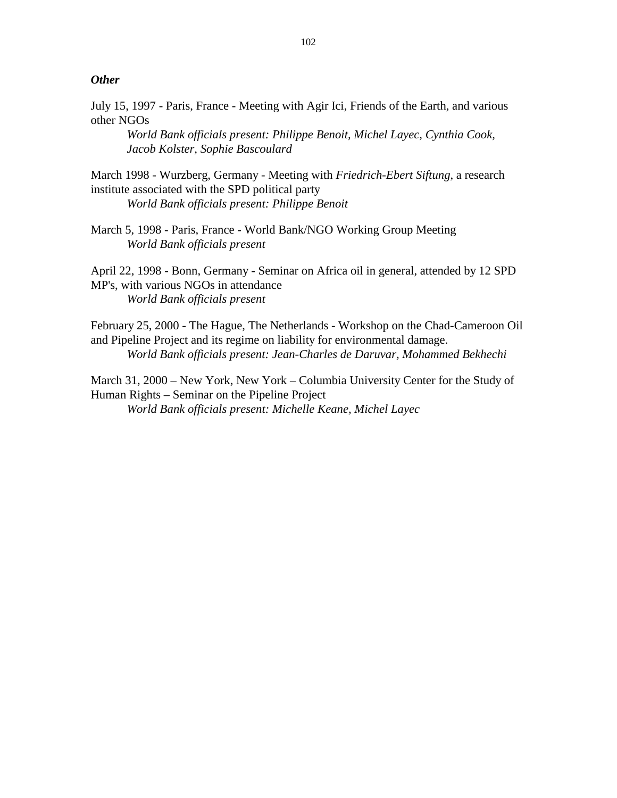#### *Other*

July 15, 1997 - Paris, France - Meeting with Agir Ici, Friends of the Earth, and various other NGOs

*World Bank officials present: Philippe Benoit, Michel Layec, Cynthia Cook, Jacob Kolster, Sophie Bascoulard* 

March 1998 - Wurzberg, Germany - Meeting with *Friedrich-Ebert Siftung*, a research institute associated with the SPD political party

*World Bank officials present: Philippe Benoit* 

March 5, 1998 - Paris, France - World Bank/NGO Working Group Meeting *World Bank officials present* 

April 22, 1998 - Bonn, Germany - Seminar on Africa oil in general, attended by 12 SPD MP's, with various NGOs in attendance *World Bank officials present* 

February 25, 2000 - The Hague, The Netherlands - Workshop on the Chad-Cameroon Oil and Pipeline Project and its regime on liability for environmental damage. *World Bank officials present: Jean-Charles de Daruvar, Mohammed Bekhechi* 

March 31, 2000 – New York, New York – Columbia University Center for the Study of Human Rights – Seminar on the Pipeline Project *World Bank officials present: Michelle Keane, Michel Layec*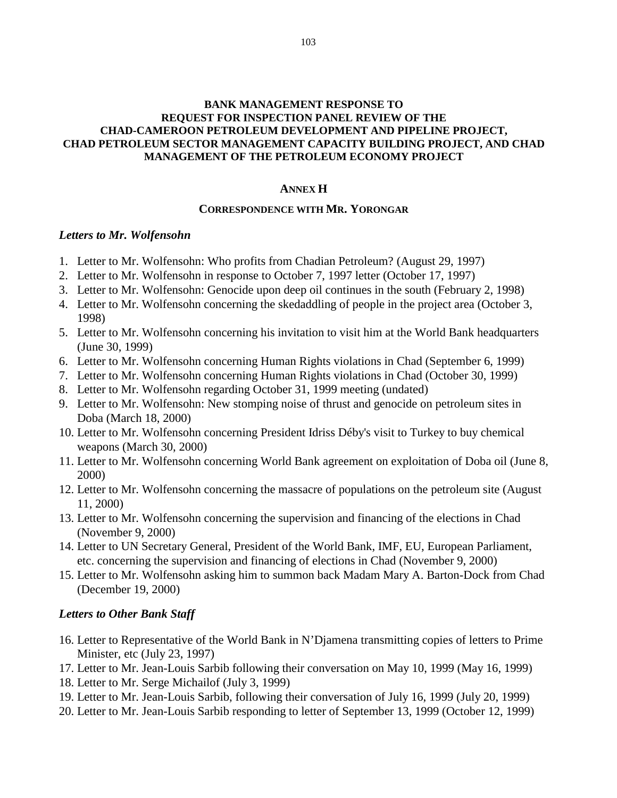# **ANNEX H**

#### **CORRESPONDENCE WITH MR. YORONGAR**

#### *Letters to Mr. Wolfensohn*

- 1. Letter to Mr. Wolfensohn: Who profits from Chadian Petroleum? (August 29, 1997)
- 2. Letter to Mr. Wolfensohn in response to October 7, 1997 letter (October 17, 1997)
- 3. Letter to Mr. Wolfensohn: Genocide upon deep oil continues in the south (February 2, 1998)
- 4. Letter to Mr. Wolfensohn concerning the skedaddling of people in the project area (October 3, 1998)
- 5. Letter to Mr. Wolfensohn concerning his invitation to visit him at the World Bank headquarters (June 30, 1999)
- 6. Letter to Mr. Wolfensohn concerning Human Rights violations in Chad (September 6, 1999)
- 7. Letter to Mr. Wolfensohn concerning Human Rights violations in Chad (October 30, 1999)
- 8. Letter to Mr. Wolfensohn regarding October 31, 1999 meeting (undated)
- 9. Letter to Mr. Wolfensohn: New stomping noise of thrust and genocide on petroleum sites in Doba (March 18, 2000)
- 10. Letter to Mr. Wolfensohn concerning President Idriss Déby's visit to Turkey to buy chemical weapons (March 30, 2000)
- 11. Letter to Mr. Wolfensohn concerning World Bank agreement on exploitation of Doba oil (June 8, 2000)
- 12. Letter to Mr. Wolfensohn concerning the massacre of populations on the petroleum site (August 11, 2000)
- 13. Letter to Mr. Wolfensohn concerning the supervision and financing of the elections in Chad (November 9, 2000)
- 14. Letter to UN Secretary General, President of the World Bank, IMF, EU, European Parliament, etc. concerning the supervision and financing of elections in Chad (November 9, 2000)
- 15. Letter to Mr. Wolfensohn asking him to summon back Madam Mary A. Barton-Dock from Chad (December 19, 2000)

#### *Letters to Other Bank Staff*

- 16. Letter to Representative of the World Bank in N'Djamena transmitting copies of letters to Prime Minister, etc (July 23, 1997)
- 17. Letter to Mr. Jean-Louis Sarbib following their conversation on May 10, 1999 (May 16, 1999)
- 18. Letter to Mr. Serge Michailof (July 3, 1999)
- 19. Letter to Mr. Jean-Louis Sarbib, following their conversation of July 16, 1999 (July 20, 1999)
- 20. Letter to Mr. Jean-Louis Sarbib responding to letter of September 13, 1999 (October 12, 1999)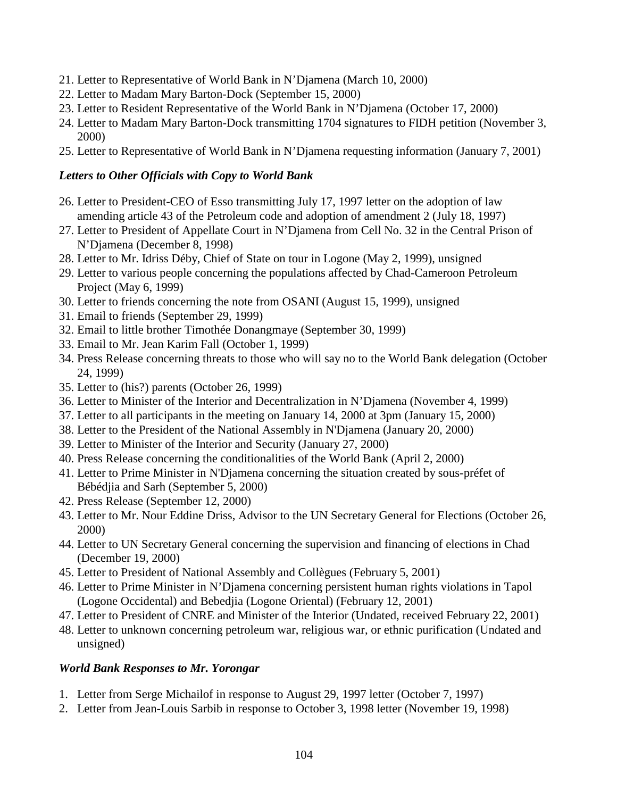- 21. Letter to Representative of World Bank in N'Djamena (March 10, 2000)
- 22. Letter to Madam Mary Barton-Dock (September 15, 2000)
- 23. Letter to Resident Representative of the World Bank in N'Djamena (October 17, 2000)
- 24. Letter to Madam Mary Barton-Dock transmitting 1704 signatures to FIDH petition (November 3, 2000)
- 25. Letter to Representative of World Bank in N'Djamena requesting information (January 7, 2001)

# *Letters to Other Officials with Copy to World Bank*

- 26. Letter to President-CEO of Esso transmitting July 17, 1997 letter on the adoption of law amending article 43 of the Petroleum code and adoption of amendment 2 (July 18, 1997)
- 27. Letter to President of Appellate Court in N'Djamena from Cell No. 32 in the Central Prison of N'Djamena (December 8, 1998)
- 28. Letter to Mr. Idriss Déby, Chief of State on tour in Logone (May 2, 1999), unsigned
- 29. Letter to various people concerning the populations affected by Chad-Cameroon Petroleum Project (May 6, 1999)
- 30. Letter to friends concerning the note from OSANI (August 15, 1999), unsigned
- 31. Email to friends (September 29, 1999)
- 32. Email to little brother Timothée Donangmaye (September 30, 1999)
- 33. Email to Mr. Jean Karim Fall (October 1, 1999)
- 34. Press Release concerning threats to those who will say no to the World Bank delegation (October 24, 1999)
- 35. Letter to (his?) parents (October 26, 1999)
- 36. Letter to Minister of the Interior and Decentralization in N'Djamena (November 4, 1999)
- 37. Letter to all participants in the meeting on January 14, 2000 at 3pm (January 15, 2000)
- 38. Letter to the President of the National Assembly in N'Djamena (January 20, 2000)
- 39. Letter to Minister of the Interior and Security (January 27, 2000)
- 40. Press Release concerning the conditionalities of the World Bank (April 2, 2000)
- 41. Letter to Prime Minister in N'Djamena concerning the situation created by sous-préfet of Bébédjia and Sarh (September 5, 2000)
- 42. Press Release (September 12, 2000)
- 43. Letter to Mr. Nour Eddine Driss, Advisor to the UN Secretary General for Elections (October 26, 2000)
- 44. Letter to UN Secretary General concerning the supervision and financing of elections in Chad (December 19, 2000)
- 45. Letter to President of National Assembly and Collègues (February 5, 2001)
- 46. Letter to Prime Minister in N'Djamena concerning persistent human rights violations in Tapol (Logone Occidental) and Bebedjia (Logone Oriental) (February 12, 2001)
- 47. Letter to President of CNRE and Minister of the Interior (Undated, received February 22, 2001)
- 48. Letter to unknown concerning petroleum war, religious war, or ethnic purification (Undated and unsigned)

# *World Bank Responses to Mr. Yorongar*

- 1. Letter from Serge Michailof in response to August 29, 1997 letter (October 7, 1997)
- 2. Letter from Jean-Louis Sarbib in response to October 3, 1998 letter (November 19, 1998)